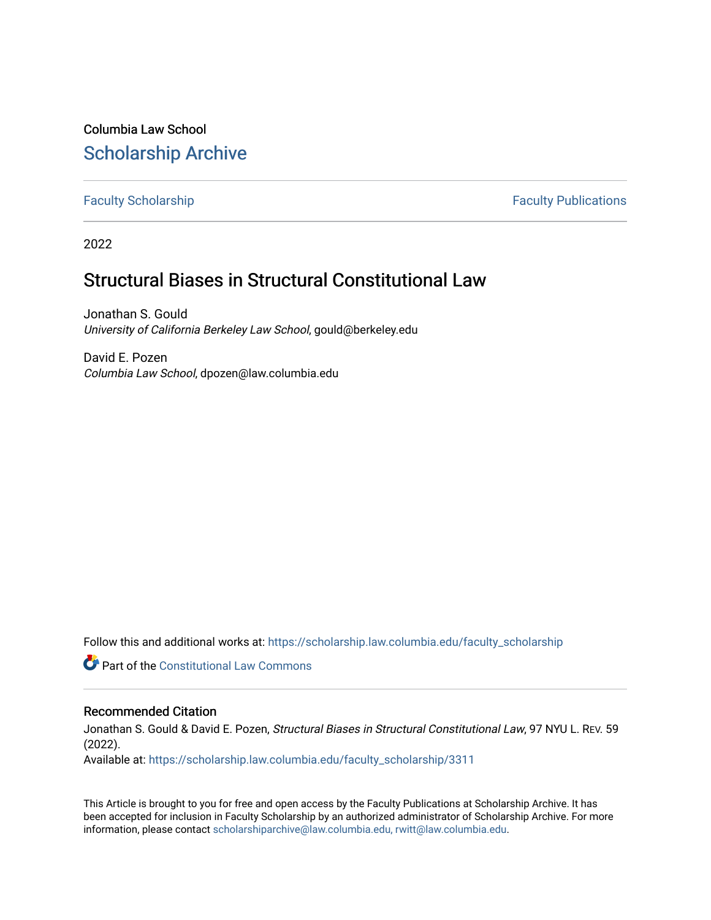Columbia Law School [Scholarship Archive](https://scholarship.law.columbia.edu/) 

[Faculty Scholarship](https://scholarship.law.columbia.edu/faculty_scholarship) **Faculty Scholarship Faculty Publications** 

2022

# Structural Biases in Structural Constitutional Law

Jonathan S. Gould University of California Berkeley Law School, gould@berkeley.edu

David E. Pozen Columbia Law School, dpozen@law.columbia.edu

Follow this and additional works at: [https://scholarship.law.columbia.edu/faculty\\_scholarship](https://scholarship.law.columbia.edu/faculty_scholarship?utm_source=scholarship.law.columbia.edu%2Ffaculty_scholarship%2F3311&utm_medium=PDF&utm_campaign=PDFCoverPages)

**C** Part of the Constitutional Law Commons

## Recommended Citation

Jonathan S. Gould & David E. Pozen, Structural Biases in Structural Constitutional Law, 97 NYU L. REV. 59 (2022).

Available at: [https://scholarship.law.columbia.edu/faculty\\_scholarship/3311](https://scholarship.law.columbia.edu/faculty_scholarship/3311?utm_source=scholarship.law.columbia.edu%2Ffaculty_scholarship%2F3311&utm_medium=PDF&utm_campaign=PDFCoverPages)

This Article is brought to you for free and open access by the Faculty Publications at Scholarship Archive. It has been accepted for inclusion in Faculty Scholarship by an authorized administrator of Scholarship Archive. For more information, please contact [scholarshiparchive@law.columbia.edu, rwitt@law.columbia.edu](mailto:scholarshiparchive@law.columbia.edu,%20rwitt@law.columbia.edu).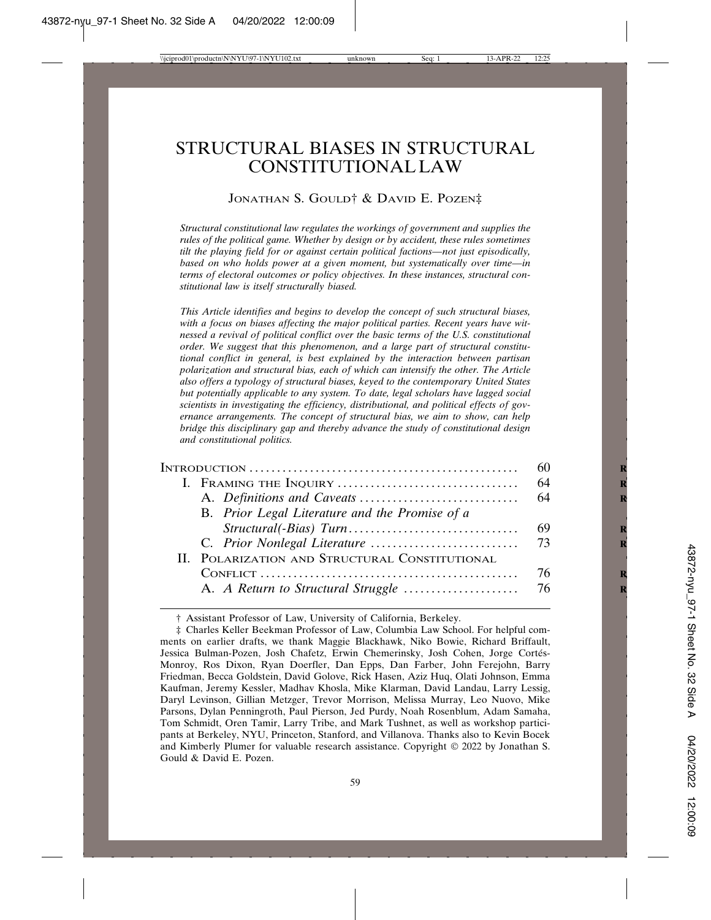## STRUCTURAL BIASES IN STRUCTURAL CONSTITUTIONAL LAW

#### JONATHAN S. GOULD† & DAVID E. POZEN‡

*Structural constitutional law regulates the workings of government and supplies the rules of the political game. Whether by design or by accident, these rules sometimes tilt the playing field for or against certain political factions—not just episodically, based on who holds power at a given moment, but systematically over time—in terms of electoral outcomes or policy objectives. In these instances, structural constitutional law is itself structurally biased.*

*This Article identifies and begins to develop the concept of such structural biases, with a focus on biases affecting the major political parties. Recent years have witnessed a revival of political conflict over the basic terms of the U.S. constitutional order. We suggest that this phenomenon, and a large part of structural constitutional conflict in general, is best explained by the interaction between partisan polarization and structural bias, each of which can intensify the other. The Article also offers a typology of structural biases, keyed to the contemporary United States but potentially applicable to any system. To date, legal scholars have lagged social scientists in investigating the efficiency, distributional, and political effects of governance arrangements. The concept of structural bias, we aim to show, can help bridge this disciplinary gap and thereby advance the study of constitutional design and constitutional politics.*

|                                                | 60  |
|------------------------------------------------|-----|
|                                                | -64 |
|                                                | -64 |
| B. Prior Legal Literature and the Promise of a |     |
|                                                |     |
|                                                |     |
| II. POLARIZATION AND STRUCTURAL CONSTITUTIONAL |     |
|                                                | 76  |
|                                                |     |
|                                                |     |

† Assistant Professor of Law, University of California, Berkeley.

<sup>‡</sup> Charles Keller Beekman Professor of Law, Columbia Law School. For helpful comments on earlier drafts, we thank Maggie Blackhawk, Niko Bowie, Richard Briffault, Jessica Bulman-Pozen, Josh Chafetz, Erwin Chemerinsky, Josh Cohen, Jorge Cortés-Monroy, Ros Dixon, Ryan Doerfler, Dan Epps, Dan Farber, John Ferejohn, Barry Friedman, Becca Goldstein, David Golove, Rick Hasen, Aziz Huq, Olati Johnson, Emma Kaufman, Jeremy Kessler, Madhav Khosla, Mike Klarman, David Landau, Larry Lessig, Daryl Levinson, Gillian Metzger, Trevor Morrison, Melissa Murray, Leo Nuovo, Mike Parsons, Dylan Penningroth, Paul Pierson, Jed Purdy, Noah Rosenblum, Adam Samaha, Tom Schmidt, Oren Tamir, Larry Tribe, and Mark Tushnet, as well as workshop participants at Berkeley, NYU, Princeton, Stanford, and Villanova. Thanks also to Kevin Bocek and Kimberly Plumer for valuable research assistance. Copyright © 2022 by Jonathan S. Gould & David E. Pozen.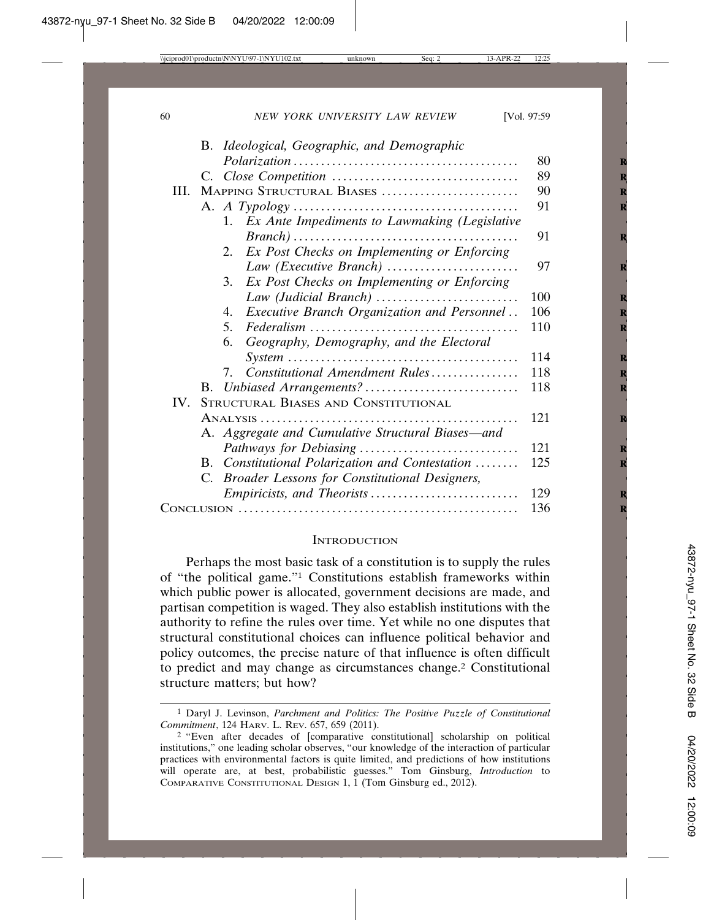|          | B. Ideological, Geographic, and Demographic       |     |
|----------|---------------------------------------------------|-----|
|          |                                                   | 80  |
|          |                                                   | 89  |
| III.     | MAPPING STRUCTURAL BIASES                         | 90  |
|          |                                                   | 91  |
|          | 1. Ex Ante Impediments to Lawmaking (Legislative  |     |
|          |                                                   | 91  |
|          | Ex Post Checks on Implementing or Enforcing<br>2. |     |
|          |                                                   | 97  |
|          | Ex Post Checks on Implementing or Enforcing<br>3. |     |
|          |                                                   | 100 |
|          | Executive Branch Organization and Personnel<br>4. | 106 |
|          | $5^{\circ}$                                       | 110 |
|          | Geography, Demography, and the Electoral<br>6.    |     |
|          |                                                   | 114 |
|          | Constitutional Amendment Rules<br>7.              | 118 |
|          |                                                   | 118 |
| $IV_{-}$ | STRUCTURAL BIASES AND CONSTITUTIONAL              |     |
|          |                                                   | 121 |
|          | A. Aggregate and Cumulative Structural Biases-and |     |
|          |                                                   | 121 |
|          | B. Constitutional Polarization and Contestation   | 125 |
|          | C. Broader Lessons for Constitutional Designers,  |     |
|          |                                                   | 129 |
|          |                                                   | 136 |

#### **INTRODUCTION**

Perhaps the most basic task of a constitution is to supply the rules of "the political game."1 Constitutions establish frameworks within which public power is allocated, government decisions are made, and partisan competition is waged. They also establish institutions with the authority to refine the rules over time. Yet while no one disputes that structural constitutional choices can influence political behavior and policy outcomes, the precise nature of that influence is often difficult to predict and may change as circumstances change.2 Constitutional structure matters; but how?

<sup>1</sup> Daryl J. Levinson, *Parchment and Politics: The Positive Puzzle of Constitutional Commitment*, 124 HARV. L. REV. 657, 659 (2011).

<sup>2</sup> "Even after decades of [comparative constitutional] scholarship on political institutions," one leading scholar observes, "our knowledge of the interaction of particular practices with environmental factors is quite limited, and predictions of how institutions will operate are, at best, probabilistic guesses." Tom Ginsburg, *Introduction* to COMPARATIVE CONSTITUTIONAL DESIGN 1, 1 (Tom Ginsburg ed., 2012).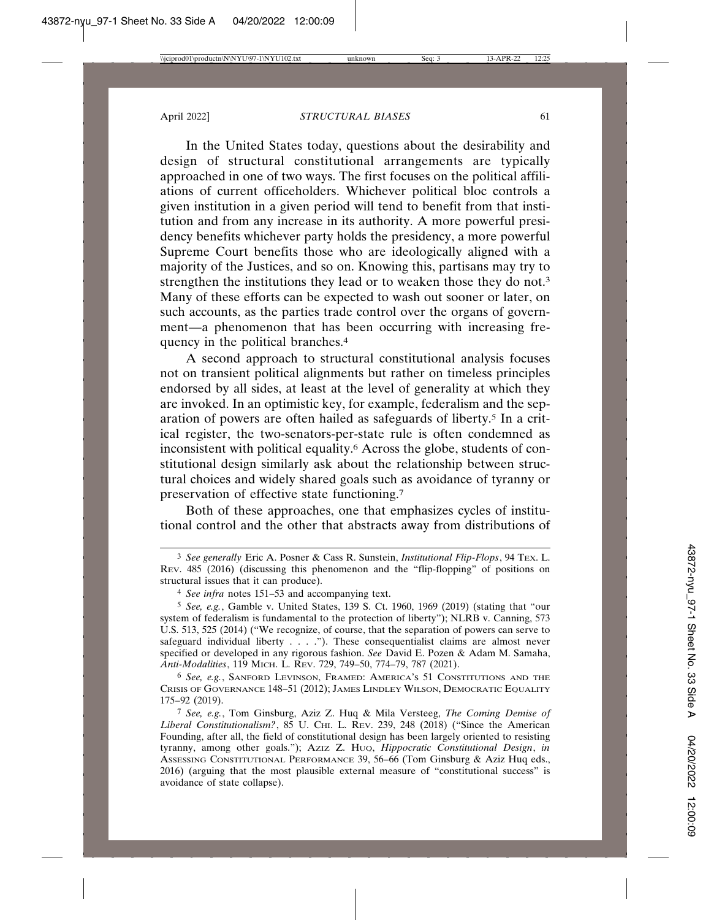In the United States today, questions about the desirability and design of structural constitutional arrangements are typically approached in one of two ways. The first focuses on the political affiliations of current officeholders. Whichever political bloc controls a given institution in a given period will tend to benefit from that institution and from any increase in its authority. A more powerful presidency benefits whichever party holds the presidency, a more powerful Supreme Court benefits those who are ideologically aligned with a majority of the Justices, and so on. Knowing this, partisans may try to strengthen the institutions they lead or to weaken those they do not.3 Many of these efforts can be expected to wash out sooner or later, on such accounts, as the parties trade control over the organs of government—a phenomenon that has been occurring with increasing frequency in the political branches.4

A second approach to structural constitutional analysis focuses not on transient political alignments but rather on timeless principles endorsed by all sides, at least at the level of generality at which they are invoked. In an optimistic key, for example, federalism and the separation of powers are often hailed as safeguards of liberty.5 In a critical register, the two-senators-per-state rule is often condemned as inconsistent with political equality.6 Across the globe, students of constitutional design similarly ask about the relationship between structural choices and widely shared goals such as avoidance of tyranny or preservation of effective state functioning.7

Both of these approaches, one that emphasizes cycles of institutional control and the other that abstracts away from distributions of

6 *See, e.g.*, SANFORD LEVINSON, FRAMED: AMERICA'S 51 CONSTITUTIONS AND THE CRISIS OF GOVERNANCE 148–51 (2012); JAMES LINDLEY WILSON, DEMOCRATIC EQUALITY 175–92 (2019).

7 *See, e.g.*, Tom Ginsburg, Aziz Z. Huq & Mila Versteeg, *The Coming Demise of* Liberal Constitutionalism?, 85 U. CHI. L. REV. 239, 248 (2018) ("Since the American Founding, after all, the field of constitutional design has been largely oriented to resisting tyranny, among other goals."); AZIZ Z. HUQ, *Hippocratic Constitutional Design*, *in* ASSESSING CONSTITUTIONAL PERFORMANCE 39, 56–66 (Tom Ginsburg & Aziz Huq eds., 2016) (arguing that the most plausible external measure of "constitutional success" is avoidance of state collapse).

<sup>3</sup> *See generally* Eric A. Posner & Cass R. Sunstein, *Institutional Flip-Flops*, 94 TEX. L. REV. 485 (2016) (discussing this phenomenon and the "flip-flopping" of positions on structural issues that it can produce).

<sup>4</sup> *See infra* notes 151–53 and accompanying text.

<sup>5</sup> *See, e.g.*, Gamble v. United States, 139 S. Ct. 1960, 1969 (2019) (stating that "our system of federalism is fundamental to the protection of liberty"); NLRB v. Canning, 573 U.S. 513, 525 (2014) ("We recognize, of course, that the separation of powers can serve to safeguard individual liberty . . . . "). These consequentialist claims are almost never specified or developed in any rigorous fashion. *See* David E. Pozen & Adam M. Samaha, *Anti-Modalities*, 119 MICH. L. REV. 729, 749–50, 774–79, 787 (2021).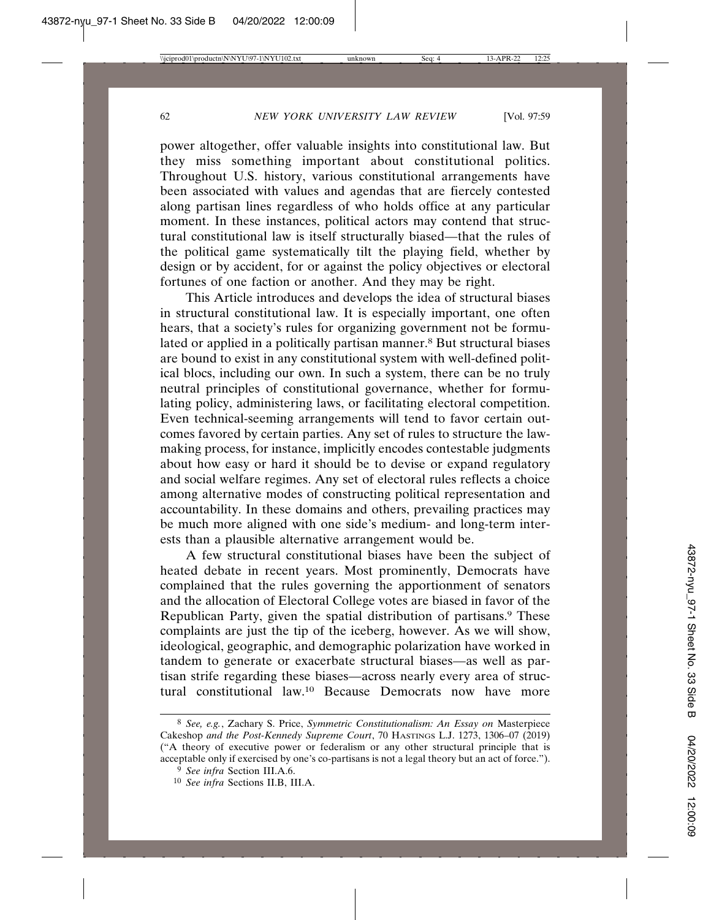power altogether, offer valuable insights into constitutional law. But they miss something important about constitutional politics. Throughout U.S. history, various constitutional arrangements have been associated with values and agendas that are fiercely contested along partisan lines regardless of who holds office at any particular moment. In these instances, political actors may contend that structural constitutional law is itself structurally biased—that the rules of the political game systematically tilt the playing field, whether by design or by accident, for or against the policy objectives or electoral fortunes of one faction or another. And they may be right.

This Article introduces and develops the idea of structural biases in structural constitutional law. It is especially important, one often hears, that a society's rules for organizing government not be formulated or applied in a politically partisan manner.<sup>8</sup> But structural biases are bound to exist in any constitutional system with well-defined political blocs, including our own. In such a system, there can be no truly neutral principles of constitutional governance, whether for formulating policy, administering laws, or facilitating electoral competition. Even technical-seeming arrangements will tend to favor certain outcomes favored by certain parties. Any set of rules to structure the lawmaking process, for instance, implicitly encodes contestable judgments about how easy or hard it should be to devise or expand regulatory and social welfare regimes. Any set of electoral rules reflects a choice among alternative modes of constructing political representation and accountability. In these domains and others, prevailing practices may be much more aligned with one side's medium- and long-term interests than a plausible alternative arrangement would be.

A few structural constitutional biases have been the subject of heated debate in recent years. Most prominently, Democrats have complained that the rules governing the apportionment of senators and the allocation of Electoral College votes are biased in favor of the Republican Party, given the spatial distribution of partisans.<sup>9</sup> These complaints are just the tip of the iceberg, however. As we will show, ideological, geographic, and demographic polarization have worked in tandem to generate or exacerbate structural biases—as well as partisan strife regarding these biases—across nearly every area of structural constitutional law.10 Because Democrats now have more

<sup>8</sup> *See, e.g.*, Zachary S. Price, *Symmetric Constitutionalism: An Essay on* Masterpiece Cakeshop *and the Post-Kennedy Supreme Court*, 70 HASTINGS L.J. 1273, 1306–07 (2019) ("A theory of executive power or federalism or any other structural principle that is acceptable only if exercised by one's co-partisans is not a legal theory but an act of force.").

<sup>9</sup> *See infra* Section III.A.6.

<sup>10</sup> *See infra* Sections II.B, III.A.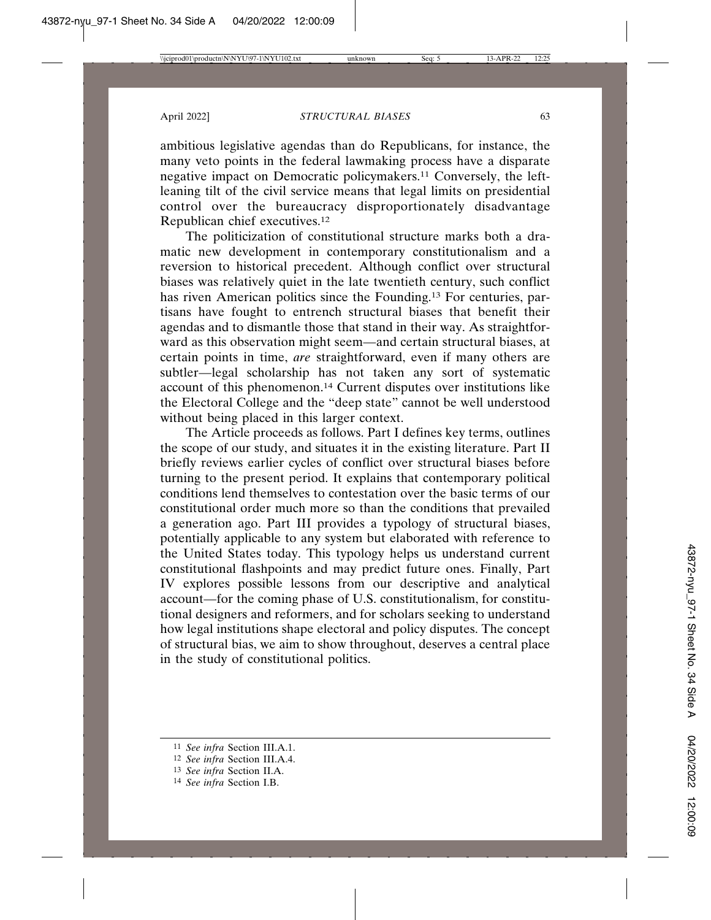ambitious legislative agendas than do Republicans, for instance, the many veto points in the federal lawmaking process have a disparate negative impact on Democratic policymakers.11 Conversely, the leftleaning tilt of the civil service means that legal limits on presidential control over the bureaucracy disproportionately disadvantage Republican chief executives.12

The politicization of constitutional structure marks both a dramatic new development in contemporary constitutionalism and a reversion to historical precedent. Although conflict over structural biases was relatively quiet in the late twentieth century, such conflict has riven American politics since the Founding.13 For centuries, partisans have fought to entrench structural biases that benefit their agendas and to dismantle those that stand in their way. As straightforward as this observation might seem—and certain structural biases, at certain points in time, *are* straightforward, even if many others are subtler—legal scholarship has not taken any sort of systematic account of this phenomenon.14 Current disputes over institutions like the Electoral College and the "deep state" cannot be well understood without being placed in this larger context.

The Article proceeds as follows. Part I defines key terms, outlines the scope of our study, and situates it in the existing literature. Part II briefly reviews earlier cycles of conflict over structural biases before turning to the present period. It explains that contemporary political conditions lend themselves to contestation over the basic terms of our constitutional order much more so than the conditions that prevailed a generation ago. Part III provides a typology of structural biases, potentially applicable to any system but elaborated with reference to the United States today. This typology helps us understand current constitutional flashpoints and may predict future ones. Finally, Part IV explores possible lessons from our descriptive and analytical account—for the coming phase of U.S. constitutionalism, for constitutional designers and reformers, and for scholars seeking to understand how legal institutions shape electoral and policy disputes. The concept of structural bias, we aim to show throughout, deserves a central place in the study of constitutional politics.

<sup>11</sup> *See infra* Section III.A.1.

<sup>12</sup> *See infra* Section III.A.4.

<sup>13</sup> *See infra* Section II.A.

<sup>14</sup> *See infra* Section I.B.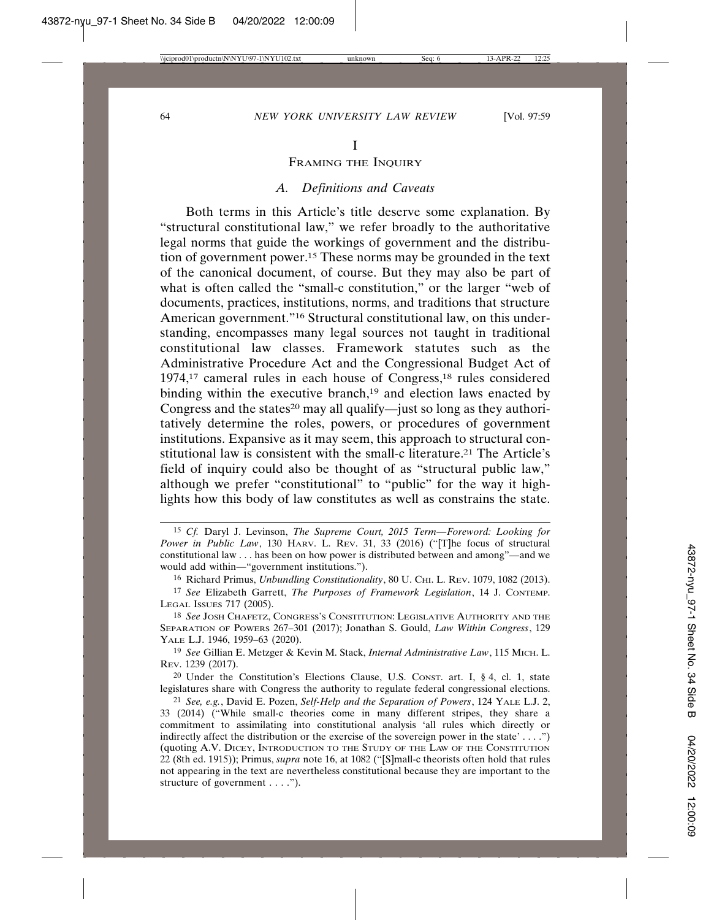FRAMING THE INQUIRY

#### *A. Definitions and Caveats*

Both terms in this Article's title deserve some explanation. By "structural constitutional law," we refer broadly to the authoritative legal norms that guide the workings of government and the distribution of government power.15 These norms may be grounded in the text of the canonical document, of course. But they may also be part of what is often called the "small-c constitution," or the larger "web of documents, practices, institutions, norms, and traditions that structure American government."16 Structural constitutional law, on this understanding, encompasses many legal sources not taught in traditional constitutional law classes. Framework statutes such as the Administrative Procedure Act and the Congressional Budget Act of 1974,17 cameral rules in each house of Congress,18 rules considered binding within the executive branch, $19$  and election laws enacted by Congress and the states<sup>20</sup> may all qualify—just so long as they authoritatively determine the roles, powers, or procedures of government institutions. Expansive as it may seem, this approach to structural constitutional law is consistent with the small-c literature.21 The Article's field of inquiry could also be thought of as "structural public law," although we prefer "constitutional" to "public" for the way it highlights how this body of law constitutes as well as constrains the state.

- 15 *Cf.* Daryl J. Levinson, *The Supreme Court, 2015 Term—Foreword: Looking for Power in Public Law*, 130 HARV. L. REV. 31, 33 (2016) ("[T]he focus of structural constitutional law . . . has been on how power is distributed between and among"—and we would add within—"government institutions.").
	- 16 Richard Primus, *Unbundling Constitutionality*, 80 U. CHI. L. REV. 1079, 1082 (2013).
- 17 *See* Elizabeth Garrett, *The Purposes of Framework Legislation*, 14 J. CONTEMP. LEGAL ISSUES 717 (2005).

18 *See* JOSH CHAFETZ, CONGRESS'S CONSTITUTION: LEGISLATIVE AUTHORITY AND THE SEPARATION OF POWERS 267–301 (2017); Jonathan S. Gould, *Law Within Congress*, 129 YALE L.J. 1946, 1959–63 (2020).

19 *See* Gillian E. Metzger & Kevin M. Stack, *Internal Administrative Law*, 115 MICH. L. REV. 1239 (2017).

20 Under the Constitution's Elections Clause, U.S. CONST. art. I, § 4, cl. 1, state legislatures share with Congress the authority to regulate federal congressional elections.

<sup>21</sup> *See, e.g.*, David E. Pozen, *Self-Help and the Separation of Powers*, 124 YALE L.J. 2, 33 (2014) ("While small-c theories come in many different stripes, they share a commitment to assimilating into constitutional analysis 'all rules which directly or indirectly affect the distribution or the exercise of the sovereign power in the state' . . . .") (quoting A.V. DICEY, INTRODUCTION TO THE STUDY OF THE LAW OF THE CONSTITUTION 22 (8th ed. 1915)); Primus, *supra* note 16, at 1082 ("[S]mall-c theorists often hold that rules not appearing in the text are nevertheless constitutional because they are important to the structure of government . . . .").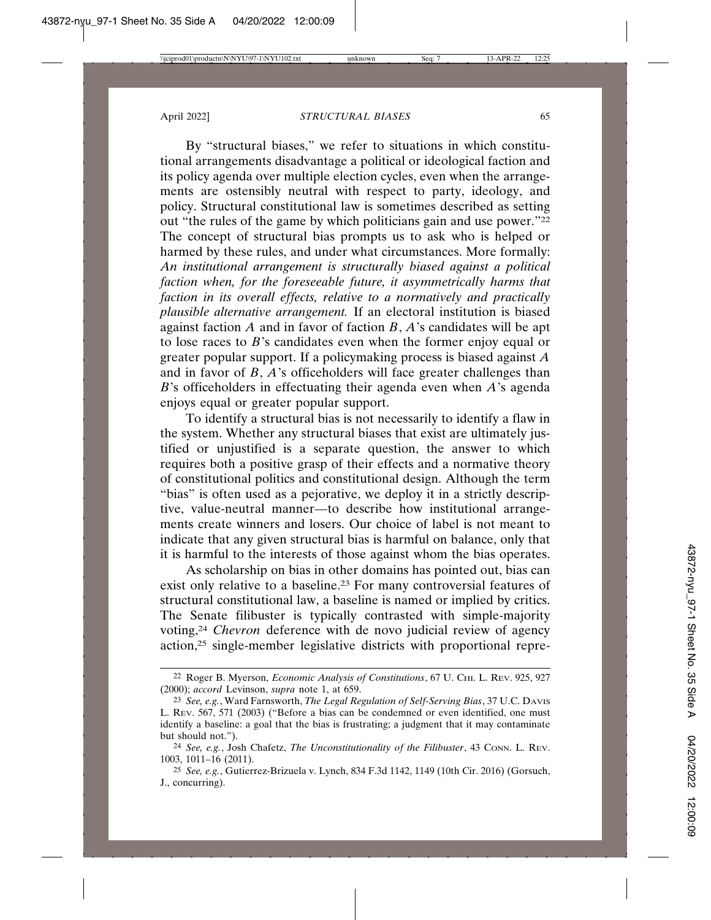By "structural biases," we refer to situations in which constitutional arrangements disadvantage a political or ideological faction and its policy agenda over multiple election cycles, even when the arrangements are ostensibly neutral with respect to party, ideology, and policy. Structural constitutional law is sometimes described as setting out "the rules of the game by which politicians gain and use power."<sup>22</sup> The concept of structural bias prompts us to ask who is helped or harmed by these rules, and under what circumstances. More formally: *An institutional arrangement is structurally biased against a political faction when, for the foreseeable future, it asymmetrically harms that faction in its overall effects, relative to a normatively and practically plausible alternative arrangement.* If an electoral institution is biased against faction  $\vec{A}$  and in favor of faction  $\vec{B}$ ,  $\vec{A}$ 's candidates will be apt to lose races to *B*'s candidates even when the former enjoy equal or greater popular support. If a policymaking process is biased against *A* and in favor of *B*, *A*'s officeholders will face greater challenges than *B*'s officeholders in effectuating their agenda even when *A*'s agenda enjoys equal or greater popular support.

To identify a structural bias is not necessarily to identify a flaw in the system. Whether any structural biases that exist are ultimately justified or unjustified is a separate question, the answer to which requires both a positive grasp of their effects and a normative theory of constitutional politics and constitutional design. Although the term "bias" is often used as a pejorative, we deploy it in a strictly descriptive, value-neutral manner—to describe how institutional arrangements create winners and losers. Our choice of label is not meant to indicate that any given structural bias is harmful on balance, only that it is harmful to the interests of those against whom the bias operates.

As scholarship on bias in other domains has pointed out, bias can exist only relative to a baseline.23 For many controversial features of structural constitutional law, a baseline is named or implied by critics. The Senate filibuster is typically contrasted with simple-majority voting,24 *Chevron* deference with de novo judicial review of agency action,25 single-member legislative districts with proportional repre-

<sup>22</sup> Roger B. Myerson, *Economic Analysis of Constitutions*, 67 U. CHI. L. REV. 925, 927 (2000); *accord* Levinson, *supra* note 1, at 659.

<sup>23</sup> *See, e.g.*, Ward Farnsworth, *The Legal Regulation of Self-Serving Bias*, 37 U.C. DAVIS L. REV. 567, 571 (2003) ("Before a bias can be condemned or even identified, one must identify a baseline: a goal that the bias is frustrating; a judgment that it may contaminate but should not.").

<sup>24</sup> *See, e.g.*, Josh Chafetz, *The Unconstitutionality of the Filibuster*, 43 CONN. L. REV. 1003, 1011–16 (2011).

<sup>25</sup> *See, e.g.*, Gutierrez-Brizuela v. Lynch, 834 F.3d 1142, 1149 (10th Cir. 2016) (Gorsuch, J., concurring).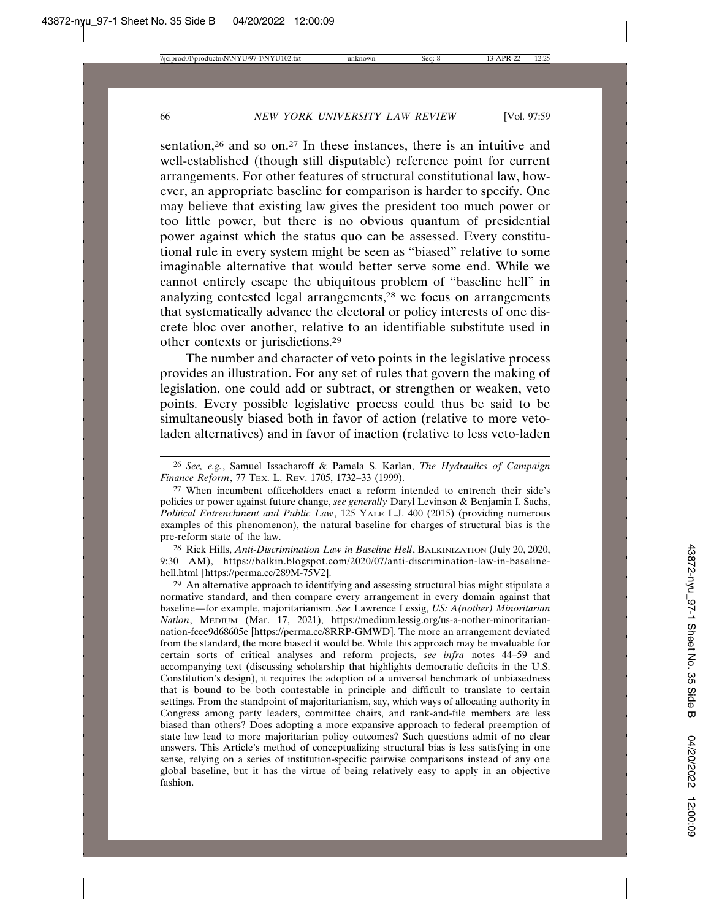sentation,<sup>26</sup> and so on.<sup>27</sup> In these instances, there is an intuitive and well-established (though still disputable) reference point for current arrangements. For other features of structural constitutional law, however, an appropriate baseline for comparison is harder to specify. One may believe that existing law gives the president too much power or too little power, but there is no obvious quantum of presidential power against which the status quo can be assessed. Every constitutional rule in every system might be seen as "biased" relative to some imaginable alternative that would better serve some end. While we cannot entirely escape the ubiquitous problem of "baseline hell" in analyzing contested legal arrangements,28 we focus on arrangements that systematically advance the electoral or policy interests of one discrete bloc over another, relative to an identifiable substitute used in other contexts or jurisdictions.29

The number and character of veto points in the legislative process provides an illustration. For any set of rules that govern the making of legislation, one could add or subtract, or strengthen or weaken, veto points. Every possible legislative process could thus be said to be simultaneously biased both in favor of action (relative to more vetoladen alternatives) and in favor of inaction (relative to less veto-laden

28 Rick Hills, *Anti-Discrimination Law in Baseline Hell*, BALKINIZATION (July 20, 2020, 9:30 AM), https://balkin.blogspot.com/2020/07/anti-discrimination-law-in-baselinehell.html [https://perma.cc/289M-75V2].

<sup>29</sup> An alternative approach to identifying and assessing structural bias might stipulate a normative standard, and then compare every arrangement in every domain against that baseline—for example, majoritarianism. *See* Lawrence Lessig, *US: A(nother) Minoritarian Nation*, MEDIUM (Mar. 17, 2021), https://medium.lessig.org/us-a-nother-minoritariannation-fcee9d68605e [https://perma.cc/8RRP-GMWD]. The more an arrangement deviated from the standard, the more biased it would be. While this approach may be invaluable for certain sorts of critical analyses and reform projects, *see infra* notes 44–59 and accompanying text (discussing scholarship that highlights democratic deficits in the U.S. Constitution's design), it requires the adoption of a universal benchmark of unbiasedness that is bound to be both contestable in principle and difficult to translate to certain settings. From the standpoint of majoritarianism, say, which ways of allocating authority in Congress among party leaders, committee chairs, and rank-and-file members are less biased than others? Does adopting a more expansive approach to federal preemption of state law lead to more majoritarian policy outcomes? Such questions admit of no clear answers. This Article's method of conceptualizing structural bias is less satisfying in one sense, relying on a series of institution-specific pairwise comparisons instead of any one global baseline, but it has the virtue of being relatively easy to apply in an objective fashion.

<sup>26</sup> *See, e.g.*, Samuel Issacharoff & Pamela S. Karlan, *The Hydraulics of Campaign Finance Reform*, 77 TEX. L. REV. 1705, 1732–33 (1999).

<sup>27</sup> When incumbent officeholders enact a reform intended to entrench their side's policies or power against future change, *see generally* Daryl Levinson & Benjamin I. Sachs, *Political Entrenchment and Public Law*, 125 YALE L.J. 400 (2015) (providing numerous examples of this phenomenon), the natural baseline for charges of structural bias is the pre-reform state of the law.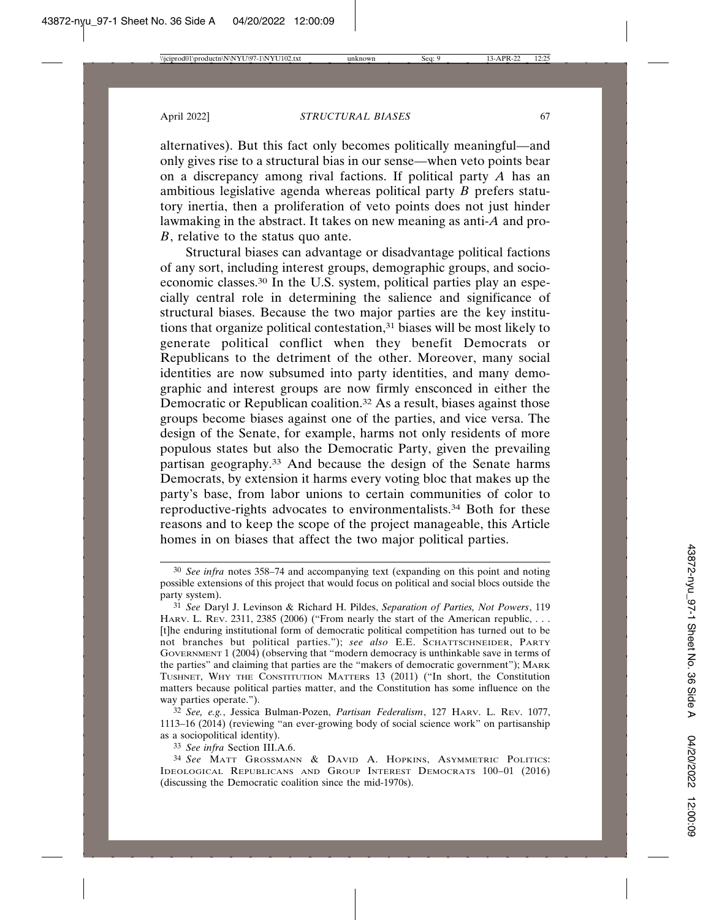alternatives). But this fact only becomes politically meaningful—and only gives rise to a structural bias in our sense—when veto points bear on a discrepancy among rival factions. If political party *A* has an ambitious legislative agenda whereas political party *B* prefers statutory inertia, then a proliferation of veto points does not just hinder lawmaking in the abstract. It takes on new meaning as anti-*A* and pro-*B*, relative to the status quo ante.

Structural biases can advantage or disadvantage political factions of any sort, including interest groups, demographic groups, and socioeconomic classes.30 In the U.S. system, political parties play an especially central role in determining the salience and significance of structural biases. Because the two major parties are the key institutions that organize political contestation,31 biases will be most likely to generate political conflict when they benefit Democrats or Republicans to the detriment of the other. Moreover, many social identities are now subsumed into party identities, and many demographic and interest groups are now firmly ensconced in either the Democratic or Republican coalition.<sup>32</sup> As a result, biases against those groups become biases against one of the parties, and vice versa. The design of the Senate, for example, harms not only residents of more populous states but also the Democratic Party, given the prevailing partisan geography.33 And because the design of the Senate harms Democrats, by extension it harms every voting bloc that makes up the party's base, from labor unions to certain communities of color to reproductive-rights advocates to environmentalists.34 Both for these reasons and to keep the scope of the project manageable, this Article homes in on biases that affect the two major political parties.

33 *See infra* Section III.A.6.

<sup>30</sup> *See infra* notes 358–74 and accompanying text (expanding on this point and noting possible extensions of this project that would focus on political and social blocs outside the party system).

<sup>31</sup> *See* Daryl J. Levinson & Richard H. Pildes, *Separation of Parties, Not Powers*, 119 HARV. L. REV. 2311, 2385 (2006) ("From nearly the start of the American republic, ... [t]he enduring institutional form of democratic political competition has turned out to be not branches but political parties."); *see also* E.E. SCHATTSCHNEIDER, PARTY GOVERNMENT 1 (2004) (observing that "modern democracy is unthinkable save in terms of the parties" and claiming that parties are the "makers of democratic government"); MARK TUSHNET, WHY THE CONSTITUTION MATTERS 13 (2011) ("In short, the Constitution matters because political parties matter, and the Constitution has some influence on the way parties operate.").

<sup>32</sup> *See, e.g.*, Jessica Bulman-Pozen, *Partisan Federalism*, 127 HARV. L. REV. 1077, 1113–16 (2014) (reviewing "an ever-growing body of social science work" on partisanship as a sociopolitical identity).

<sup>34</sup> *See* MATT GROSSMANN & DAVID A. HOPKINS, ASYMMETRIC POLITICS: IDEOLOGICAL REPUBLICANS AND GROUP INTEREST DEMOCRATS 100–01 (2016) (discussing the Democratic coalition since the mid-1970s).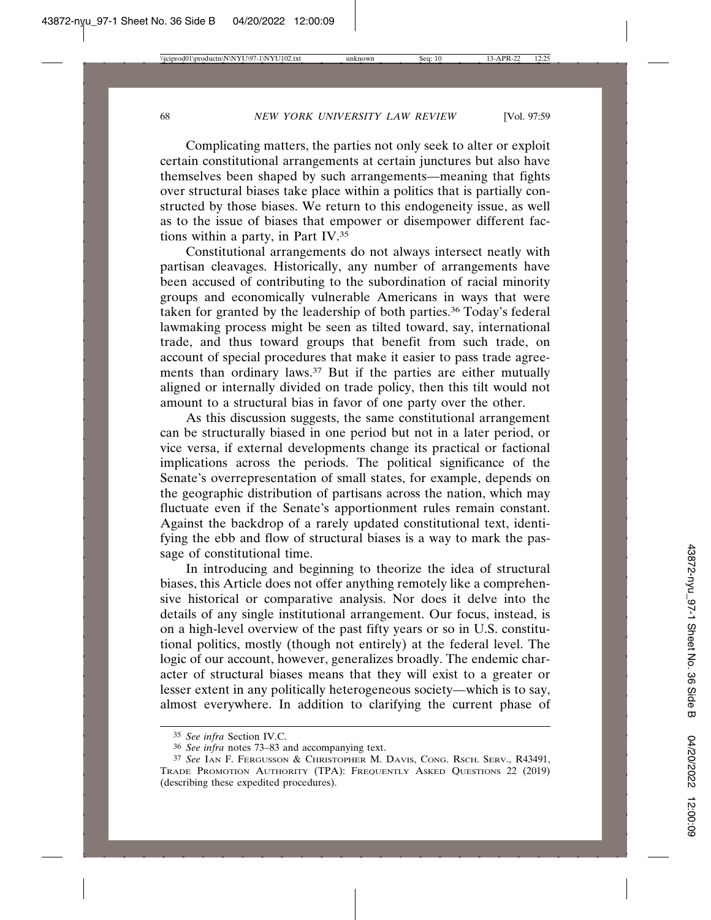Complicating matters, the parties not only seek to alter or exploit certain constitutional arrangements at certain junctures but also have themselves been shaped by such arrangements—meaning that fights over structural biases take place within a politics that is partially constructed by those biases. We return to this endogeneity issue, as well as to the issue of biases that empower or disempower different factions within a party, in Part IV.35

Constitutional arrangements do not always intersect neatly with partisan cleavages. Historically, any number of arrangements have been accused of contributing to the subordination of racial minority groups and economically vulnerable Americans in ways that were taken for granted by the leadership of both parties.36 Today's federal lawmaking process might be seen as tilted toward, say, international trade, and thus toward groups that benefit from such trade, on account of special procedures that make it easier to pass trade agreements than ordinary laws.<sup>37</sup> But if the parties are either mutually aligned or internally divided on trade policy, then this tilt would not amount to a structural bias in favor of one party over the other.

As this discussion suggests, the same constitutional arrangement can be structurally biased in one period but not in a later period, or vice versa, if external developments change its practical or factional implications across the periods. The political significance of the Senate's overrepresentation of small states, for example, depends on the geographic distribution of partisans across the nation, which may fluctuate even if the Senate's apportionment rules remain constant. Against the backdrop of a rarely updated constitutional text, identifying the ebb and flow of structural biases is a way to mark the passage of constitutional time.

In introducing and beginning to theorize the idea of structural biases, this Article does not offer anything remotely like a comprehensive historical or comparative analysis. Nor does it delve into the details of any single institutional arrangement. Our focus, instead, is on a high-level overview of the past fifty years or so in U.S. constitutional politics, mostly (though not entirely) at the federal level. The logic of our account, however, generalizes broadly. The endemic character of structural biases means that they will exist to a greater or lesser extent in any politically heterogeneous society—which is to say, almost everywhere. In addition to clarifying the current phase of

<sup>35</sup> *See infra* Section IV.C.

<sup>36</sup> *See infra* notes 73–83 and accompanying text.

<sup>37</sup> *See* IAN F. FERGUSSON & CHRISTOPHER M. DAVIS, CONG. RSCH. SERV., R43491, TRADE PROMOTION AUTHORITY (TPA): FREQUENTLY ASKED QUESTIONS 22 (2019) (describing these expedited procedures).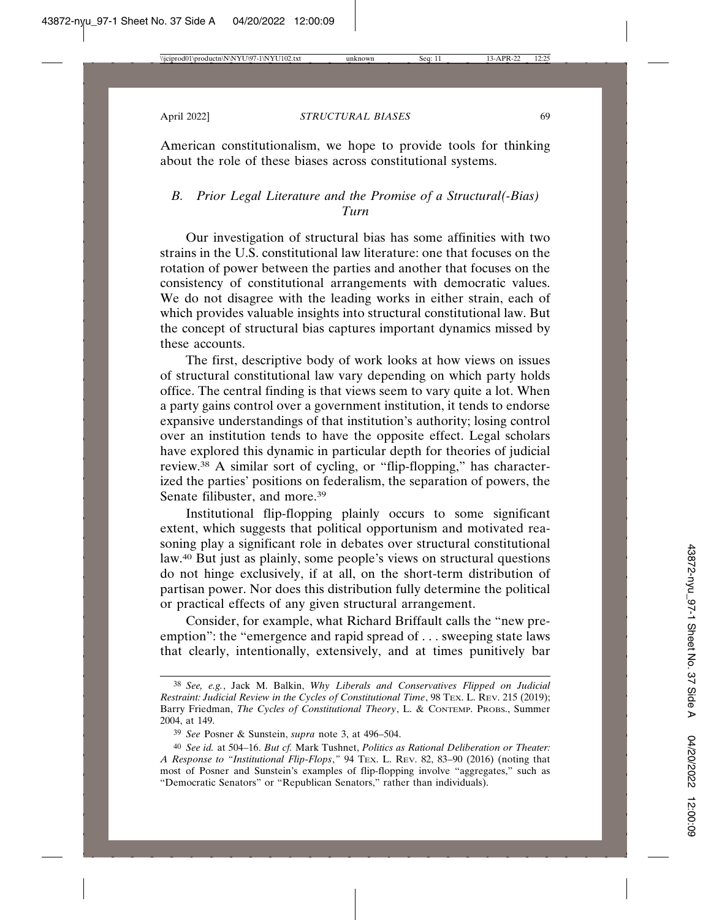American constitutionalism, we hope to provide tools for thinking about the role of these biases across constitutional systems.

## *B. Prior Legal Literature and the Promise of a Structural(-Bias) Turn*

Our investigation of structural bias has some affinities with two strains in the U.S. constitutional law literature: one that focuses on the rotation of power between the parties and another that focuses on the consistency of constitutional arrangements with democratic values. We do not disagree with the leading works in either strain, each of which provides valuable insights into structural constitutional law. But the concept of structural bias captures important dynamics missed by these accounts.

The first, descriptive body of work looks at how views on issues of structural constitutional law vary depending on which party holds office. The central finding is that views seem to vary quite a lot. When a party gains control over a government institution, it tends to endorse expansive understandings of that institution's authority; losing control over an institution tends to have the opposite effect. Legal scholars have explored this dynamic in particular depth for theories of judicial review.38 A similar sort of cycling, or "flip-flopping," has characterized the parties' positions on federalism, the separation of powers, the Senate filibuster, and more.<sup>39</sup>

Institutional flip-flopping plainly occurs to some significant extent, which suggests that political opportunism and motivated reasoning play a significant role in debates over structural constitutional law.40 But just as plainly, some people's views on structural questions do not hinge exclusively, if at all, on the short-term distribution of partisan power. Nor does this distribution fully determine the political or practical effects of any given structural arrangement.

Consider, for example, what Richard Briffault calls the "new preemption": the "emergence and rapid spread of . . . sweeping state laws that clearly, intentionally, extensively, and at times punitively bar

<sup>38</sup> *See, e.g.*, Jack M. Balkin, *Why Liberals and Conservatives Flipped on Judicial Restraint: Judicial Review in the Cycles of Constitutional Time*, 98 TEX. L. REV. 215 (2019); Barry Friedman, *The Cycles of Constitutional Theory*, L. & CONTEMP. PROBS., Summer 2004, at 149.

<sup>39</sup> *See* Posner & Sunstein, *supra* note 3, at 496–504.

<sup>40</sup> *See id.* at 504–16. *But cf.* Mark Tushnet, *Politics as Rational Deliberation or Theater: A Response to "Institutional Flip-Flops*,*"* 94 TEX. L. REV. 82, 83–90 (2016) (noting that most of Posner and Sunstein's examples of flip-flopping involve "aggregates," such as "Democratic Senators" or "Republican Senators," rather than individuals).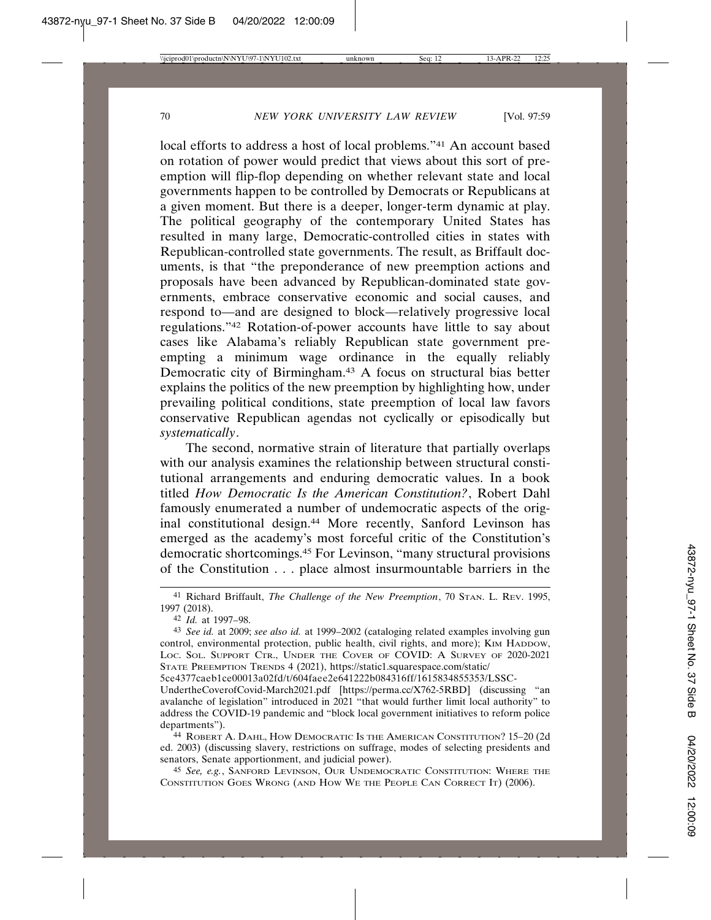local efforts to address a host of local problems."41 An account based on rotation of power would predict that views about this sort of preemption will flip-flop depending on whether relevant state and local governments happen to be controlled by Democrats or Republicans at a given moment. But there is a deeper, longer-term dynamic at play. The political geography of the contemporary United States has resulted in many large, Democratic-controlled cities in states with Republican-controlled state governments. The result, as Briffault documents, is that "the preponderance of new preemption actions and proposals have been advanced by Republican-dominated state governments, embrace conservative economic and social causes, and respond to—and are designed to block—relatively progressive local regulations."42 Rotation-of-power accounts have little to say about cases like Alabama's reliably Republican state government preempting a minimum wage ordinance in the equally reliably Democratic city of Birmingham.43 A focus on structural bias better explains the politics of the new preemption by highlighting how, under prevailing political conditions, state preemption of local law favors conservative Republican agendas not cyclically or episodically but *systematically*.

The second, normative strain of literature that partially overlaps with our analysis examines the relationship between structural constitutional arrangements and enduring democratic values. In a book titled *How Democratic Is the American Constitution?*, Robert Dahl famously enumerated a number of undemocratic aspects of the original constitutional design.44 More recently, Sanford Levinson has emerged as the academy's most forceful critic of the Constitution's democratic shortcomings.45 For Levinson, "many structural provisions of the Constitution . . . place almost insurmountable barriers in the

5ce4377caeb1ce00013a02fd/t/604faee2e641222b084316ff/1615834855353/LSSC-

UndertheCoverofCovid-March2021.pdf [https://perma.cc/X762-5RBD] (discussing "an avalanche of legislation" introduced in 2021 "that would further limit local authority" to address the COVID-19 pandemic and "block local government initiatives to reform police departments").

<sup>44</sup> ROBERT A. DAHL, HOW DEMOCRATIC IS THE AMERICAN CONSTITUTION? 15–20 (2d ed. 2003) (discussing slavery, restrictions on suffrage, modes of selecting presidents and senators, Senate apportionment, and judicial power).

45 *See, e.g.*, SANFORD LEVINSON, OUR UNDEMOCRATIC CONSTITUTION: WHERE THE CONSTITUTION GOES WRONG (AND HOW WE THE PEOPLE CAN CORRECT IT) (2006).

<sup>41</sup> Richard Briffault, *The Challenge of the New Preemption*, 70 STAN. L. REV. 1995, 1997 (2018).

<sup>42</sup> *Id.* at 1997–98.

<sup>43</sup> *See id.* at 2009; *see also id.* at 1999–2002 (cataloging related examples involving gun control, environmental protection, public health, civil rights, and more); KIM HADDOW, LOC. SOL. SUPPORT CTR., UNDER THE COVER OF COVID: A SURVEY OF 2020-2021 STATE PREEMPTION TRENDS 4 (2021), https://static1.squarespace.com/static/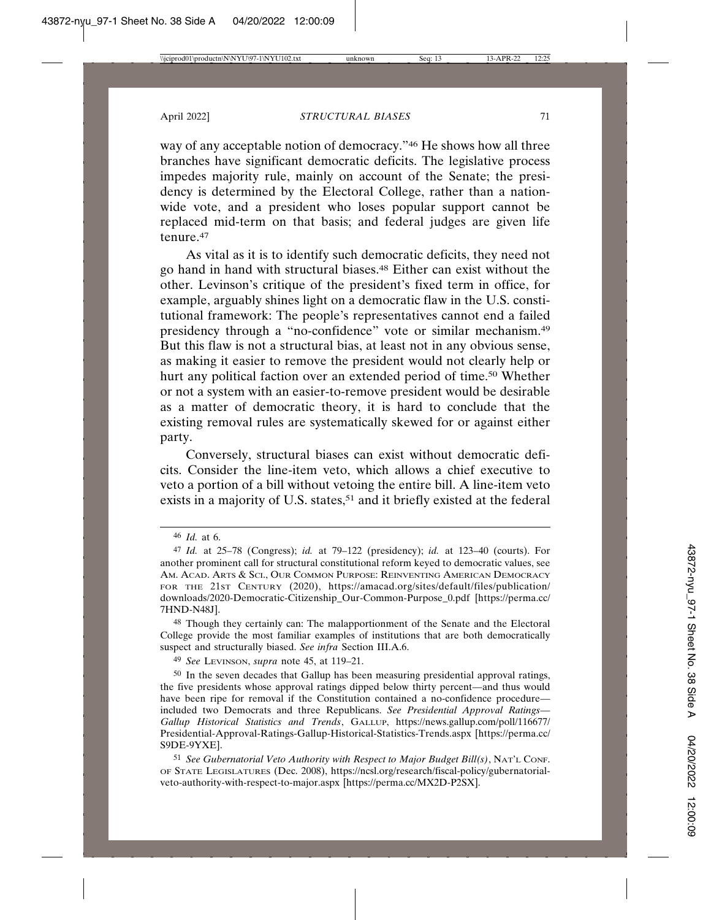way of any acceptable notion of democracy."46 He shows how all three branches have significant democratic deficits. The legislative process impedes majority rule, mainly on account of the Senate; the presidency is determined by the Electoral College, rather than a nationwide vote, and a president who loses popular support cannot be replaced mid-term on that basis; and federal judges are given life tenure.47

As vital as it is to identify such democratic deficits, they need not go hand in hand with structural biases.48 Either can exist without the other. Levinson's critique of the president's fixed term in office, for example, arguably shines light on a democratic flaw in the U.S. constitutional framework: The people's representatives cannot end a failed presidency through a "no-confidence" vote or similar mechanism.49 But this flaw is not a structural bias, at least not in any obvious sense, as making it easier to remove the president would not clearly help or hurt any political faction over an extended period of time.<sup>50</sup> Whether or not a system with an easier-to-remove president would be desirable as a matter of democratic theory, it is hard to conclude that the existing removal rules are systematically skewed for or against either party.

Conversely, structural biases can exist without democratic deficits. Consider the line-item veto, which allows a chief executive to veto a portion of a bill without vetoing the entire bill. A line-item veto exists in a majority of U.S. states,<sup>51</sup> and it briefly existed at the federal

49 *See* LEVINSON, *supra* note 45, at 119–21.

<sup>46</sup> *Id.* at 6.

<sup>47</sup> *Id.* at 25–78 (Congress); *id.* at 79–122 (presidency); *id.* at 123–40 (courts). For another prominent call for structural constitutional reform keyed to democratic values, see AM. ACAD. ARTS & SCI., OUR COMMON PURPOSE: REINVENTING AMERICAN DEMOCRACY FOR THE 21ST CENTURY (2020), https://amacad.org/sites/default/files/publication/ downloads/2020-Democratic-Citizenship\_Our-Common-Purpose\_0.pdf [https://perma.cc/ 7HND-N48J].

<sup>48</sup> Though they certainly can: The malapportionment of the Senate and the Electoral College provide the most familiar examples of institutions that are both democratically suspect and structurally biased. *See infra* Section III.A.6.

<sup>50</sup> In the seven decades that Gallup has been measuring presidential approval ratings, the five presidents whose approval ratings dipped below thirty percent—and thus would have been ripe for removal if the Constitution contained a no-confidence procedure included two Democrats and three Republicans. *See Presidential Approval Ratings— Gallup Historical Statistics and Trends*, GALLUP, https://news.gallup.com/poll/116677/ Presidential-Approval-Ratings-Gallup-Historical-Statistics-Trends.aspx [https://perma.cc/ S9DE-9YXE].

<sup>51</sup> *See Gubernatorial Veto Authority with Respect to Major Budget Bill(s)*, NAT'L CONF. OF STATE LEGISLATURES (Dec. 2008), https://ncsl.org/research/fiscal-policy/gubernatorialveto-authority-with-respect-to-major.aspx [https://perma.cc/MX2D-P2SX].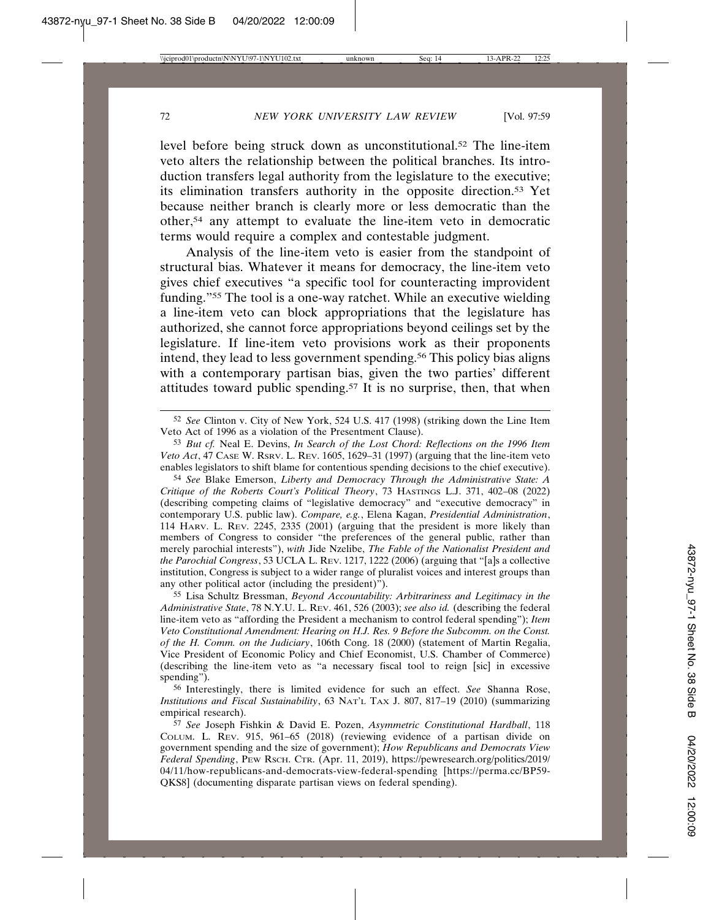level before being struck down as unconstitutional.52 The line-item veto alters the relationship between the political branches. Its introduction transfers legal authority from the legislature to the executive; its elimination transfers authority in the opposite direction.53 Yet because neither branch is clearly more or less democratic than the other,54 any attempt to evaluate the line-item veto in democratic terms would require a complex and contestable judgment.

Analysis of the line-item veto is easier from the standpoint of structural bias. Whatever it means for democracy, the line-item veto gives chief executives "a specific tool for counteracting improvident funding."55 The tool is a one-way ratchet. While an executive wielding a line-item veto can block appropriations that the legislature has authorized, she cannot force appropriations beyond ceilings set by the legislature. If line-item veto provisions work as their proponents intend, they lead to less government spending.<sup>56</sup> This policy bias aligns with a contemporary partisan bias, given the two parties' different attitudes toward public spending.57 It is no surprise, then, that when

54 *See* Blake Emerson, *Liberty and Democracy Through the Administrative State: A Critique of the Roberts Court's Political Theory*, 73 HASTINGS L.J. 371, 402–08 (2022) (describing competing claims of "legislative democracy" and "executive democracy" in contemporary U.S. public law). *Compare, e.g.*, Elena Kagan, *Presidential Administration*, 114 HARV. L. REV. 2245, 2335 (2001) (arguing that the president is more likely than members of Congress to consider "the preferences of the general public, rather than merely parochial interests"), *with* Jide Nzelibe, *The Fable of the Nationalist President and the Parochial Congress*, 53 UCLA L. REV. 1217, 1222 (2006) (arguing that "[a]s a collective institution, Congress is subject to a wider range of pluralist voices and interest groups than any other political actor (including the president)").

55 Lisa Schultz Bressman, *Beyond Accountability: Arbitrariness and Legitimacy in the Administrative State*, 78 N.Y.U. L. REV. 461, 526 (2003); *see also id.* (describing the federal line-item veto as "affording the President a mechanism to control federal spending"); *Item Veto Constitutional Amendment: Hearing on H.J. Res. 9 Before the Subcomm. on the Const. of the H. Comm. on the Judiciary*, 106th Cong. 18 (2000) (statement of Martin Regalia, Vice President of Economic Policy and Chief Economist, U.S. Chamber of Commerce) (describing the line-item veto as "a necessary fiscal tool to reign [sic] in excessive spending").

56 Interestingly, there is limited evidence for such an effect. *See* Shanna Rose, *Institutions and Fiscal Sustainability*, 63 NAT'L TAX J. 807, 817–19 (2010) (summarizing empirical research).

57 *See* Joseph Fishkin & David E. Pozen, *Asymmetric Constitutional Hardball*, 118 COLUM. L. REV. 915, 961–65 (2018) (reviewing evidence of a partisan divide on government spending and the size of government); *How Republicans and Democrats View Federal Spending*, PEW RSCH. CTR. (Apr. 11, 2019), https://pewresearch.org/politics/2019/ 04/11/how-republicans-and-democrats-view-federal-spending [https://perma.cc/BP59- QKS8] (documenting disparate partisan views on federal spending).

<sup>52</sup> *See* Clinton v. City of New York, 524 U.S. 417 (1998) (striking down the Line Item Veto Act of 1996 as a violation of the Presentment Clause).

<sup>53</sup> *But cf.* Neal E. Devins, *In Search of the Lost Chord: Reflections on the 1996 Item Veto Act*, 47 CASE W. RSRV. L. REV. 1605, 1629–31 (1997) (arguing that the line-item veto enables legislators to shift blame for contentious spending decisions to the chief executive).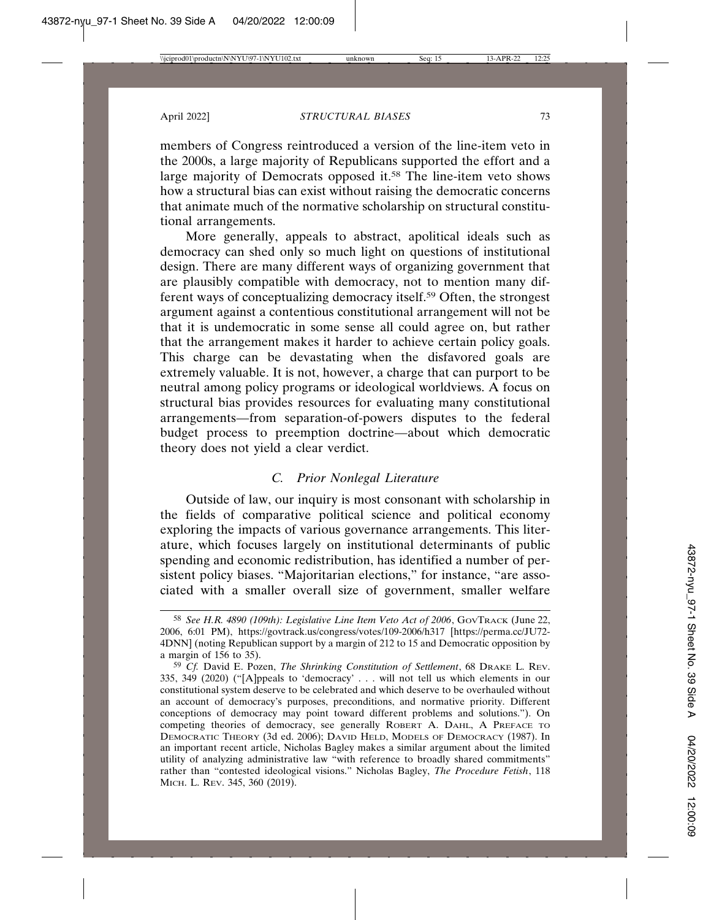members of Congress reintroduced a version of the line-item veto in the 2000s, a large majority of Republicans supported the effort and a large majority of Democrats opposed it.58 The line-item veto shows how a structural bias can exist without raising the democratic concerns that animate much of the normative scholarship on structural constitutional arrangements.

More generally, appeals to abstract, apolitical ideals such as democracy can shed only so much light on questions of institutional design. There are many different ways of organizing government that are plausibly compatible with democracy, not to mention many different ways of conceptualizing democracy itself.59 Often, the strongest argument against a contentious constitutional arrangement will not be that it is undemocratic in some sense all could agree on, but rather that the arrangement makes it harder to achieve certain policy goals. This charge can be devastating when the disfavored goals are extremely valuable. It is not, however, a charge that can purport to be neutral among policy programs or ideological worldviews. A focus on structural bias provides resources for evaluating many constitutional arrangements—from separation-of-powers disputes to the federal budget process to preemption doctrine—about which democratic theory does not yield a clear verdict.

## *C. Prior Nonlegal Literature*

Outside of law, our inquiry is most consonant with scholarship in the fields of comparative political science and political economy exploring the impacts of various governance arrangements. This literature, which focuses largely on institutional determinants of public spending and economic redistribution, has identified a number of persistent policy biases. "Majoritarian elections," for instance, "are associated with a smaller overall size of government, smaller welfare

<sup>58</sup> *See H.R. 4890 (109th): Legislative Line Item Veto Act of 2006*, GOVTRACK (June 22, 2006, 6:01 PM), https://govtrack.us/congress/votes/109-2006/h317 [https://perma.cc/JU72- 4DNN] (noting Republican support by a margin of 212 to 15 and Democratic opposition by a margin of 156 to 35).

<sup>59</sup> *Cf.* David E. Pozen, *The Shrinking Constitution of Settlement*, 68 DRAKE L. REV. 335, 349 (2020) ("[A]ppeals to 'democracy' . . . will not tell us which elements in our constitutional system deserve to be celebrated and which deserve to be overhauled without an account of democracy's purposes, preconditions, and normative priority. Different conceptions of democracy may point toward different problems and solutions."). On competing theories of democracy, see generally ROBERT A. DAHL, A PREFACE TO DEMOCRATIC THEORY (3d ed. 2006); DAVID HELD, MODELS OF DEMOCRACY (1987). In an important recent article, Nicholas Bagley makes a similar argument about the limited utility of analyzing administrative law "with reference to broadly shared commitments" rather than "contested ideological visions." Nicholas Bagley, *The Procedure Fetish*, 118 MICH. L. REV. 345, 360 (2019).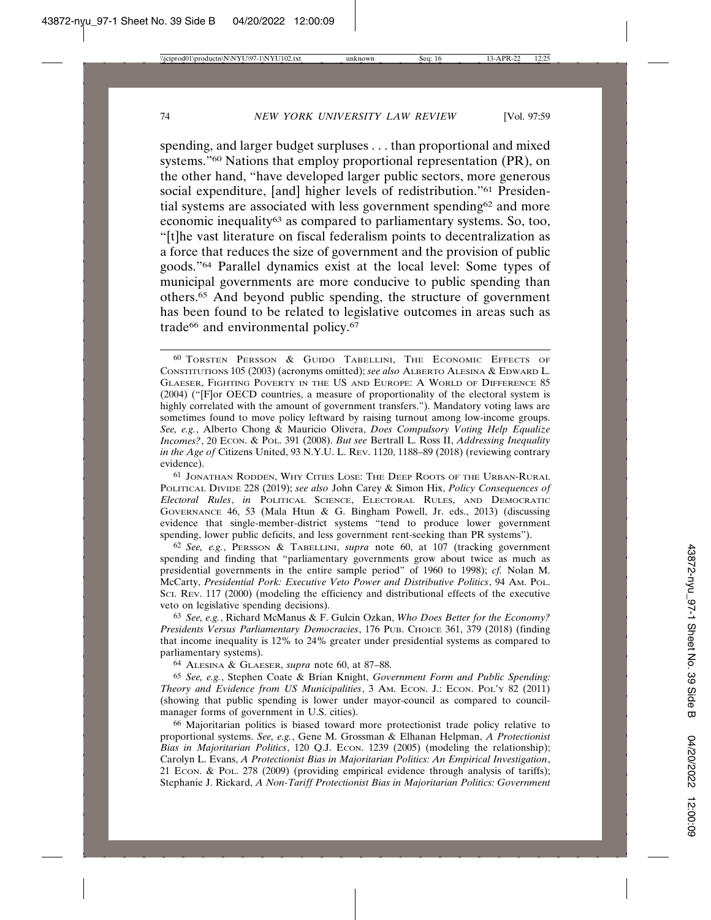spending, and larger budget surpluses . . . than proportional and mixed systems."60 Nations that employ proportional representation (PR), on the other hand, "have developed larger public sectors, more generous social expenditure, [and] higher levels of redistribution."61 Presidential systems are associated with less government spending62 and more economic inequality<sup>63</sup> as compared to parliamentary systems. So, too, "[t]he vast literature on fiscal federalism points to decentralization as a force that reduces the size of government and the provision of public goods."64 Parallel dynamics exist at the local level: Some types of municipal governments are more conducive to public spending than others.65 And beyond public spending, the structure of government has been found to be related to legislative outcomes in areas such as trade<sup>66</sup> and environmental policy.<sup>67</sup>

61 JONATHAN RODDEN, WHY CITIES LOSE: THE DEEP ROOTS OF THE URBAN-RURAL POLITICAL DIVIDE 228 (2019); *see also* John Carey & Simon Hix, *Policy Consequences of Electoral Rules*, *in* POLITICAL SCIENCE, ELECTORAL RULES, AND DEMOCRATIC GOVERNANCE 46, 53 (Mala Htun & G. Bingham Powell, Jr. eds., 2013) (discussing evidence that single-member-district systems "tend to produce lower government spending, lower public deficits, and less government rent-seeking than PR systems").

62 *See, e.g.*, PERSSON & TABELLINI, *supra* note 60, at 107 (tracking government spending and finding that "parliamentary governments grow about twice as much as presidential governments in the entire sample period" of 1960 to 1998); *cf.* Nolan M. McCarty, *Presidential Pork: Executive Veto Power and Distributive Politics*, 94 AM. POL. SCI. REV. 117 (2000) (modeling the efficiency and distributional effects of the executive veto on legislative spending decisions).

63 *See, e.g.*, Richard McManus & F. Gulcin Ozkan, *Who Does Better for the Economy? Presidents Versus Parliamentary Democracies*, 176 PUB. CHOICE 361, 379 (2018) (finding that income inequality is 12% to 24% greater under presidential systems as compared to parliamentary systems).

64 ALESINA & GLAESER, *supra* note 60, at 87–88.

65 *See, e.g.*, Stephen Coate & Brian Knight, *Government Form and Public Spending: Theory and Evidence from US Municipalities*, 3 AM. ECON. J.: ECON. POL'Y 82 (2011) (showing that public spending is lower under mayor-council as compared to councilmanager forms of government in U.S. cities).

66 Majoritarian politics is biased toward more protectionist trade policy relative to proportional systems. *See, e.g.*, Gene M. Grossman & Elhanan Helpman, *A Protectionist Bias in Majoritarian Politics*, 120 Q.J. Econ. 1239 (2005) (modeling the relationship); Carolyn L. Evans, *A Protectionist Bias in Majoritarian Politics: An Empirical Investigation*, 21 ECON. & POL. 278 (2009) (providing empirical evidence through analysis of tariffs); Stephanie J. Rickard, *A Non-Tariff Protectionist Bias in Majoritarian Politics: Government*

<sup>60</sup> TORSTEN PERSSON & GUIDO TABELLINI, THE ECONOMIC EFFECTS OF CONSTITUTIONS 105 (2003) (acronyms omitted); *see also* ALBERTO ALESINA & EDWARD L. GLAESER, FIGHTING POVERTY IN THE US AND EUROPE: A WORLD OF DIFFERENCE 85 (2004) ("[F]or OECD countries, a measure of proportionality of the electoral system is highly correlated with the amount of government transfers."). Mandatory voting laws are sometimes found to move policy leftward by raising turnout among low-income groups. *See, e.g.*, Alberto Chong & Mauricio Olivera, *Does Compulsory Voting Help Equalize Incomes?*, 20 ECON. & POL. 391 (2008). *But see Bertrall L. Ross II, Addressing Inequality in the Age of* Citizens United, 93 N.Y.U. L. REV. 1120, 1188–89 (2018) (reviewing contrary evidence).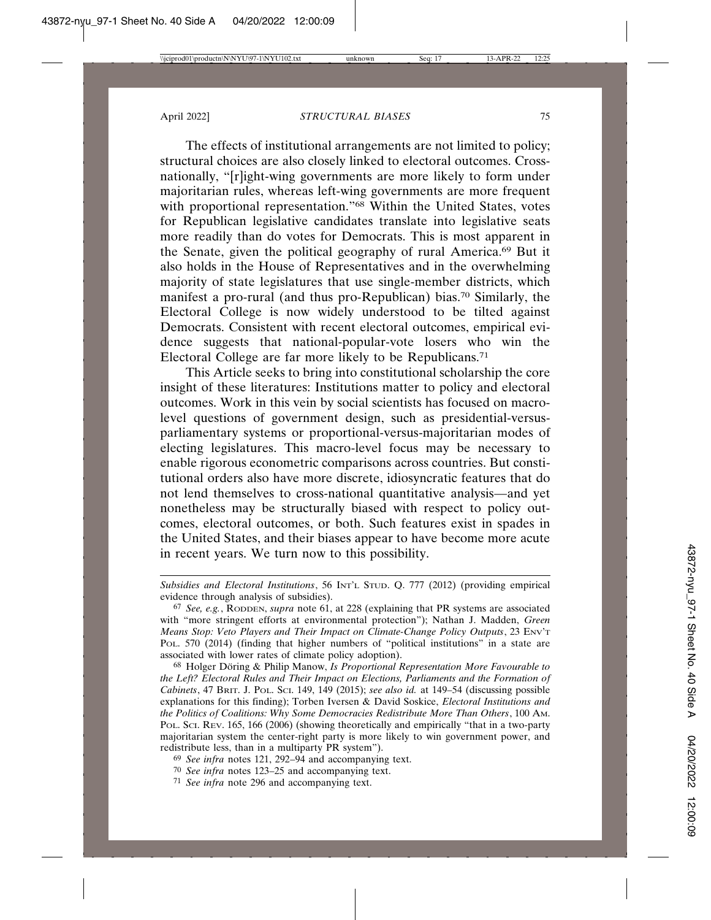The effects of institutional arrangements are not limited to policy; structural choices are also closely linked to electoral outcomes. Crossnationally, "[r]ight-wing governments are more likely to form under majoritarian rules, whereas left-wing governments are more frequent with proportional representation."68 Within the United States, votes for Republican legislative candidates translate into legislative seats more readily than do votes for Democrats. This is most apparent in the Senate, given the political geography of rural America.69 But it also holds in the House of Representatives and in the overwhelming majority of state legislatures that use single-member districts, which manifest a pro-rural (and thus pro-Republican) bias.70 Similarly, the Electoral College is now widely understood to be tilted against Democrats. Consistent with recent electoral outcomes, empirical evidence suggests that national-popular-vote losers who win the Electoral College are far more likely to be Republicans.71

This Article seeks to bring into constitutional scholarship the core insight of these literatures: Institutions matter to policy and electoral outcomes. Work in this vein by social scientists has focused on macrolevel questions of government design, such as presidential-versusparliamentary systems or proportional-versus-majoritarian modes of electing legislatures. This macro-level focus may be necessary to enable rigorous econometric comparisons across countries. But constitutional orders also have more discrete, idiosyncratic features that do not lend themselves to cross-national quantitative analysis—and yet nonetheless may be structurally biased with respect to policy outcomes, electoral outcomes, or both. Such features exist in spades in the United States, and their biases appear to have become more acute in recent years. We turn now to this possibility.

*Subsidies and Electoral Institutions*, 56 INT'L STUD. Q. 777 (2012) (providing empirical evidence through analysis of subsidies).

<sup>67</sup> *See, e.g.*, RODDEN, *supra* note 61, at 228 (explaining that PR systems are associated with "more stringent efforts at environmental protection"); Nathan J. Madden, *Green Means Stop: Veto Players and Their Impact on Climate-Change Policy Outputs*, 23 ENV'T POL. 570 (2014) (finding that higher numbers of "political institutions" in a state are associated with lower rates of climate policy adoption).

<sup>&</sup>lt;sup>68</sup> Holger Döring & Philip Manow, *Is Proportional Representation More Favourable to the Left? Electoral Rules and Their Impact on Elections, Parliaments and the Formation of Cabinets*, 47 BRIT. J. POL. SCI. 149, 149 (2015); *see also id.* at 149–54 (discussing possible explanations for this finding); Torben Iversen & David Soskice, *Electoral Institutions and the Politics of Coalitions: Why Some Democracies Redistribute More Than Others*, 100 AM. POL. SCI. REV. 165, 166 (2006) (showing theoretically and empirically "that in a two-party majoritarian system the center-right party is more likely to win government power, and redistribute less, than in a multiparty PR system").

<sup>69</sup> *See infra* notes 121, 292–94 and accompanying text.

<sup>70</sup> *See infra* notes 123–25 and accompanying text.

<sup>71</sup> *See infra* note 296 and accompanying text.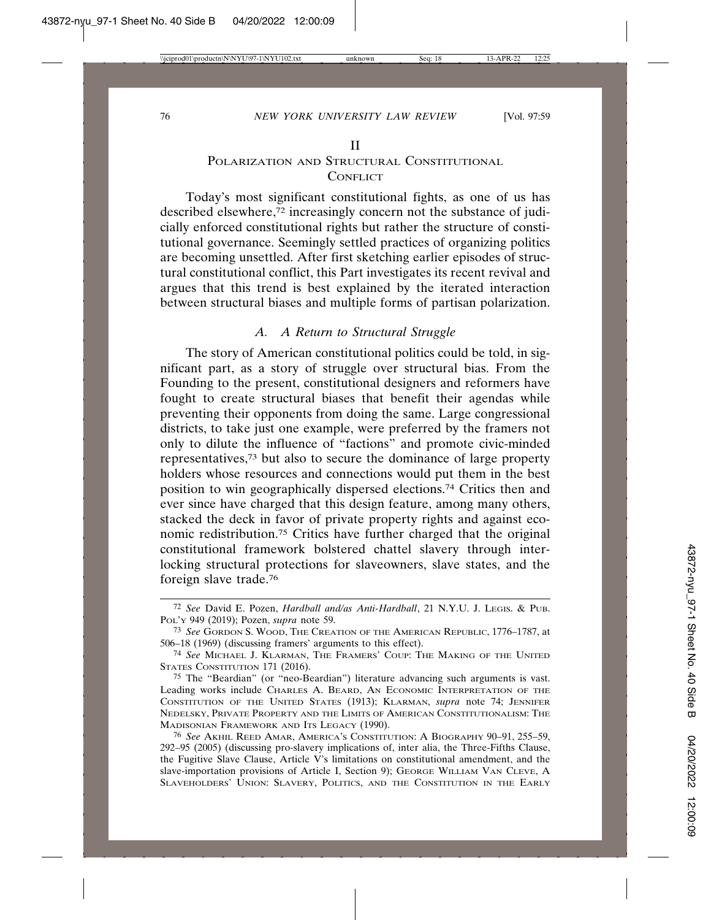#### POLARIZATION AND STRUCTURAL CONSTITUTIONAL **CONFLICT**

Today's most significant constitutional fights, as one of us has described elsewhere,72 increasingly concern not the substance of judicially enforced constitutional rights but rather the structure of constitutional governance. Seemingly settled practices of organizing politics are becoming unsettled. After first sketching earlier episodes of structural constitutional conflict, this Part investigates its recent revival and argues that this trend is best explained by the iterated interaction between structural biases and multiple forms of partisan polarization.

#### *A. A Return to Structural Struggle*

The story of American constitutional politics could be told, in significant part, as a story of struggle over structural bias. From the Founding to the present, constitutional designers and reformers have fought to create structural biases that benefit their agendas while preventing their opponents from doing the same. Large congressional districts, to take just one example, were preferred by the framers not only to dilute the influence of "factions" and promote civic-minded representatives,73 but also to secure the dominance of large property holders whose resources and connections would put them in the best position to win geographically dispersed elections.74 Critics then and ever since have charged that this design feature, among many others, stacked the deck in favor of private property rights and against economic redistribution.75 Critics have further charged that the original constitutional framework bolstered chattel slavery through interlocking structural protections for slaveowners, slave states, and the foreign slave trade.76

<sup>72</sup> *See* David E. Pozen, *Hardball and/as Anti-Hardball*, 21 N.Y.U. J. LEGIS. & PUB. POL'Y 949 (2019); Pozen, *supra* note 59.

<sup>73</sup> *See* GORDON S. WOOD, THE CREATION OF THE AMERICAN REPUBLIC, 1776–1787, at 506–18 (1969) (discussing framers' arguments to this effect).

<sup>74</sup> *See* MICHAEL J. KLARMAN, THE FRAMERS' COUP: THE MAKING OF THE UNITED STATES CONSTITUTION 171 (2016).

<sup>75</sup> The "Beardian" (or "neo-Beardian") literature advancing such arguments is vast. Leading works include CHARLES A. BEARD, AN ECONOMIC INTERPRETATION OF THE CONSTITUTION OF THE UNITED STATES (1913); KLARMAN, *supra* note 74; JENNIFER NEDELSKY, PRIVATE PROPERTY AND THE LIMITS OF AMERICAN CONSTITUTIONALISM: THE MADISONIAN FRAMEWORK AND ITS LEGACY (1990).

<sup>76</sup> *See* AKHIL REED AMAR, AMERICA'S CONSTITUTION: A BIOGRAPHY 90–91, 255–59, 292–95 (2005) (discussing pro-slavery implications of, inter alia, the Three-Fifths Clause, the Fugitive Slave Clause, Article V's limitations on constitutional amendment, and the slave-importation provisions of Article I, Section 9); GEORGE WILLIAM VAN CLEVE, A SLAVEHOLDERS' UNION: SLAVERY, POLITICS, AND THE CONSTITUTION IN THE EARLY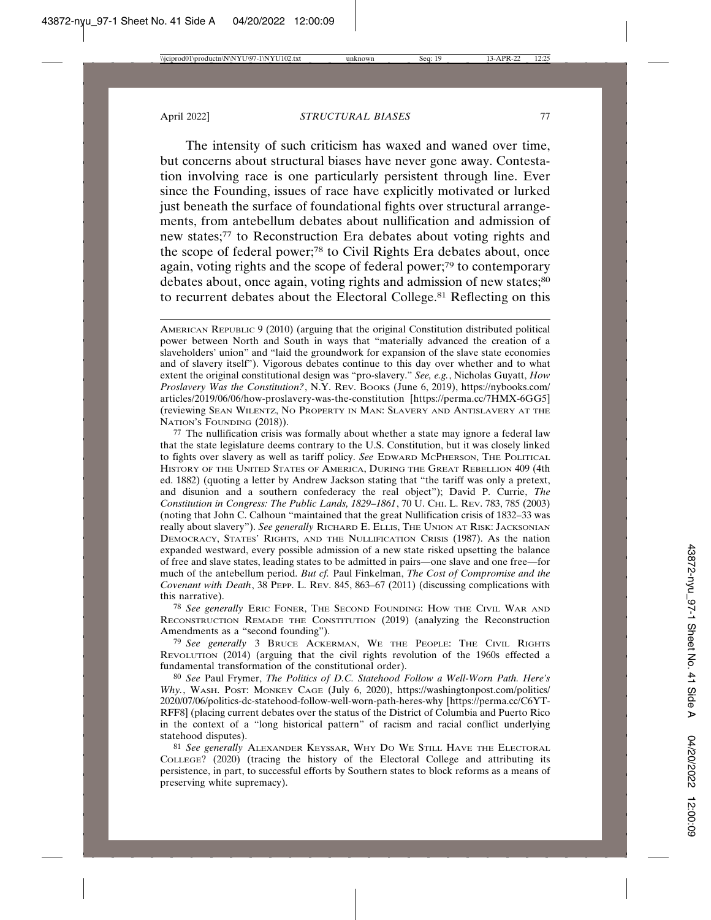The intensity of such criticism has waxed and waned over time, but concerns about structural biases have never gone away. Contestation involving race is one particularly persistent through line. Ever since the Founding, issues of race have explicitly motivated or lurked just beneath the surface of foundational fights over structural arrangements, from antebellum debates about nullification and admission of new states;77 to Reconstruction Era debates about voting rights and the scope of federal power;78 to Civil Rights Era debates about, once again, voting rights and the scope of federal power;79 to contemporary debates about, once again, voting rights and admission of new states;<sup>80</sup> to recurrent debates about the Electoral College.<sup>81</sup> Reflecting on this

78 *See generally* ERIC FONER, THE SECOND FOUNDING: HOW THE CIVIL WAR AND RECONSTRUCTION REMADE THE CONSTITUTION (2019) (analyzing the Reconstruction Amendments as a "second founding").

79 *See generally* 3 BRUCE ACKERMAN, WE THE PEOPLE: THE CIVIL RIGHTS REVOLUTION (2014) (arguing that the civil rights revolution of the 1960s effected a fundamental transformation of the constitutional order).

80 *See* Paul Frymer, *The Politics of D.C. Statehood Follow a Well-Worn Path. Here's Why.*, WASH. POST: MONKEY CAGE (July 6, 2020), https://washingtonpost.com/politics/ 2020/07/06/politics-dc-statehood-follow-well-worn-path-heres-why [https://perma.cc/C6YT-RFF8] (placing current debates over the status of the District of Columbia and Puerto Rico in the context of a "long historical pattern" of racism and racial conflict underlying statehood disputes).

81 *See generally* ALEXANDER KEYSSAR, WHY DO WE STILL HAVE THE ELECTORAL COLLEGE? (2020) (tracing the history of the Electoral College and attributing its persistence, in part, to successful efforts by Southern states to block reforms as a means of preserving white supremacy).

AMERICAN REPUBLIC 9 (2010) (arguing that the original Constitution distributed political power between North and South in ways that "materially advanced the creation of a slaveholders' union" and "laid the groundwork for expansion of the slave state economies and of slavery itself"). Vigorous debates continue to this day over whether and to what extent the original constitutional design was "pro-slavery." *See, e.g.*, Nicholas Guyatt, *How Proslavery Was the Constitution?*, N.Y. REV. BOOKS (June 6, 2019), https://nybooks.com/ articles/2019/06/06/how-proslavery-was-the-constitution [https://perma.cc/7HMX-6GG5] (reviewing SEAN WILENTZ, NO PROPERTY IN MAN: SLAVERY AND ANTISLAVERY AT THE NATION'S FOUNDING (2018)).

<sup>77</sup> The nullification crisis was formally about whether a state may ignore a federal law that the state legislature deems contrary to the U.S. Constitution, but it was closely linked to fights over slavery as well as tariff policy. *See* EDWARD MCPHERSON, THE POLITICAL HISTORY OF THE UNITED STATES OF AMERICA, DURING THE GREAT REBELLION 409 (4th ed. 1882) (quoting a letter by Andrew Jackson stating that "the tariff was only a pretext, and disunion and a southern confederacy the real object"); David P. Currie, *The Constitution in Congress: The Public Lands, 1829–1861*, 70 U. CHI. L. REV. 783, 785 (2003) (noting that John C. Calhoun "maintained that the great Nullification crisis of 1832–33 was really about slavery"). *See generally* RICHARD E. ELLIS, THE UNION AT RISK: JACKSONIAN DEMOCRACY, STATES' RIGHTS, AND THE NULLIFICATION CRISIS (1987). As the nation expanded westward, every possible admission of a new state risked upsetting the balance of free and slave states, leading states to be admitted in pairs—one slave and one free—for much of the antebellum period. *But cf.* Paul Finkelman, *The Cost of Compromise and the Covenant with Death*, 38 PEPP. L. REV. 845, 863–67 (2011) (discussing complications with this narrative).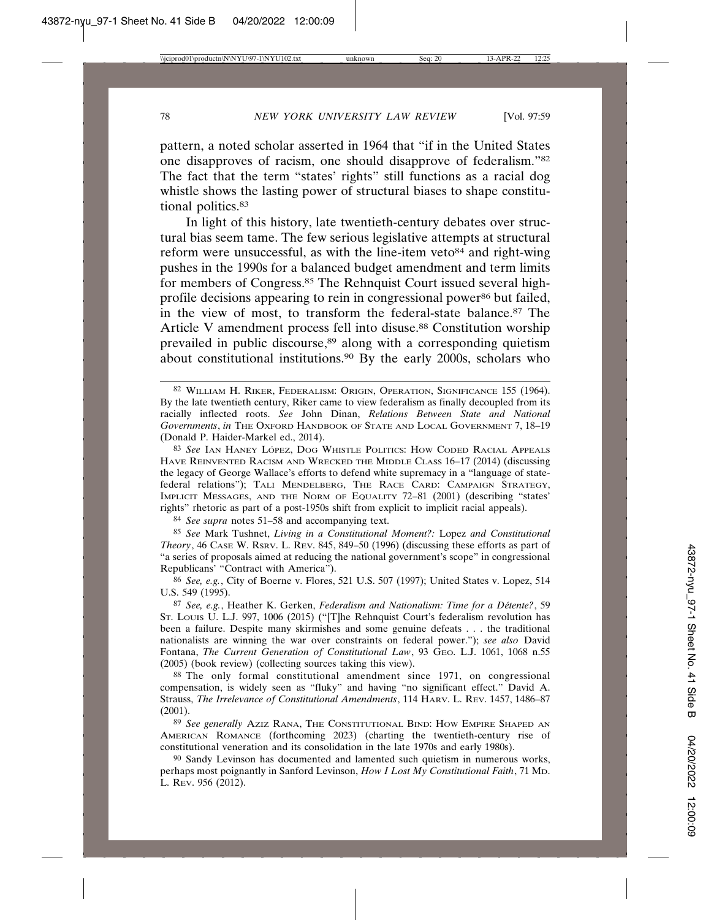pattern, a noted scholar asserted in 1964 that "if in the United States one disapproves of racism, one should disapprove of federalism."82 The fact that the term "states' rights" still functions as a racial dog whistle shows the lasting power of structural biases to shape constitutional politics.<sup>83</sup>

In light of this history, late twentieth-century debates over structural bias seem tame. The few serious legislative attempts at structural reform were unsuccessful, as with the line-item veto $84$  and right-wing pushes in the 1990s for a balanced budget amendment and term limits for members of Congress.85 The Rehnquist Court issued several highprofile decisions appearing to rein in congressional power<sup>86</sup> but failed, in the view of most, to transform the federal-state balance.87 The Article V amendment process fell into disuse.<sup>88</sup> Constitution worship prevailed in public discourse,<sup>89</sup> along with a corresponding quietism about constitutional institutions.90 By the early 2000s, scholars who

84 *See supra* notes 51–58 and accompanying text.

85 *See* Mark Tushnet, *Living in a Constitutional Moment?:* Lopez *and Constitutional Theory*, 46 CASE W. RSRV. L. REV. 845, 849–50 (1996) (discussing these efforts as part of "a series of proposals aimed at reducing the national government's scope" in congressional Republicans' "Contract with America").

86 *See, e.g.*, City of Boerne v. Flores, 521 U.S. 507 (1997); United States v. Lopez, 514 U.S. 549 (1995).

87 *See, e.g.*, Heather K. Gerken, *Federalism and Nationalism: Time for a D´etente?*, 59 ST. LOUIS U. L.J. 997, 1006 (2015) ("[T]he Rehnquist Court's federalism revolution has been a failure. Despite many skirmishes and some genuine defeats . . . the traditional nationalists are winning the war over constraints on federal power."); *see also* David Fontana, *The Current Generation of Constitutional Law*, 93 GEO. L.J. 1061, 1068 n.55 (2005) (book review) (collecting sources taking this view).

88 The only formal constitutional amendment since 1971, on congressional compensation, is widely seen as "fluky" and having "no significant effect." David A. Strauss, *The Irrelevance of Constitutional Amendments*, 114 HARV. L. REV. 1457, 1486–87 (2001).

89 *See generally* AZIZ RANA, THE CONSTITUTIONAL BIND: HOW EMPIRE SHAPED AN AMERICAN ROMANCE (forthcoming 2023) (charting the twentieth-century rise of constitutional veneration and its consolidation in the late 1970s and early 1980s).

90 Sandy Levinson has documented and lamented such quietism in numerous works, perhaps most poignantly in Sanford Levinson, *How I Lost My Constitutional Faith*, 71 MD. L. REV. 956 (2012).

<sup>82</sup> WILLIAM H. RIKER, FEDERALISM: ORIGIN, OPERATION, SIGNIFICANCE 155 (1964). By the late twentieth century, Riker came to view federalism as finally decoupled from its racially inflected roots. *See* John Dinan, *Relations Between State and National Governments*, *in* THE OXFORD HANDBOOK OF STATE AND LOCAL GOVERNMENT 7, 18–19 (Donald P. Haider-Markel ed., 2014).

<sup>83</sup> See IAN HANEY LÓPEZ, DOG WHISTLE POLITICS: HOW CODED RACIAL APPEALS HAVE REINVENTED RACISM AND WRECKED THE MIDDLE CLASS 16–17 (2014) (discussing the legacy of George Wallace's efforts to defend white supremacy in a "language of statefederal relations"); TALI MENDELBERG, THE RACE CARD: CAMPAIGN STRATEGY, IMPLICIT MESSAGES, AND THE NORM OF EQUALITY 72–81 (2001) (describing "states' rights" rhetoric as part of a post-1950s shift from explicit to implicit racial appeals).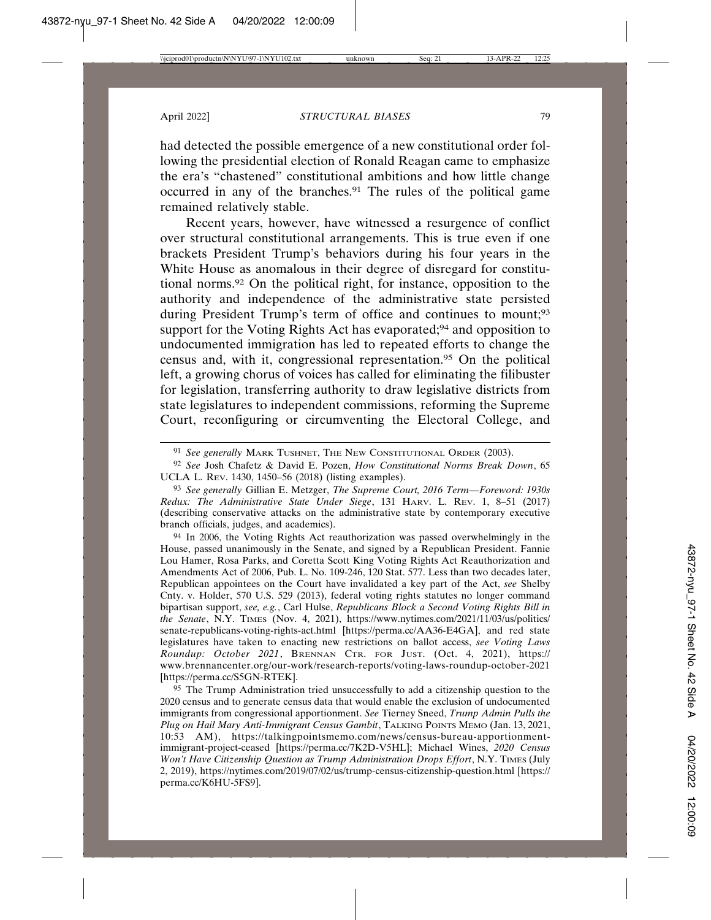had detected the possible emergence of a new constitutional order following the presidential election of Ronald Reagan came to emphasize the era's "chastened" constitutional ambitions and how little change occurred in any of the branches.91 The rules of the political game remained relatively stable.

Recent years, however, have witnessed a resurgence of conflict over structural constitutional arrangements. This is true even if one brackets President Trump's behaviors during his four years in the White House as anomalous in their degree of disregard for constitutional norms.92 On the political right, for instance, opposition to the authority and independence of the administrative state persisted during President Trump's term of office and continues to mount;<sup>93</sup> support for the Voting Rights Act has evaporated;<sup>94</sup> and opposition to undocumented immigration has led to repeated efforts to change the census and, with it, congressional representation.95 On the political left, a growing chorus of voices has called for eliminating the filibuster for legislation, transferring authority to draw legislative districts from state legislatures to independent commissions, reforming the Supreme Court, reconfiguring or circumventing the Electoral College, and

94 In 2006, the Voting Rights Act reauthorization was passed overwhelmingly in the House, passed unanimously in the Senate, and signed by a Republican President. Fannie Lou Hamer, Rosa Parks, and Coretta Scott King Voting Rights Act Reauthorization and Amendments Act of 2006, Pub. L. No. 109-246, 120 Stat. 577. Less than two decades later, Republican appointees on the Court have invalidated a key part of the Act, *see* Shelby Cnty. v. Holder, 570 U.S. 529 (2013), federal voting rights statutes no longer command bipartisan support, *see, e.g.*, Carl Hulse, *Republicans Block a Second Voting Rights Bill in the Senate*, N.Y. TIMES (Nov. 4, 2021), https://www.nytimes.com/2021/11/03/us/politics/ senate-republicans-voting-rights-act.html [https://perma.cc/AA36-E4GA], and red state legislatures have taken to enacting new restrictions on ballot access, *see Voting Laws Roundup: October 2021*, BRENNAN CTR. FOR JUST. (Oct. 4, 2021), https:// www.brennancenter.org/our-work/research-reports/voting-laws-roundup-october-2021 [https://perma.cc/S5GN-RTEK].

<sup>95</sup> The Trump Administration tried unsuccessfully to add a citizenship question to the 2020 census and to generate census data that would enable the exclusion of undocumented immigrants from congressional apportionment. *See* Tierney Sneed, *Trump Admin Pulls the Plug on Hail Mary Anti-Immigrant Census Gambit*, TALKING POINTS MEMO (Jan. 13, 2021, 10:53 AM), https://talkingpointsmemo.com/news/census-bureau-apportionmentimmigrant-project-ceased [https://perma.cc/7K2D-V5HL]; Michael Wines, *2020 Census Won't Have Citizenship Question as Trump Administration Drops Effort*, N.Y. TIMES (July 2, 2019), https://nytimes.com/2019/07/02/us/trump-census-citizenship-question.html [https:// perma.cc/K6HU-5FS9].

<sup>91</sup> *See generally* MARK TUSHNET, THE NEW CONSTITUTIONAL ORDER (2003).

<sup>92</sup> *See* Josh Chafetz & David E. Pozen, *How Constitutional Norms Break Down*, 65 UCLA L. REV. 1430, 1450–56 (2018) (listing examples).

<sup>93</sup> *See generally* Gillian E. Metzger, *The Supreme Court, 2016 Term—Foreword: 1930s Redux: The Administrative State Under Siege*, 131 HARV. L. REV. 1, 8–51 (2017) (describing conservative attacks on the administrative state by contemporary executive branch officials, judges, and academics).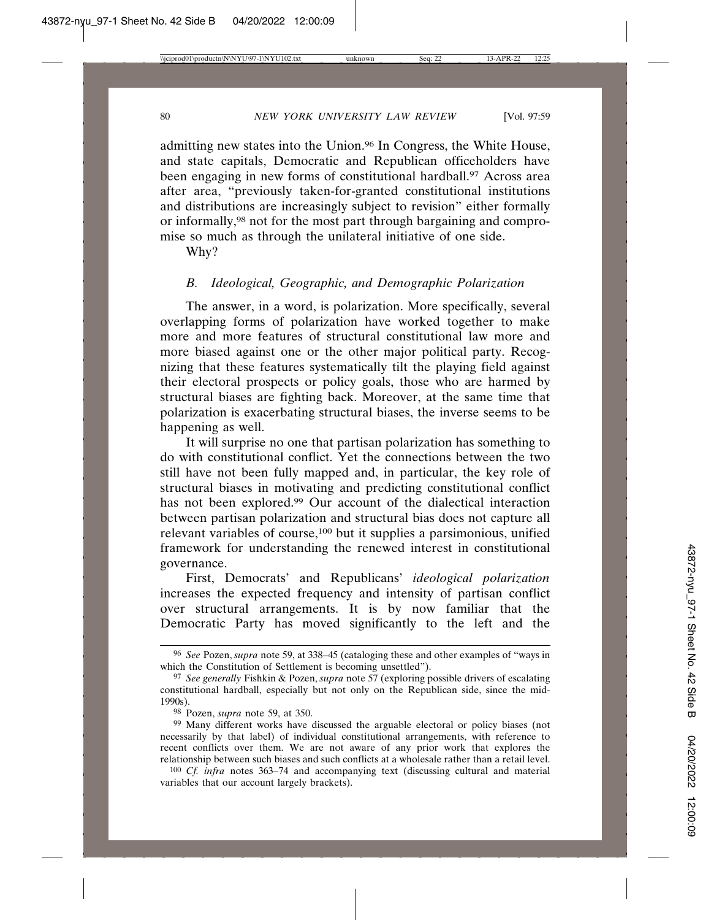admitting new states into the Union.96 In Congress, the White House, and state capitals, Democratic and Republican officeholders have been engaging in new forms of constitutional hardball.<sup>97</sup> Across area after area, "previously taken-for-granted constitutional institutions and distributions are increasingly subject to revision" either formally or informally,98 not for the most part through bargaining and compromise so much as through the unilateral initiative of one side.

Why?

## *B. Ideological, Geographic, and Demographic Polarization*

The answer, in a word, is polarization. More specifically, several overlapping forms of polarization have worked together to make more and more features of structural constitutional law more and more biased against one or the other major political party. Recognizing that these features systematically tilt the playing field against their electoral prospects or policy goals, those who are harmed by structural biases are fighting back. Moreover, at the same time that polarization is exacerbating structural biases, the inverse seems to be happening as well.

It will surprise no one that partisan polarization has something to do with constitutional conflict. Yet the connections between the two still have not been fully mapped and, in particular, the key role of structural biases in motivating and predicting constitutional conflict has not been explored.99 Our account of the dialectical interaction between partisan polarization and structural bias does not capture all relevant variables of course,100 but it supplies a parsimonious, unified framework for understanding the renewed interest in constitutional governance.

First, Democrats' and Republicans' *ideological polarization* increases the expected frequency and intensity of partisan conflict over structural arrangements. It is by now familiar that the Democratic Party has moved significantly to the left and the

<sup>96</sup> *See* Pozen, *supra* note 59, at 338–45 (cataloging these and other examples of "ways in which the Constitution of Settlement is becoming unsettled").

<sup>97</sup> *See generally* Fishkin & Pozen, *supra* note 57 (exploring possible drivers of escalating constitutional hardball, especially but not only on the Republican side, since the mid-1990s).

<sup>98</sup> Pozen, *supra* note 59, at 350.

<sup>&</sup>lt;sup>99</sup> Many different works have discussed the arguable electoral or policy biases (not necessarily by that label) of individual constitutional arrangements, with reference to recent conflicts over them. We are not aware of any prior work that explores the relationship between such biases and such conflicts at a wholesale rather than a retail level.

<sup>100</sup> *Cf. infra* notes 363–74 and accompanying text (discussing cultural and material variables that our account largely brackets).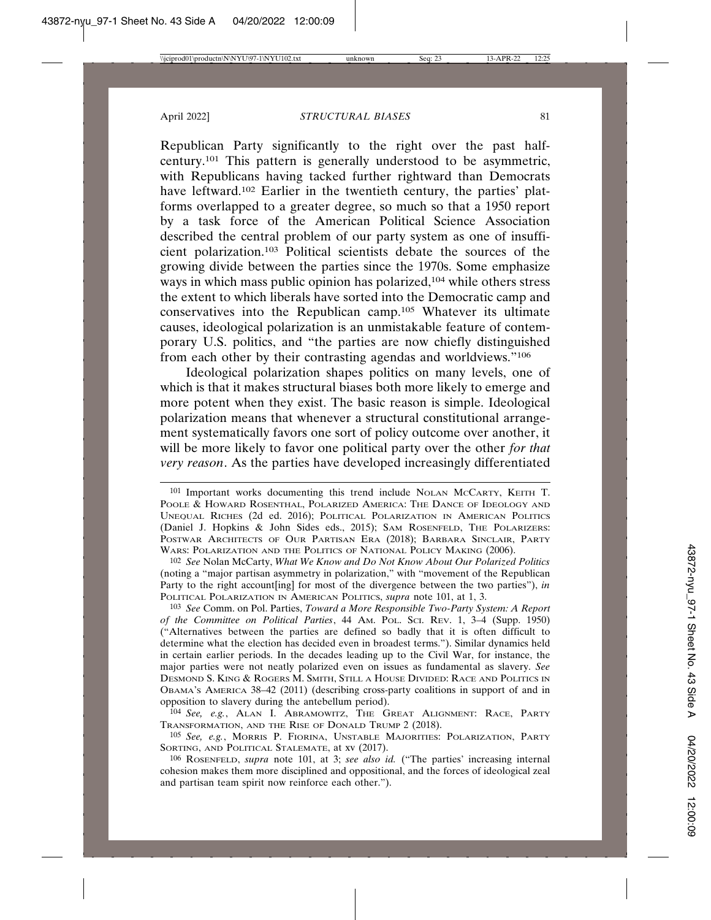Republican Party significantly to the right over the past halfcentury.101 This pattern is generally understood to be asymmetric, with Republicans having tacked further rightward than Democrats have leftward.102 Earlier in the twentieth century, the parties' platforms overlapped to a greater degree, so much so that a 1950 report by a task force of the American Political Science Association described the central problem of our party system as one of insufficient polarization.103 Political scientists debate the sources of the growing divide between the parties since the 1970s. Some emphasize ways in which mass public opinion has polarized,<sup>104</sup> while others stress the extent to which liberals have sorted into the Democratic camp and conservatives into the Republican camp.105 Whatever its ultimate causes, ideological polarization is an unmistakable feature of contemporary U.S. politics, and "the parties are now chiefly distinguished from each other by their contrasting agendas and worldviews."106

Ideological polarization shapes politics on many levels, one of which is that it makes structural biases both more likely to emerge and more potent when they exist. The basic reason is simple. Ideological polarization means that whenever a structural constitutional arrangement systematically favors one sort of policy outcome over another, it will be more likely to favor one political party over the other *for that very reason*. As the parties have developed increasingly differentiated

102 *See* Nolan McCarty, *What We Know and Do Not Know About Our Polarized Politics* (noting a "major partisan asymmetry in polarization," with "movement of the Republican Party to the right account[ing] for most of the divergence between the two parties"), *in* POLITICAL POLARIZATION IN AMERICAN POLITICS, *supra* note 101, at 1, 3.

103 *See* Comm. on Pol. Parties, *Toward a More Responsible Two-Party System: A Report of the Committee on Political Parties*, 44 AM. POL. SCI. REV. 1, 3–4 (Supp. 1950) ("Alternatives between the parties are defined so badly that it is often difficult to determine what the election has decided even in broadest terms."). Similar dynamics held in certain earlier periods. In the decades leading up to the Civil War, for instance, the major parties were not neatly polarized even on issues as fundamental as slavery. *See* DESMOND S. KING & ROGERS M. SMITH, STILL A HOUSE DIVIDED: RACE AND POLITICS IN OBAMA'S AMERICA 38–42 (2011) (describing cross-party coalitions in support of and in opposition to slavery during the antebellum period).

104 *See, e.g.*, ALAN I. ABRAMOWITZ, THE GREAT ALIGNMENT: RACE, PARTY TRANSFORMATION, AND THE RISE OF DONALD TRUMP 2 (2018).

105 *See, e.g.*, MORRIS P. FIORINA, UNSTABLE MAJORITIES: POLARIZATION, PARTY SORTING, AND POLITICAL STALEMATE, at xv (2017).

106 ROSENFELD, *supra* note 101, at 3; *see also id.* ("The parties' increasing internal cohesion makes them more disciplined and oppositional, and the forces of ideological zeal and partisan team spirit now reinforce each other.").

<sup>101</sup> Important works documenting this trend include NOLAN MCCARTY, KEITH T. POOLE & HOWARD ROSENTHAL, POLARIZED AMERICA: THE DANCE OF IDEOLOGY AND UNEQUAL RICHES (2d ed. 2016); POLITICAL POLARIZATION IN AMERICAN POLITICS (Daniel J. Hopkins & John Sides eds., 2015); SAM ROSENFELD, THE POLARIZERS: POSTWAR ARCHITECTS OF OUR PARTISAN ERA (2018); BARBARA SINCLAIR, PARTY WARS: POLARIZATION AND THE POLITICS OF NATIONAL POLICY MAKING (2006).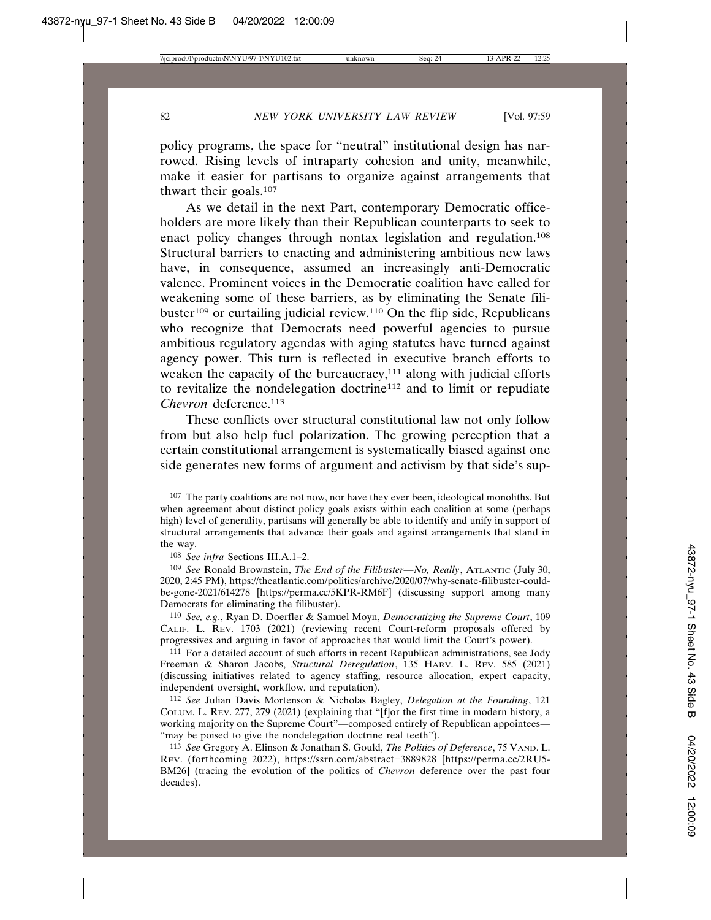policy programs, the space for "neutral" institutional design has narrowed. Rising levels of intraparty cohesion and unity, meanwhile, make it easier for partisans to organize against arrangements that thwart their goals.107

As we detail in the next Part, contemporary Democratic officeholders are more likely than their Republican counterparts to seek to enact policy changes through nontax legislation and regulation.108 Structural barriers to enacting and administering ambitious new laws have, in consequence, assumed an increasingly anti-Democratic valence. Prominent voices in the Democratic coalition have called for weakening some of these barriers, as by eliminating the Senate filibuster<sup>109</sup> or curtailing judicial review.<sup>110</sup> On the flip side, Republicans who recognize that Democrats need powerful agencies to pursue ambitious regulatory agendas with aging statutes have turned against agency power. This turn is reflected in executive branch efforts to weaken the capacity of the bureaucracy,<sup>111</sup> along with judicial efforts to revitalize the nondelegation doctrine112 and to limit or repudiate *Chevron* deference.113

These conflicts over structural constitutional law not only follow from but also help fuel polarization. The growing perception that a certain constitutional arrangement is systematically biased against one side generates new forms of argument and activism by that side's sup-

<sup>107</sup> The party coalitions are not now, nor have they ever been, ideological monoliths. But when agreement about distinct policy goals exists within each coalition at some (perhaps high) level of generality, partisans will generally be able to identify and unify in support of structural arrangements that advance their goals and against arrangements that stand in the way.

<sup>108</sup> *See infra* Sections III.A.1–2.

<sup>109</sup> *See* Ronald Brownstein, *The End of the Filibuster—No, Really*, ATLANTIC (July 30, 2020, 2:45 PM), https://theatlantic.com/politics/archive/2020/07/why-senate-filibuster-couldbe-gone-2021/614278 [https://perma.cc/5KPR-RM6F] (discussing support among many Democrats for eliminating the filibuster).

<sup>110</sup> *See, e.g.*, Ryan D. Doerfler & Samuel Moyn, *Democratizing the Supreme Court*, 109 CALIF. L. REV. 1703 (2021) (reviewing recent Court-reform proposals offered by progressives and arguing in favor of approaches that would limit the Court's power).

<sup>111</sup> For a detailed account of such efforts in recent Republican administrations, see Jody Freeman & Sharon Jacobs, *Structural Deregulation*, 135 HARV. L. REV. 585 (2021) (discussing initiatives related to agency staffing, resource allocation, expert capacity, independent oversight, workflow, and reputation).

<sup>112</sup> *See* Julian Davis Mortenson & Nicholas Bagley, *Delegation at the Founding*, 121 COLUM. L. REV. 277, 279 (2021) (explaining that "[f]or the first time in modern history, a working majority on the Supreme Court"—composed entirely of Republican appointees— "may be poised to give the nondelegation doctrine real teeth").

<sup>113</sup> *See* Gregory A. Elinson & Jonathan S. Gould, *The Politics of Deference*, 75 VAND. L. REV. (forthcoming 2022), https://ssrn.com/abstract=3889828 [https://perma.cc/2RU5- BM26] (tracing the evolution of the politics of *Chevron* deference over the past four decades).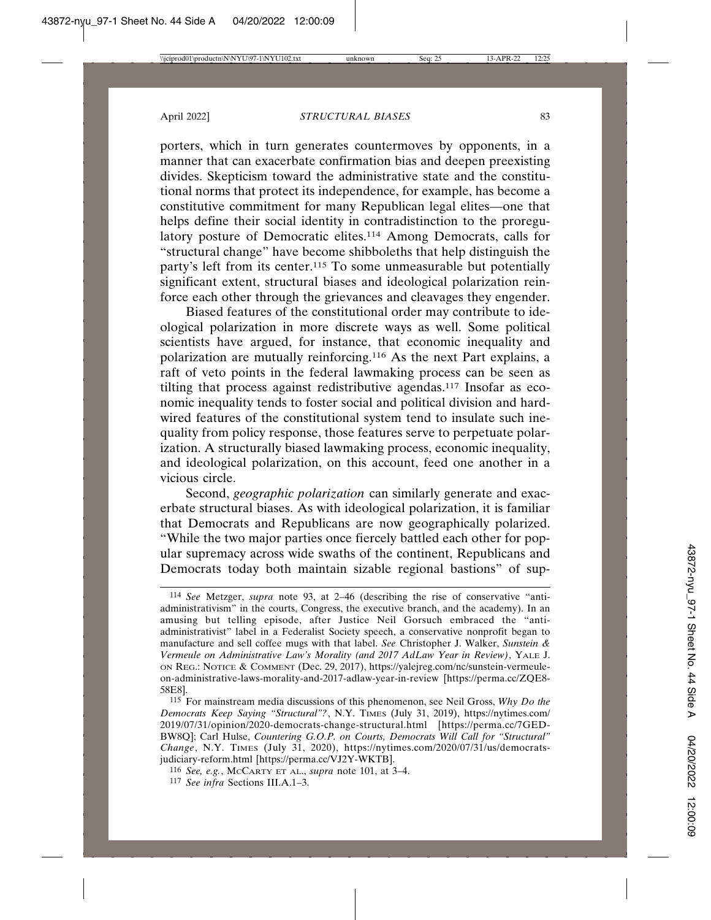porters, which in turn generates countermoves by opponents, in a manner that can exacerbate confirmation bias and deepen preexisting divides. Skepticism toward the administrative state and the constitutional norms that protect its independence, for example, has become a constitutive commitment for many Republican legal elites—one that helps define their social identity in contradistinction to the proregulatory posture of Democratic elites.<sup>114</sup> Among Democrats, calls for "structural change" have become shibboleths that help distinguish the party's left from its center.115 To some unmeasurable but potentially significant extent, structural biases and ideological polarization reinforce each other through the grievances and cleavages they engender.

Biased features of the constitutional order may contribute to ideological polarization in more discrete ways as well. Some political scientists have argued, for instance, that economic inequality and polarization are mutually reinforcing.116 As the next Part explains, a raft of veto points in the federal lawmaking process can be seen as tilting that process against redistributive agendas.117 Insofar as economic inequality tends to foster social and political division and hardwired features of the constitutional system tend to insulate such inequality from policy response, those features serve to perpetuate polarization. A structurally biased lawmaking process, economic inequality, and ideological polarization, on this account, feed one another in a vicious circle.

Second, *geographic polarization* can similarly generate and exacerbate structural biases. As with ideological polarization, it is familiar that Democrats and Republicans are now geographically polarized. "While the two major parties once fiercely battled each other for popular supremacy across wide swaths of the continent, Republicans and Democrats today both maintain sizable regional bastions" of sup-

<sup>114</sup> *See* Metzger, *supra* note 93, at 2–46 (describing the rise of conservative "antiadministrativism" in the courts, Congress, the executive branch, and the academy). In an amusing but telling episode, after Justice Neil Gorsuch embraced the "antiadministrativist" label in a Federalist Society speech, a conservative nonprofit began to manufacture and sell coffee mugs with that label. *See* Christopher J. Walker, *Sunstein & Vermeule on Administrative Law's Morality (and 2017 AdLaw Year in Review)*, YALE J. ON REG.: NOTICE & COMMENT (Dec. 29, 2017), https://yalejreg.com/nc/sunstein-vermeuleon-administrative-laws-morality-and-2017-adlaw-year-in-review [https://perma.cc/ZQE8- 58E8].

<sup>115</sup> For mainstream media discussions of this phenomenon, see Neil Gross, *Why Do the Democrats Keep Saying "Structural"?*, N.Y. TIMES (July 31, 2019), https://nytimes.com/ 2019/07/31/opinion/2020-democrats-change-structural.html [https://perma.cc/7GED-BW8Q]; Carl Hulse, *Countering G.O.P. on Courts, Democrats Will Call for "Structural" Change*, N.Y. TIMES (July 31, 2020), https://nytimes.com/2020/07/31/us/democratsjudiciary-reform.html [https://perma.cc/VJ2Y-WKTB].

<sup>116</sup> *See, e.g.*, MCCARTY ET AL., *supra* note 101, at 3–4.

<sup>117</sup> *See infra* Sections III.A.1–3.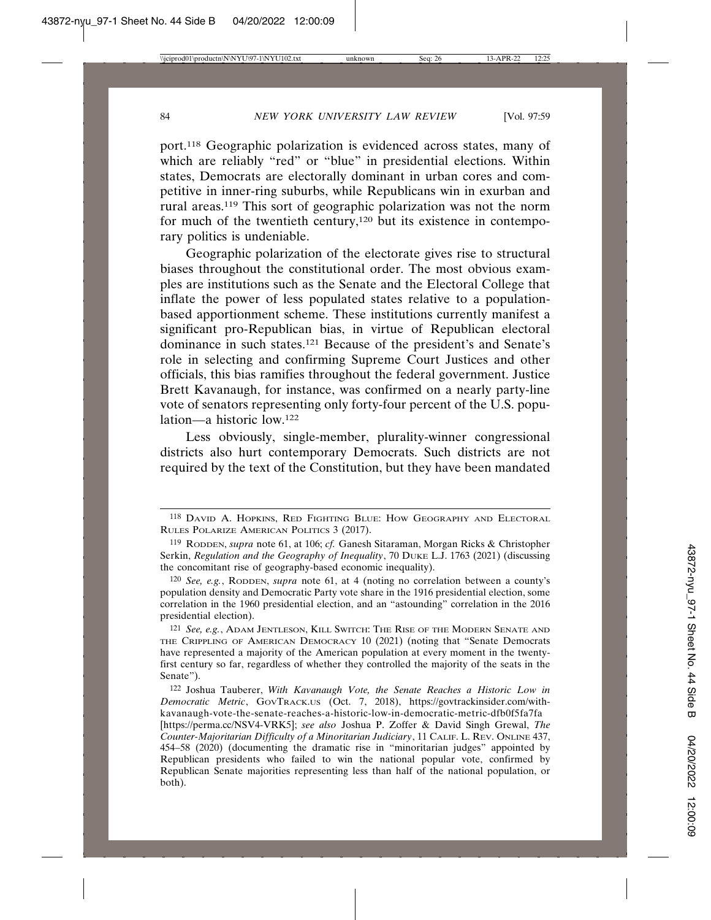port.118 Geographic polarization is evidenced across states, many of which are reliably "red" or "blue" in presidential elections. Within states, Democrats are electorally dominant in urban cores and competitive in inner-ring suburbs, while Republicans win in exurban and rural areas.119 This sort of geographic polarization was not the norm for much of the twentieth century,120 but its existence in contemporary politics is undeniable.

Geographic polarization of the electorate gives rise to structural biases throughout the constitutional order. The most obvious examples are institutions such as the Senate and the Electoral College that inflate the power of less populated states relative to a populationbased apportionment scheme. These institutions currently manifest a significant pro-Republican bias, in virtue of Republican electoral dominance in such states.121 Because of the president's and Senate's role in selecting and confirming Supreme Court Justices and other officials, this bias ramifies throughout the federal government. Justice Brett Kavanaugh, for instance, was confirmed on a nearly party-line vote of senators representing only forty-four percent of the U.S. population—a historic low.122

Less obviously, single-member, plurality-winner congressional districts also hurt contemporary Democrats. Such districts are not required by the text of the Constitution, but they have been mandated

<sup>118</sup> DAVID A. HOPKINS, RED FIGHTING BLUE: HOW GEOGRAPHY AND ELECTORAL RULES POLARIZE AMERICAN POLITICS 3 (2017).

<sup>119</sup> RODDEN, *supra* note 61, at 106; *cf.* Ganesh Sitaraman, Morgan Ricks & Christopher Serkin, *Regulation and the Geography of Inequality*, 70 DUKE L.J. 1763 (2021) (discussing the concomitant rise of geography-based economic inequality).

<sup>120</sup> *See, e.g.*, RODDEN, *supra* note 61, at 4 (noting no correlation between a county's population density and Democratic Party vote share in the 1916 presidential election, some correlation in the 1960 presidential election, and an "astounding" correlation in the 2016 presidential election).

<sup>121</sup> *See, e.g.*, ADAM JENTLESON, KILL SWITCH: THE RISE OF THE MODERN SENATE AND THE CRIPPLING OF AMERICAN DEMOCRACY 10 (2021) (noting that "Senate Democrats have represented a majority of the American population at every moment in the twentyfirst century so far, regardless of whether they controlled the majority of the seats in the Senate").

<sup>122</sup> Joshua Tauberer, *With Kavanaugh Vote, the Senate Reaches a Historic Low in Democratic Metric*, GOVTRACK.US (Oct. 7, 2018), https://govtrackinsider.com/withkavanaugh-vote-the-senate-reaches-a-historic-low-in-democratic-metric-dfb0f5fa7fa

<sup>[</sup>https://perma.cc/NSV4-VRK5]; *see also* Joshua P. Zoffer & David Singh Grewal, *The Counter-Majoritarian Difficulty of a Minoritarian Judiciary*, 11 CALIF. L. REV. ONLINE 437, 454–58 (2020) (documenting the dramatic rise in "minoritarian judges" appointed by Republican presidents who failed to win the national popular vote, confirmed by Republican Senate majorities representing less than half of the national population, or both).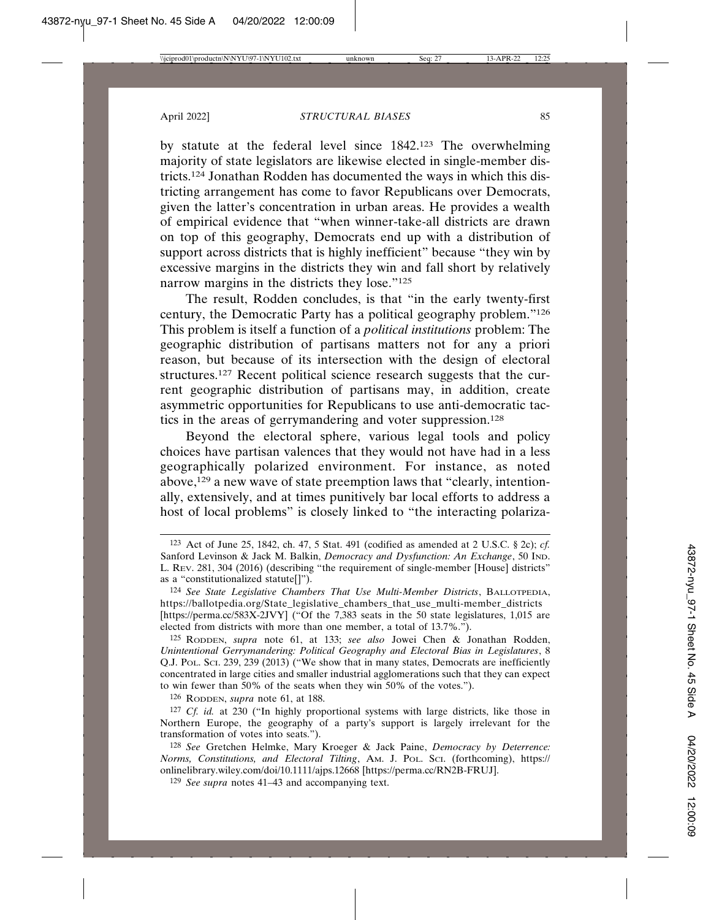by statute at the federal level since 1842.123 The overwhelming majority of state legislators are likewise elected in single-member districts.124 Jonathan Rodden has documented the ways in which this districting arrangement has come to favor Republicans over Democrats, given the latter's concentration in urban areas. He provides a wealth of empirical evidence that "when winner-take-all districts are drawn on top of this geography, Democrats end up with a distribution of support across districts that is highly inefficient" because "they win by excessive margins in the districts they win and fall short by relatively narrow margins in the districts they lose."125

The result, Rodden concludes, is that "in the early twenty-first century, the Democratic Party has a political geography problem."126 This problem is itself a function of a *political institutions* problem: The geographic distribution of partisans matters not for any a priori reason, but because of its intersection with the design of electoral structures.127 Recent political science research suggests that the current geographic distribution of partisans may, in addition, create asymmetric opportunities for Republicans to use anti-democratic tactics in the areas of gerrymandering and voter suppression.128

Beyond the electoral sphere, various legal tools and policy choices have partisan valences that they would not have had in a less geographically polarized environment. For instance, as noted above,129 a new wave of state preemption laws that "clearly, intentionally, extensively, and at times punitively bar local efforts to address a host of local problems" is closely linked to "the interacting polariza-

126 RODDEN, *supra* note 61, at 188.

<sup>123</sup> Act of June 25, 1842, ch. 47, 5 Stat. 491 (codified as amended at 2 U.S.C. § 2c); *cf.* Sanford Levinson & Jack M. Balkin, *Democracy and Dysfunction: An Exchange*, 50 IND. L. REV. 281, 304 (2016) (describing "the requirement of single-member [House] districts" as a "constitutionalized statute[]").

<sup>124</sup> *See State Legislative Chambers That Use Multi-Member Districts*, BALLOTPEDIA, https://ballotpedia.org/State\_legislative\_chambers\_that\_use\_multi-member\_districts [https://perma.cc/583X-2JVY] ("Of the 7,383 seats in the 50 state legislatures, 1,015 are elected from districts with more than one member, a total of 13.7%.").

<sup>125</sup> RODDEN, *supra* note 61, at 133; *see also* Jowei Chen & Jonathan Rodden, *Unintentional Gerrymandering: Political Geography and Electoral Bias in Legislatures*, 8 Q.J. POL. SCI. 239, 239 (2013) ("We show that in many states, Democrats are inefficiently concentrated in large cities and smaller industrial agglomerations such that they can expect to win fewer than 50% of the seats when they win 50% of the votes.").

<sup>127</sup> *Cf. id.* at 230 ("In highly proportional systems with large districts, like those in Northern Europe, the geography of a party's support is largely irrelevant for the transformation of votes into seats.").

<sup>128</sup> *See* Gretchen Helmke, Mary Kroeger & Jack Paine, *Democracy by Deterrence: Norms, Constitutions, and Electoral Tilting*, AM. J. POL. SCI. (forthcoming), https:// onlinelibrary.wiley.com/doi/10.1111/ajps.12668 [https://perma.cc/RN2B-FRUJ].

<sup>129</sup> *See supra* notes 41–43 and accompanying text.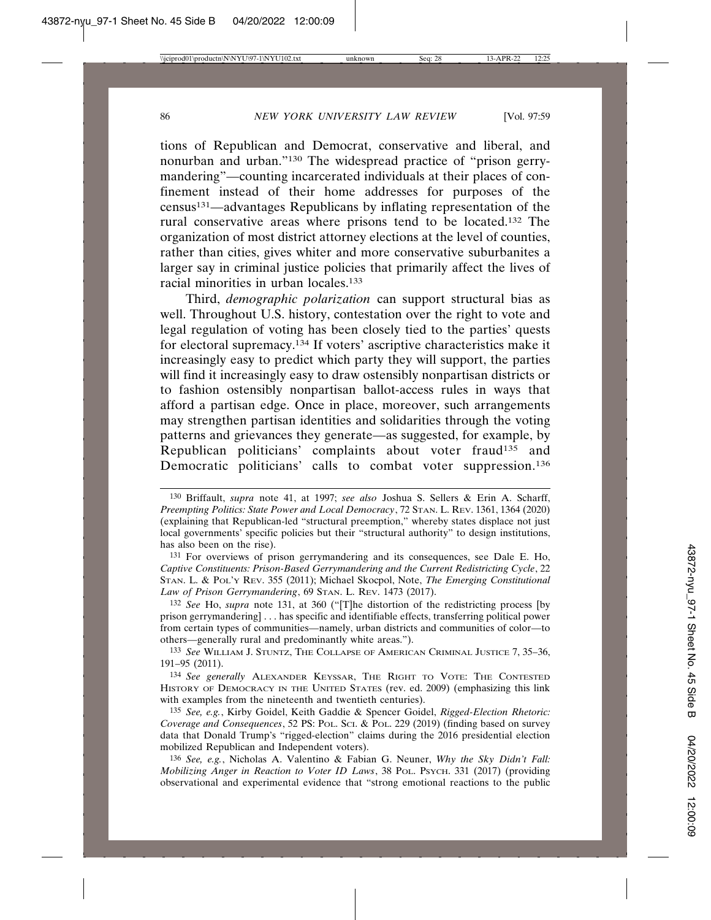tions of Republican and Democrat, conservative and liberal, and nonurban and urban."130 The widespread practice of "prison gerrymandering"—counting incarcerated individuals at their places of confinement instead of their home addresses for purposes of the census131—advantages Republicans by inflating representation of the rural conservative areas where prisons tend to be located.132 The organization of most district attorney elections at the level of counties, rather than cities, gives whiter and more conservative suburbanites a larger say in criminal justice policies that primarily affect the lives of racial minorities in urban locales.133

Third, *demographic polarization* can support structural bias as well. Throughout U.S. history, contestation over the right to vote and legal regulation of voting has been closely tied to the parties' quests for electoral supremacy.134 If voters' ascriptive characteristics make it increasingly easy to predict which party they will support, the parties will find it increasingly easy to draw ostensibly nonpartisan districts or to fashion ostensibly nonpartisan ballot-access rules in ways that afford a partisan edge. Once in place, moreover, such arrangements may strengthen partisan identities and solidarities through the voting patterns and grievances they generate—as suggested, for example, by Republican politicians' complaints about voter fraud<sup>135</sup> and Democratic politicians' calls to combat voter suppression.<sup>136</sup>

131 For overviews of prison gerrymandering and its consequences, see Dale E. Ho, *Captive Constituents: Prison-Based Gerrymandering and the Current Redistricting Cycle*, 22 STAN. L. & POL'Y REV. 355 (2011); Michael Skocpol, Note, *The Emerging Constitutional Law of Prison Gerrymandering*, 69 STAN. L. REV. 1473 (2017).

132 *See* Ho, *supra* note 131, at 360 ("[T]he distortion of the redistricting process [by prison gerrymandering] . . . has specific and identifiable effects, transferring political power from certain types of communities—namely, urban districts and communities of color—to others—generally rural and predominantly white areas.").

133 *See* WILLIAM J. STUNTZ, THE COLLAPSE OF AMERICAN CRIMINAL JUSTICE 7, 35–36, 191–95 (2011).

134 *See generally* ALEXANDER KEYSSAR, THE RIGHT TO VOTE: THE CONTESTED HISTORY OF DEMOCRACY IN THE UNITED STATES (rev. ed. 2009) (emphasizing this link with examples from the nineteenth and twentieth centuries).

135 *See, e.g.*, Kirby Goidel, Keith Gaddie & Spencer Goidel, *Rigged-Election Rhetoric: Coverage and Consequences*, 52 PS: POL. SCI. & POL. 229 (2019) (finding based on survey data that Donald Trump's "rigged-election" claims during the 2016 presidential election mobilized Republican and Independent voters).

136 *See, e.g.*, Nicholas A. Valentino & Fabian G. Neuner, *Why the Sky Didn't Fall: Mobilizing Anger in Reaction to Voter ID Laws*, 38 POL. PSYCH. 331 (2017) (providing observational and experimental evidence that "strong emotional reactions to the public

<sup>130</sup> Briffault, *supra* note 41, at 1997; *see also* Joshua S. Sellers & Erin A. Scharff, *Preempting Politics: State Power and Local Democracy*, 72 STAN. L. REV. 1361, 1364 (2020) (explaining that Republican-led "structural preemption," whereby states displace not just local governments' specific policies but their "structural authority" to design institutions, has also been on the rise).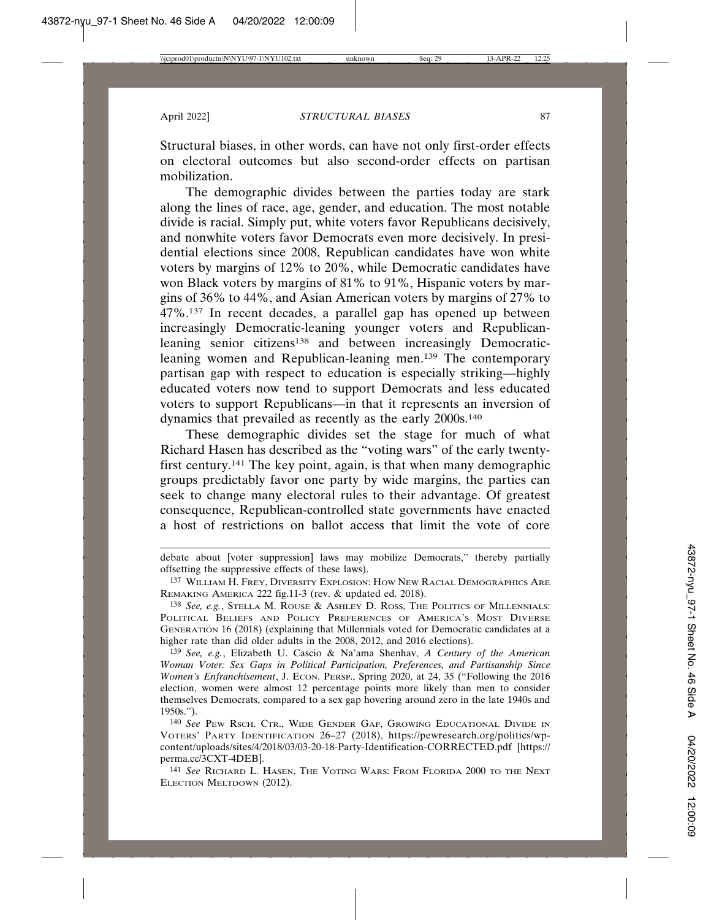Structural biases, in other words, can have not only first-order effects on electoral outcomes but also second-order effects on partisan mobilization.

The demographic divides between the parties today are stark along the lines of race, age, gender, and education. The most notable divide is racial. Simply put, white voters favor Republicans decisively, and nonwhite voters favor Democrats even more decisively. In presidential elections since 2008, Republican candidates have won white voters by margins of 12% to 20%, while Democratic candidates have won Black voters by margins of 81% to 91%, Hispanic voters by margins of 36% to 44%, and Asian American voters by margins of 27% to 47%.137 In recent decades, a parallel gap has opened up between increasingly Democratic-leaning younger voters and Republicanleaning senior citizens<sup>138</sup> and between increasingly Democraticleaning women and Republican-leaning men.139 The contemporary partisan gap with respect to education is especially striking—highly educated voters now tend to support Democrats and less educated voters to support Republicans—in that it represents an inversion of dynamics that prevailed as recently as the early 2000s.140

These demographic divides set the stage for much of what Richard Hasen has described as the "voting wars" of the early twentyfirst century.141 The key point, again, is that when many demographic groups predictably favor one party by wide margins, the parties can seek to change many electoral rules to their advantage. Of greatest consequence, Republican-controlled state governments have enacted a host of restrictions on ballot access that limit the vote of core

debate about [voter suppression] laws may mobilize Democrats," thereby partially offsetting the suppressive effects of these laws).

<sup>137</sup> WILLIAM H. FREY, DIVERSITY EXPLOSION: HOW NEW RACIAL DEMOGRAPHICS ARE REMAKING AMERICA 222 fig.11-3 (rev. & updated ed. 2018).

<sup>138</sup> *See, e.g.*, STELLA M. ROUSE & ASHLEY D. ROSS, THE POLITICS OF MILLENNIALS: POLITICAL BELIEFS AND POLICY PREFERENCES OF AMERICA'S MOST DIVERSE GENERATION 16 (2018) (explaining that Millennials voted for Democratic candidates at a higher rate than did older adults in the 2008, 2012, and 2016 elections).

<sup>139</sup> *See, e.g.*, Elizabeth U. Cascio & Na'ama Shenhav, *A Century of the American Woman Voter: Sex Gaps in Political Participation, Preferences, and Partisanship Since Women's Enfranchisement*, J. ECON. PERSP., Spring 2020, at 24, 35 ("Following the 2016 election, women were almost 12 percentage points more likely than men to consider themselves Democrats, compared to a sex gap hovering around zero in the late 1940s and 1950s.").

<sup>140</sup> *See* PEW RSCH. CTR., WIDE GENDER GAP, GROWING EDUCATIONAL DIVIDE IN VOTERS' PARTY IDENTIFICATION 26–27 (2018), https://pewresearch.org/politics/wpcontent/uploads/sites/4/2018/03/03-20-18-Party-Identification-CORRECTED.pdf [https:// perma.cc/3CXT-4DEB].

<sup>141</sup> *See* RICHARD L. HASEN, THE VOTING WARS: FROM FLORIDA 2000 TO THE NEXT ELECTION MELTDOWN (2012).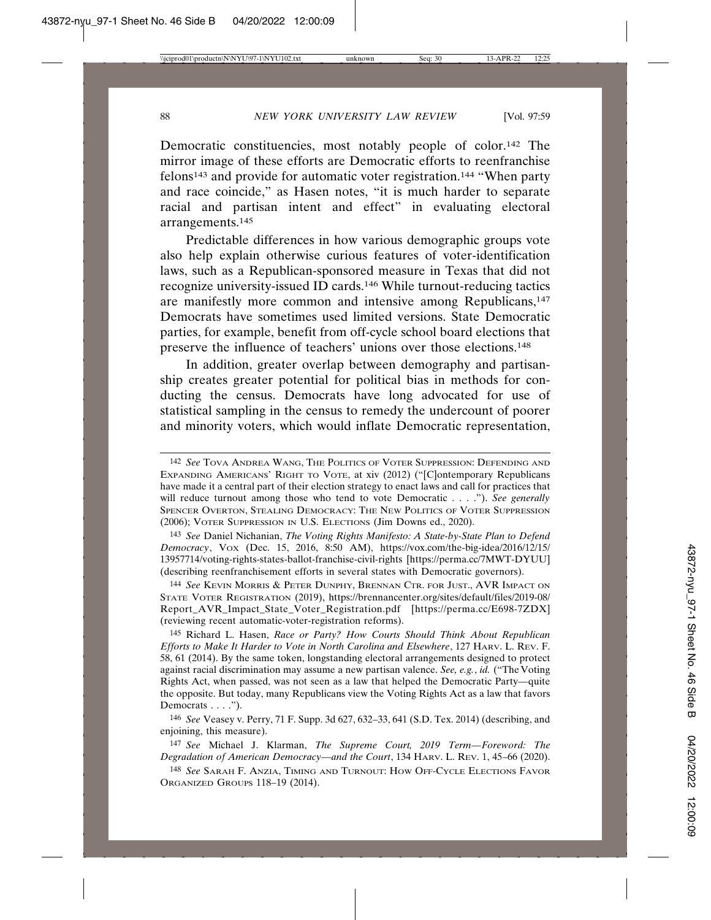Democratic constituencies, most notably people of color.142 The mirror image of these efforts are Democratic efforts to reenfranchise felons143 and provide for automatic voter registration.144 "When party and race coincide," as Hasen notes, "it is much harder to separate racial and partisan intent and effect" in evaluating electoral arrangements.145

Predictable differences in how various demographic groups vote also help explain otherwise curious features of voter-identification laws, such as a Republican-sponsored measure in Texas that did not recognize university-issued ID cards.146 While turnout-reducing tactics are manifestly more common and intensive among Republicans,<sup>147</sup> Democrats have sometimes used limited versions. State Democratic parties, for example, benefit from off-cycle school board elections that preserve the influence of teachers' unions over those elections.148

In addition, greater overlap between demography and partisanship creates greater potential for political bias in methods for conducting the census. Democrats have long advocated for use of statistical sampling in the census to remedy the undercount of poorer and minority voters, which would inflate Democratic representation,

143 *See* Daniel Nichanian, *The Voting Rights Manifesto: A State-by-State Plan to Defend Democracy*, VOX (Dec. 15, 2016, 8:50 AM), https://vox.com/the-big-idea/2016/12/15/ 13957714/voting-rights-states-ballot-franchise-civil-rights [https://perma.cc/7MWT-DYUU] (describing reenfranchisement efforts in several states with Democratic governors).

144 *See* KEVIN MORRIS & PETER DUNPHY, BRENNAN CTR. FOR JUST., AVR IMPACT ON STATE VOTER REGISTRATION (2019), https://brennancenter.org/sites/default/files/2019-08/ Report\_AVR\_Impact\_State\_Voter\_Registration.pdf [https://perma.cc/E698-7ZDX] (reviewing recent automatic-voter-registration reforms).

145 Richard L. Hasen, *Race or Party? How Courts Should Think About Republican Efforts to Make It Harder to Vote in North Carolina and Elsewhere*, 127 HARV. L. REV. F. 58, 61 (2014). By the same token, longstanding electoral arrangements designed to protect against racial discrimination may assume a new partisan valence. *See, e.g.*, *id.* ("The Voting Rights Act, when passed, was not seen as a law that helped the Democratic Party—quite the opposite. But today, many Republicans view the Voting Rights Act as a law that favors Democrats . . . .").

146 *See* Veasey v. Perry, 71 F. Supp. 3d 627, 632–33, 641 (S.D. Tex. 2014) (describing, and enjoining, this measure).

147 *See* Michael J. Klarman, *The Supreme Court, 2019 Term—Foreword: The Degradation of American Democracy—and the Court*, 134 HARV. L. REV. 1, 45–66 (2020).

148 *See* SARAH F. ANZIA, TIMING AND TURNOUT: HOW OFF-CYCLE ELECTIONS FAVOR ORGANIZED GROUPS 118–19 (2014).

<sup>142</sup> *See* TOVA ANDREA WANG, THE POLITICS OF VOTER SUPPRESSION: DEFENDING AND EXPANDING AMERICANS' RIGHT TO VOTE, at xiv (2012) ("[C]ontemporary Republicans have made it a central part of their election strategy to enact laws and call for practices that will reduce turnout among those who tend to vote Democratic . . . ."). *See generally* SPENCER OVERTON, STEALING DEMOCRACY: THE NEW POLITICS OF VOTER SUPPRESSION (2006); VOTER SUPPRESSION IN U.S. ELECTIONS (Jim Downs ed., 2020).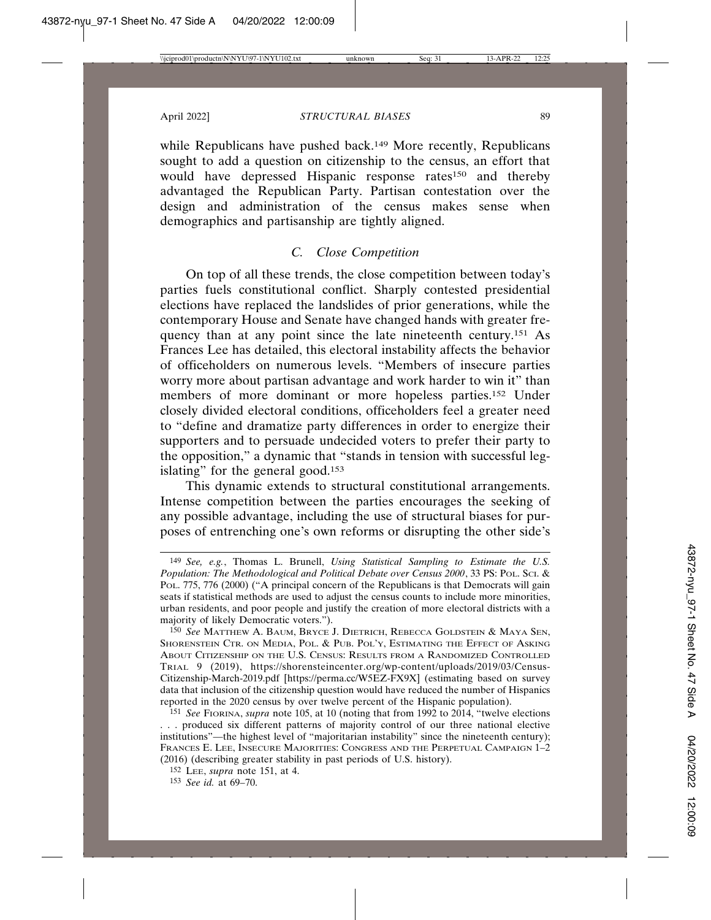while Republicans have pushed back.<sup>149</sup> More recently, Republicans sought to add a question on citizenship to the census, an effort that would have depressed Hispanic response rates<sup>150</sup> and thereby advantaged the Republican Party. Partisan contestation over the design and administration of the census makes sense when demographics and partisanship are tightly aligned.

## *C. Close Competition*

On top of all these trends, the close competition between today's parties fuels constitutional conflict. Sharply contested presidential elections have replaced the landslides of prior generations, while the contemporary House and Senate have changed hands with greater frequency than at any point since the late nineteenth century.151 As Frances Lee has detailed, this electoral instability affects the behavior of officeholders on numerous levels. "Members of insecure parties worry more about partisan advantage and work harder to win it" than members of more dominant or more hopeless parties.152 Under closely divided electoral conditions, officeholders feel a greater need to "define and dramatize party differences in order to energize their supporters and to persuade undecided voters to prefer their party to the opposition," a dynamic that "stands in tension with successful legislating" for the general good.<sup>153</sup>

This dynamic extends to structural constitutional arrangements. Intense competition between the parties encourages the seeking of any possible advantage, including the use of structural biases for purposes of entrenching one's own reforms or disrupting the other side's

<sup>149</sup> *See, e.g.*, Thomas L. Brunell, *Using Statistical Sampling to Estimate the U.S. Population: The Methodological and Political Debate over Census 2000*, 33 PS: POL. SCI. & POL. 775, 776 (2000) ("A principal concern of the Republicans is that Democrats will gain seats if statistical methods are used to adjust the census counts to include more minorities, urban residents, and poor people and justify the creation of more electoral districts with a majority of likely Democratic voters.").

<sup>150</sup> *See* MATTHEW A. BAUM, BRYCE J. DIETRICH, REBECCA GOLDSTEIN & MAYA SEN, SHORENSTEIN CTR. ON MEDIA, POL. & PUB. POL'Y, ESTIMATING THE EFFECT OF ASKING ABOUT CITIZENSHIP ON THE U.S. CENSUS: RESULTS FROM A RANDOMIZED CONTROLLED TRIAL 9 (2019), https://shorensteincenter.org/wp-content/uploads/2019/03/Census-Citizenship-March-2019.pdf [https://perma.cc/W5EZ-FX9X] (estimating based on survey data that inclusion of the citizenship question would have reduced the number of Hispanics reported in the 2020 census by over twelve percent of the Hispanic population).

<sup>151</sup> *See* FIORINA, *supra* note 105, at 10 (noting that from 1992 to 2014, "twelve elections . . . produced six different patterns of majority control of our three national elective institutions"—the highest level of "majoritarian instability" since the nineteenth century); FRANCES E. LEE, INSECURE MAJORITIES: CONGRESS AND THE PERPETUAL CAMPAIGN 1–2 (2016) (describing greater stability in past periods of U.S. history).

<sup>152</sup> LEE, *supra* note 151, at 4.

<sup>153</sup> *See id.* at 69–70.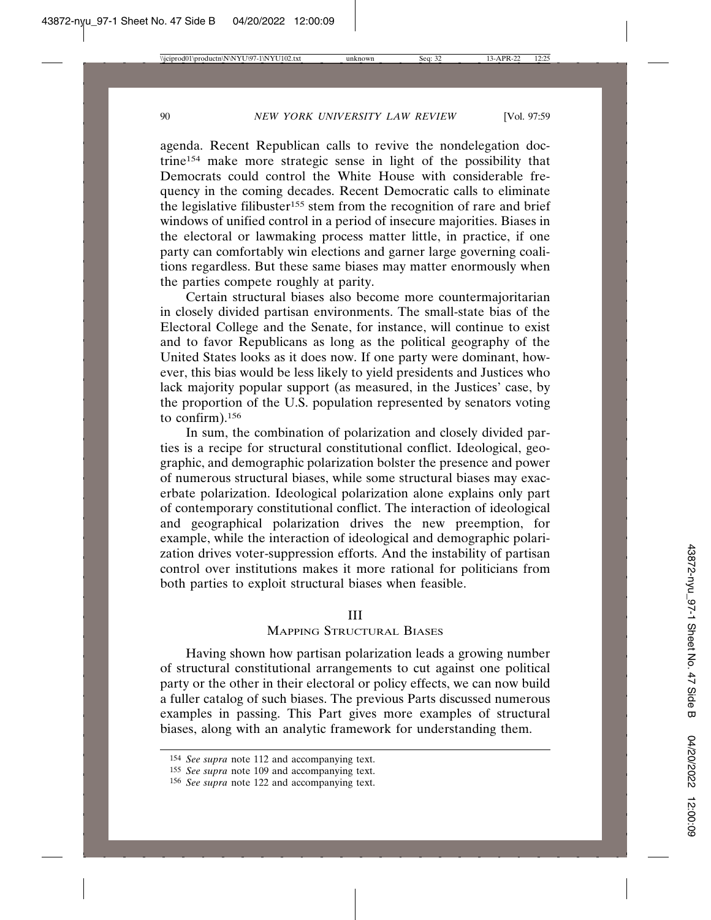agenda. Recent Republican calls to revive the nondelegation doctrine154 make more strategic sense in light of the possibility that Democrats could control the White House with considerable frequency in the coming decades. Recent Democratic calls to eliminate the legislative filibuster<sup>155</sup> stem from the recognition of rare and brief windows of unified control in a period of insecure majorities. Biases in the electoral or lawmaking process matter little, in practice, if one party can comfortably win elections and garner large governing coalitions regardless. But these same biases may matter enormously when the parties compete roughly at parity.

Certain structural biases also become more countermajoritarian in closely divided partisan environments. The small-state bias of the Electoral College and the Senate, for instance, will continue to exist and to favor Republicans as long as the political geography of the United States looks as it does now. If one party were dominant, however, this bias would be less likely to yield presidents and Justices who lack majority popular support (as measured, in the Justices' case, by the proportion of the U.S. population represented by senators voting to confirm).156

In sum, the combination of polarization and closely divided parties is a recipe for structural constitutional conflict. Ideological, geographic, and demographic polarization bolster the presence and power of numerous structural biases, while some structural biases may exacerbate polarization. Ideological polarization alone explains only part of contemporary constitutional conflict. The interaction of ideological and geographical polarization drives the new preemption, for example, while the interaction of ideological and demographic polarization drives voter-suppression efforts. And the instability of partisan control over institutions makes it more rational for politicians from both parties to exploit structural biases when feasible.

#### III

## MAPPING STRUCTURAL BIASES

Having shown how partisan polarization leads a growing number of structural constitutional arrangements to cut against one political party or the other in their electoral or policy effects, we can now build a fuller catalog of such biases. The previous Parts discussed numerous examples in passing. This Part gives more examples of structural biases, along with an analytic framework for understanding them.

<sup>154</sup> *See supra* note 112 and accompanying text.

<sup>155</sup> *See supra* note 109 and accompanying text.

<sup>156</sup> *See supra* note 122 and accompanying text.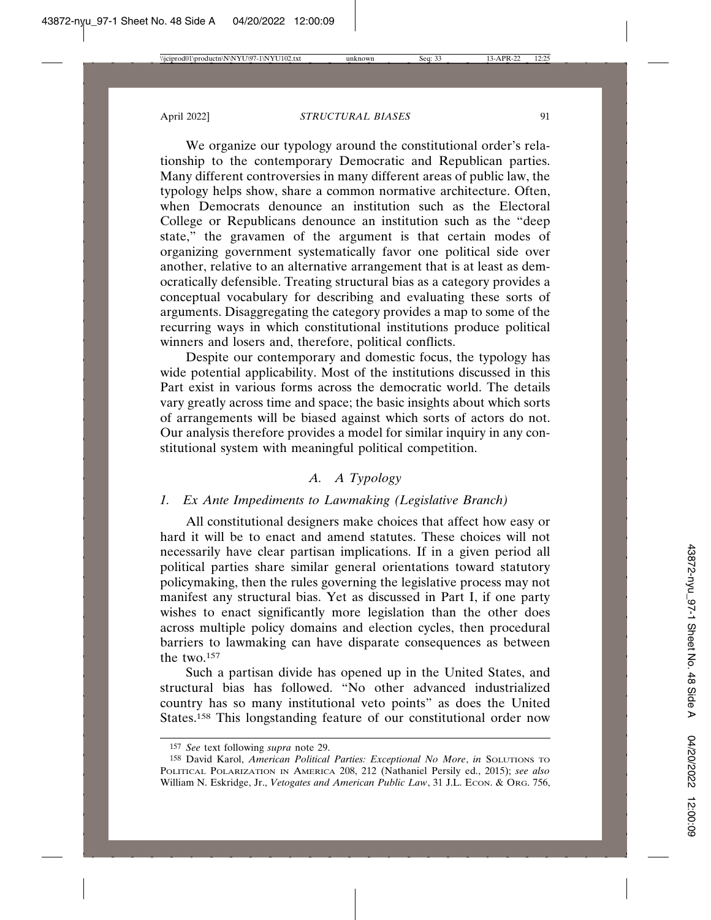We organize our typology around the constitutional order's relationship to the contemporary Democratic and Republican parties. Many different controversies in many different areas of public law, the typology helps show, share a common normative architecture. Often, when Democrats denounce an institution such as the Electoral College or Republicans denounce an institution such as the "deep state," the gravamen of the argument is that certain modes of organizing government systematically favor one political side over another, relative to an alternative arrangement that is at least as democratically defensible. Treating structural bias as a category provides a conceptual vocabulary for describing and evaluating these sorts of arguments. Disaggregating the category provides a map to some of the recurring ways in which constitutional institutions produce political winners and losers and, therefore, political conflicts.

Despite our contemporary and domestic focus, the typology has wide potential applicability. Most of the institutions discussed in this Part exist in various forms across the democratic world. The details vary greatly across time and space; the basic insights about which sorts of arrangements will be biased against which sorts of actors do not. Our analysis therefore provides a model for similar inquiry in any constitutional system with meaningful political competition.

## *A. A Typology*

## *1. Ex Ante Impediments to Lawmaking (Legislative Branch)*

All constitutional designers make choices that affect how easy or hard it will be to enact and amend statutes. These choices will not necessarily have clear partisan implications. If in a given period all political parties share similar general orientations toward statutory policymaking, then the rules governing the legislative process may not manifest any structural bias. Yet as discussed in Part I, if one party wishes to enact significantly more legislation than the other does across multiple policy domains and election cycles, then procedural barriers to lawmaking can have disparate consequences as between the two.157

Such a partisan divide has opened up in the United States, and structural bias has followed. "No other advanced industrialized country has so many institutional veto points" as does the United States.<sup>158</sup> This longstanding feature of our constitutional order now

<sup>157</sup> *See* text following *supra* note 29.

<sup>158</sup> David Karol, *American Political Parties: Exceptional No More*, *in* SOLUTIONS TO POLITICAL POLARIZATION IN AMERICA 208, 212 (Nathaniel Persily ed., 2015); *see also* William N. Eskridge, Jr., *Vetogates and American Public Law*, 31 J.L. Econ. & Org. 756,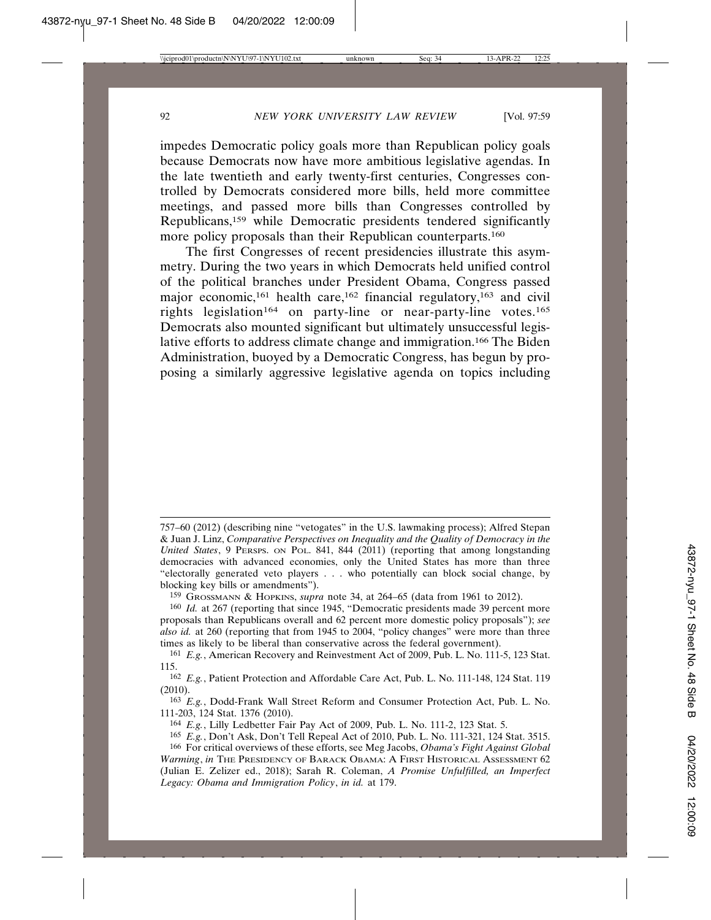impedes Democratic policy goals more than Republican policy goals because Democrats now have more ambitious legislative agendas. In the late twentieth and early twenty-first centuries, Congresses controlled by Democrats considered more bills, held more committee meetings, and passed more bills than Congresses controlled by Republicans,159 while Democratic presidents tendered significantly more policy proposals than their Republican counterparts.<sup>160</sup>

The first Congresses of recent presidencies illustrate this asymmetry. During the two years in which Democrats held unified control of the political branches under President Obama, Congress passed major economic,<sup>161</sup> health care,<sup>162</sup> financial regulatory,<sup>163</sup> and civil rights legislation<sup>164</sup> on party-line or near-party-line votes.<sup>165</sup> Democrats also mounted significant but ultimately unsuccessful legislative efforts to address climate change and immigration.166 The Biden Administration, buoyed by a Democratic Congress, has begun by proposing a similarly aggressive legislative agenda on topics including

<sup>757–60 (2012) (</sup>describing nine "vetogates" in the U.S. lawmaking process); Alfred Stepan & Juan J. Linz, *Comparative Perspectives on Inequality and the Quality of Democracy in the United States*, 9 PERSPS. ON POL. 841, 844 (2011) (reporting that among longstanding democracies with advanced economies, only the United States has more than three "electorally generated veto players . . . who potentially can block social change, by blocking key bills or amendments").

<sup>159</sup> GROSSMANN & HOPKINS, *supra* note 34, at 264–65 (data from 1961 to 2012).

<sup>160</sup> *Id.* at 267 (reporting that since 1945, "Democratic presidents made 39 percent more proposals than Republicans overall and 62 percent more domestic policy proposals"); *see also id.* at 260 (reporting that from 1945 to 2004, "policy changes" were more than three times as likely to be liberal than conservative across the federal government).

<sup>161</sup> *E.g.*, American Recovery and Reinvestment Act of 2009, Pub. L. No. 111-5, 123 Stat. 115.

<sup>162</sup> *E.g.*, Patient Protection and Affordable Care Act, Pub. L. No. 111-148, 124 Stat. 119 (2010).

<sup>163</sup> *E.g.*, Dodd-Frank Wall Street Reform and Consumer Protection Act, Pub. L. No. 111-203, 124 Stat. 1376 (2010).

<sup>164</sup> *E.g.*, Lilly Ledbetter Fair Pay Act of 2009, Pub. L. No. 111-2, 123 Stat. 5.

<sup>165</sup> *E.g.*, Don't Ask, Don't Tell Repeal Act of 2010, Pub. L. No. 111-321, 124 Stat. 3515. 166 For critical overviews of these efforts, see Meg Jacobs, *Obama's Fight Against Global*

*Warming*, *in* THE PRESIDENCY OF BARACK OBAMA: A FIRST HISTORICAL ASSESSMENT 62 (Julian E. Zelizer ed., 2018); Sarah R. Coleman, *A Promise Unfulfilled, an Imperfect Legacy: Obama and Immigration Policy*, *in id.* at 179.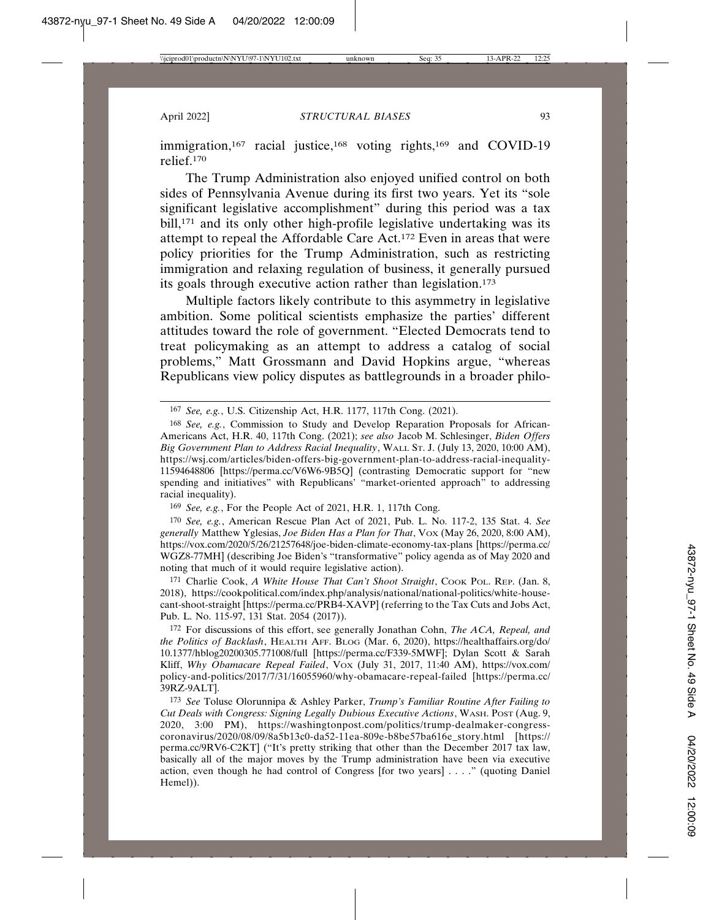immigration,<sup>167</sup> racial justice,<sup>168</sup> voting rights,<sup>169</sup> and COVID-19 relief.170

The Trump Administration also enjoyed unified control on both sides of Pennsylvania Avenue during its first two years. Yet its "sole significant legislative accomplishment" during this period was a tax bill,<sup>171</sup> and its only other high-profile legislative undertaking was its attempt to repeal the Affordable Care Act.172 Even in areas that were policy priorities for the Trump Administration, such as restricting immigration and relaxing regulation of business, it generally pursued its goals through executive action rather than legislation.<sup>173</sup>

Multiple factors likely contribute to this asymmetry in legislative ambition. Some political scientists emphasize the parties' different attitudes toward the role of government. "Elected Democrats tend to treat policymaking as an attempt to address a catalog of social problems," Matt Grossmann and David Hopkins argue, "whereas Republicans view policy disputes as battlegrounds in a broader philo-

169 *See, e.g.*, For the People Act of 2021, H.R. 1, 117th Cong.

170 *See, e.g.*, American Rescue Plan Act of 2021, Pub. L. No. 117-2, 135 Stat. 4. *See generally* Matthew Yglesias, *Joe Biden Has a Plan for That*, VOX (May 26, 2020, 8:00 AM), https://vox.com/2020/5/26/21257648/joe-biden-climate-economy-tax-plans [https://perma.cc/ WGZ8-77MH] (describing Joe Biden's "transformative" policy agenda as of May 2020 and noting that much of it would require legislative action).

171 Charlie Cook, *A White House That Can't Shoot Straight*, Cook PoL. REP. (Jan. 8, 2018), https://cookpolitical.com/index.php/analysis/national/national-politics/white-housecant-shoot-straight [https://perma.cc/PRB4-XAVP] (referring to the Tax Cuts and Jobs Act, Pub. L. No. 115-97, 131 Stat. 2054 (2017)).

172 For discussions of this effort, see generally Jonathan Cohn, *The ACA, Repeal, and the Politics of Backlash*, HEALTH AFF. BLOG (Mar. 6, 2020), https://healthaffairs.org/do/ 10.1377/hblog20200305.771008/full [https://perma.cc/F339-5MWF]; Dylan Scott & Sarah Kliff, Why Obamacare Repeal Failed, Vox (July 31, 2017, 11:40 AM), https://vox.com/ policy-and-politics/2017/7/31/16055960/why-obamacare-repeal-failed [https://perma.cc/ 39RZ-9ALT].

173 *See* Toluse Olorunnipa & Ashley Parker, *Trump's Familiar Routine After Failing to Cut Deals with Congress: Signing Legally Dubious Executive Actions*, WASH. POST (Aug. 9, 2020, 3:00 PM), https://washingtonpost.com/politics/trump-dealmaker-congresscoronavirus/2020/08/09/8a5b13c0-da52-11ea-809e-b8be57ba616e\_story.html [https:// perma.cc/9RV6-C2KT] ("It's pretty striking that other than the December 2017 tax law, basically all of the major moves by the Trump administration have been via executive action, even though he had control of Congress [for two years] . . . ." (quoting Daniel Hemel)).

<sup>167</sup> *See, e.g.*, U.S. Citizenship Act, H.R. 1177, 117th Cong. (2021).

<sup>168</sup> *See, e.g.*, Commission to Study and Develop Reparation Proposals for African-Americans Act, H.R. 40, 117th Cong. (2021); *see also* Jacob M. Schlesinger, *Biden Offers Big Government Plan to Address Racial Inequality*, WALL ST. J. (July 13, 2020, 10:00 AM), https://wsj.com/articles/biden-offers-big-government-plan-to-address-racial-inequality-11594648806 [https://perma.cc/V6W6-9B5Q] (contrasting Democratic support for "new spending and initiatives" with Republicans' "market-oriented approach" to addressing racial inequality).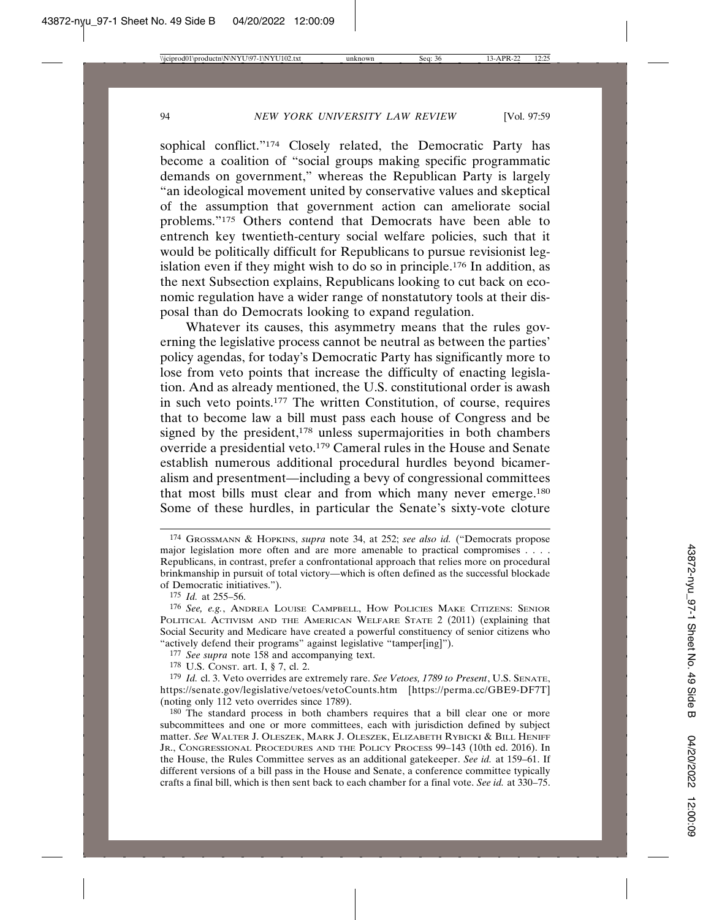sophical conflict."174 Closely related, the Democratic Party has become a coalition of "social groups making specific programmatic demands on government," whereas the Republican Party is largely "an ideological movement united by conservative values and skeptical of the assumption that government action can ameliorate social problems."175 Others contend that Democrats have been able to entrench key twentieth-century social welfare policies, such that it would be politically difficult for Republicans to pursue revisionist legislation even if they might wish to do so in principle.176 In addition, as the next Subsection explains, Republicans looking to cut back on economic regulation have a wider range of nonstatutory tools at their disposal than do Democrats looking to expand regulation.

Whatever its causes, this asymmetry means that the rules governing the legislative process cannot be neutral as between the parties' policy agendas, for today's Democratic Party has significantly more to lose from veto points that increase the difficulty of enacting legislation. And as already mentioned, the U.S. constitutional order is awash in such veto points.177 The written Constitution, of course, requires that to become law a bill must pass each house of Congress and be signed by the president,<sup>178</sup> unless supermajorities in both chambers override a presidential veto.179 Cameral rules in the House and Senate establish numerous additional procedural hurdles beyond bicameralism and presentment—including a bevy of congressional committees that most bills must clear and from which many never emerge.180 Some of these hurdles, in particular the Senate's sixty-vote cloture

177 *See supra* note 158 and accompanying text.

178 U.S. CONST. art. I, § 7, cl. 2.

<sup>174</sup> GROSSMANN & HOPKINS, *supra* note 34, at 252; *see also id.* ("Democrats propose major legislation more often and are more amenable to practical compromises . . . . Republicans, in contrast, prefer a confrontational approach that relies more on procedural brinkmanship in pursuit of total victory—which is often defined as the successful blockade of Democratic initiatives.").

<sup>175</sup> *Id.* at 255–56.

<sup>176</sup> *See, e.g.*, ANDREA LOUISE CAMPBELL, HOW POLICIES MAKE CITIZENS: SENIOR POLITICAL ACTIVISM AND THE AMERICAN WELFARE STATE 2 (2011) (explaining that Social Security and Medicare have created a powerful constituency of senior citizens who "actively defend their programs" against legislative "tamper[ing]").

<sup>179</sup> *Id.* cl. 3. Veto overrides are extremely rare. *See Vetoes, 1789 to Present*, U.S. SENATE, https://senate.gov/legislative/vetoes/vetoCounts.htm [https://perma.cc/GBE9-DF7T] (noting only 112 veto overrides since 1789).

<sup>180</sup> The standard process in both chambers requires that a bill clear one or more subcommittees and one or more committees, each with jurisdiction defined by subject matter. *See* WALTER J. OLESZEK, MARK J. OLESZEK, ELIZABETH RYBICKI & BILL HENIFF JR., CONGRESSIONAL PROCEDURES AND THE POLICY PROCESS 99–143 (10th ed. 2016). In the House, the Rules Committee serves as an additional gatekeeper. *See id.* at 159–61. If different versions of a bill pass in the House and Senate, a conference committee typically crafts a final bill, which is then sent back to each chamber for a final vote. *See id.* at 330–75.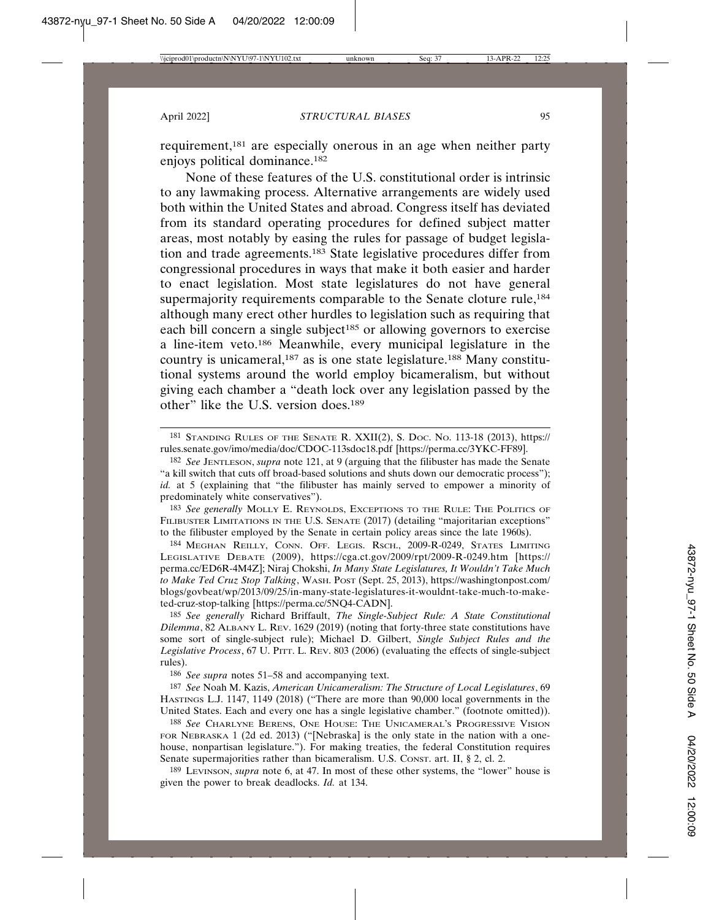requirement,181 are especially onerous in an age when neither party enjoys political dominance.182

None of these features of the U.S. constitutional order is intrinsic to any lawmaking process. Alternative arrangements are widely used both within the United States and abroad. Congress itself has deviated from its standard operating procedures for defined subject matter areas, most notably by easing the rules for passage of budget legislation and trade agreements.183 State legislative procedures differ from congressional procedures in ways that make it both easier and harder to enact legislation. Most state legislatures do not have general supermajority requirements comparable to the Senate cloture rule,<sup>184</sup> although many erect other hurdles to legislation such as requiring that each bill concern a single subject<sup>185</sup> or allowing governors to exercise a line-item veto.186 Meanwhile, every municipal legislature in the country is unicameral,187 as is one state legislature.188 Many constitutional systems around the world employ bicameralism, but without giving each chamber a "death lock over any legislation passed by the other" like the U.S. version does.<sup>189</sup>

183 *See generally* MOLLY E. REYNOLDS, EXCEPTIONS TO THE RULE: THE POLITICS OF FILIBUSTER LIMITATIONS IN THE U.S. SENATE (2017) (detailing "majoritarian exceptions" to the filibuster employed by the Senate in certain policy areas since the late 1960s).

184 MEGHAN REILLY, CONN. OFF. LEGIS. RSCH., 2009-R-0249, STATES LIMITING LEGISLATIVE DEBATE (2009), https://cga.ct.gov/2009/rpt/2009-R-0249.htm [https:// perma.cc/ED6R-4M4Z]; Niraj Chokshi, *In Many State Legislatures, It Wouldn't Take Much to Make Ted Cruz Stop Talking*, WASH. POST (Sept. 25, 2013), https://washingtonpost.com/ blogs/govbeat/wp/2013/09/25/in-many-state-legislatures-it-wouldnt-take-much-to-maketed-cruz-stop-talking [https://perma.cc/5NQ4-CADN].

185 *See generally* Richard Briffault, *The Single-Subject Rule: A State Constitutional Dilemma*, 82 ALBANY L. REV. 1629 (2019) (noting that forty-three state constitutions have some sort of single-subject rule); Michael D. Gilbert, *Single Subject Rules and the Legislative Process*, 67 U. PITT. L. REV. 803 (2006) (evaluating the effects of single-subject rules).

186 *See supra* notes 51–58 and accompanying text.

187 *See* Noah M. Kazis, *American Unicameralism: The Structure of Local Legislatures*, 69 HASTINGS L.J. 1147, 1149 (2018) ("There are more than 90,000 local governments in the United States. Each and every one has a single legislative chamber." (footnote omitted)).

188 *See* CHARLYNE BERENS, ONE HOUSE: THE UNICAMERAL'S PROGRESSIVE VISION FOR NEBRASKA 1 (2d ed. 2013) ("[Nebraska] is the only state in the nation with a onehouse, nonpartisan legislature."). For making treaties, the federal Constitution requires Senate supermajorities rather than bicameralism. U.S. CONST. art. II, § 2, cl. 2.

189 LEVINSON, *supra* note 6, at 47. In most of these other systems, the "lower" house is given the power to break deadlocks. *Id.* at 134.

<sup>181</sup> STANDING RULES OF THE SENATE R. XXII(2), S. DOC. NO. 113-18 (2013), https:// rules.senate.gov/imo/media/doc/CDOC-113sdoc18.pdf [https://perma.cc/3YKC-FF89].

<sup>182</sup> *See* JENTLESON, *supra* note 121, at 9 (arguing that the filibuster has made the Senate "a kill switch that cuts off broad-based solutions and shuts down our democratic process"); *id.* at 5 (explaining that "the filibuster has mainly served to empower a minority of predominately white conservatives").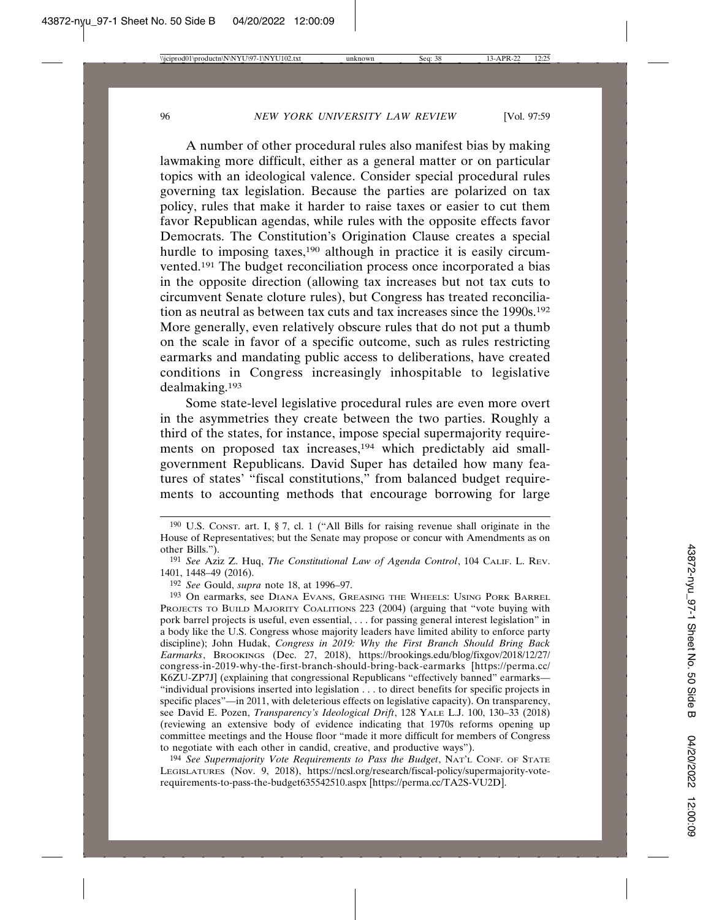A number of other procedural rules also manifest bias by making lawmaking more difficult, either as a general matter or on particular topics with an ideological valence. Consider special procedural rules governing tax legislation. Because the parties are polarized on tax policy, rules that make it harder to raise taxes or easier to cut them favor Republican agendas, while rules with the opposite effects favor Democrats. The Constitution's Origination Clause creates a special hurdle to imposing taxes,<sup>190</sup> although in practice it is easily circumvented.191 The budget reconciliation process once incorporated a bias in the opposite direction (allowing tax increases but not tax cuts to circumvent Senate cloture rules), but Congress has treated reconciliation as neutral as between tax cuts and tax increases since the 1990s.192 More generally, even relatively obscure rules that do not put a thumb on the scale in favor of a specific outcome, such as rules restricting earmarks and mandating public access to deliberations, have created conditions in Congress increasingly inhospitable to legislative dealmaking.193

Some state-level legislative procedural rules are even more overt in the asymmetries they create between the two parties. Roughly a third of the states, for instance, impose special supermajority requirements on proposed tax increases,<sup>194</sup> which predictably aid smallgovernment Republicans. David Super has detailed how many features of states' "fiscal constitutions," from balanced budget requirements to accounting methods that encourage borrowing for large

194 *See Supermajority Vote Requirements to Pass the Budget*, NAT'L CONF. OF STATE LEGISLATURES (Nov. 9, 2018), https://ncsl.org/research/fiscal-policy/supermajority-voterequirements-to-pass-the-budget635542510.aspx [https://perma.cc/TA2S-VU2D].

<sup>190</sup> U.S. CONST. art. I, § 7, cl. 1 ("All Bills for raising revenue shall originate in the House of Representatives; but the Senate may propose or concur with Amendments as on other Bills.").

<sup>191</sup> *See* Aziz Z. Huq, *The Constitutional Law of Agenda Control*, 104 CALIF. L. REV. 1401, 1448–49 (2016).

<sup>192</sup> *See* Gould, *supra* note 18, at 1996–97.

<sup>193</sup> On earmarks, see DIANA EVANS, GREASING THE WHEELS: USING PORK BARREL PROJECTS TO BUILD MAJORITY COALITIONS 223 (2004) (arguing that "vote buying with pork barrel projects is useful, even essential, . . . for passing general interest legislation" in a body like the U.S. Congress whose majority leaders have limited ability to enforce party discipline); John Hudak, *Congress in 2019: Why the First Branch Should Bring Back Earmarks*, BROOKINGS (Dec. 27, 2018), https://brookings.edu/blog/fixgov/2018/12/27/ congress-in-2019-why-the-first-branch-should-bring-back-earmarks [https://perma.cc/ K6ZU-ZP7J] (explaining that congressional Republicans "effectively banned" earmarks— "individual provisions inserted into legislation . . . to direct benefits for specific projects in specific places"—in 2011, with deleterious effects on legislative capacity). On transparency, see David E. Pozen, *Transparency's Ideological Drift*, 128 YALE L.J. 100, 130–33 (2018) (reviewing an extensive body of evidence indicating that 1970s reforms opening up committee meetings and the House floor "made it more difficult for members of Congress to negotiate with each other in candid, creative, and productive ways").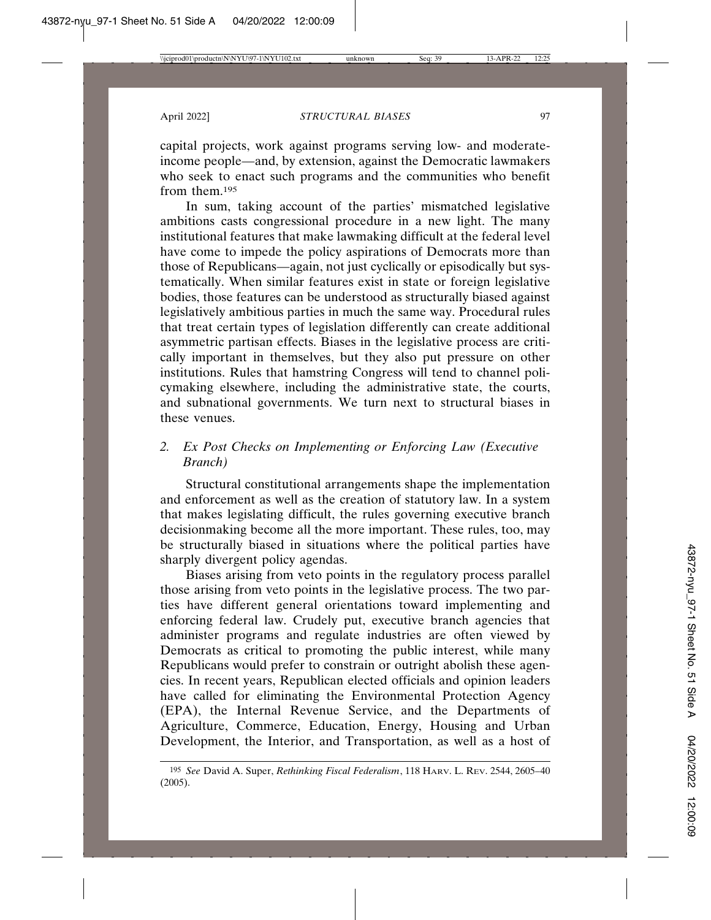capital projects, work against programs serving low- and moderateincome people—and, by extension, against the Democratic lawmakers who seek to enact such programs and the communities who benefit from them.<sup>195</sup>

In sum, taking account of the parties' mismatched legislative ambitions casts congressional procedure in a new light. The many institutional features that make lawmaking difficult at the federal level have come to impede the policy aspirations of Democrats more than those of Republicans—again, not just cyclically or episodically but systematically. When similar features exist in state or foreign legislative bodies, those features can be understood as structurally biased against legislatively ambitious parties in much the same way. Procedural rules that treat certain types of legislation differently can create additional asymmetric partisan effects. Biases in the legislative process are critically important in themselves, but they also put pressure on other institutions. Rules that hamstring Congress will tend to channel policymaking elsewhere, including the administrative state, the courts, and subnational governments. We turn next to structural biases in these venues.

## *2. Ex Post Checks on Implementing or Enforcing Law (Executive Branch)*

Structural constitutional arrangements shape the implementation and enforcement as well as the creation of statutory law. In a system that makes legislating difficult, the rules governing executive branch decisionmaking become all the more important. These rules, too, may be structurally biased in situations where the political parties have sharply divergent policy agendas.

Biases arising from veto points in the regulatory process parallel those arising from veto points in the legislative process. The two parties have different general orientations toward implementing and enforcing federal law. Crudely put, executive branch agencies that administer programs and regulate industries are often viewed by Democrats as critical to promoting the public interest, while many Republicans would prefer to constrain or outright abolish these agencies. In recent years, Republican elected officials and opinion leaders have called for eliminating the Environmental Protection Agency (EPA), the Internal Revenue Service, and the Departments of Agriculture, Commerce, Education, Energy, Housing and Urban Development, the Interior, and Transportation, as well as a host of

<sup>195</sup> *See* David A. Super, *Rethinking Fiscal Federalism*, 118 HARV. L. REV. 2544, 2605–40 (2005).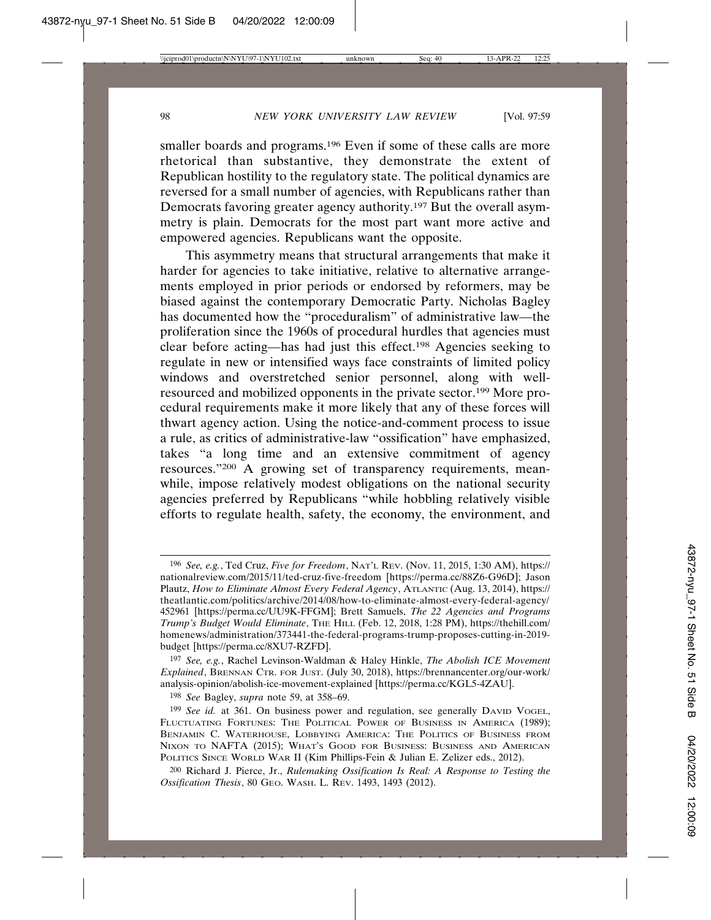smaller boards and programs.<sup>196</sup> Even if some of these calls are more rhetorical than substantive, they demonstrate the extent of Republican hostility to the regulatory state. The political dynamics are reversed for a small number of agencies, with Republicans rather than Democrats favoring greater agency authority.197 But the overall asymmetry is plain. Democrats for the most part want more active and empowered agencies. Republicans want the opposite.

This asymmetry means that structural arrangements that make it harder for agencies to take initiative, relative to alternative arrangements employed in prior periods or endorsed by reformers, may be biased against the contemporary Democratic Party. Nicholas Bagley has documented how the "proceduralism" of administrative law—the proliferation since the 1960s of procedural hurdles that agencies must clear before acting—has had just this effect.198 Agencies seeking to regulate in new or intensified ways face constraints of limited policy windows and overstretched senior personnel, along with wellresourced and mobilized opponents in the private sector.199 More procedural requirements make it more likely that any of these forces will thwart agency action. Using the notice-and-comment process to issue a rule, as critics of administrative-law "ossification" have emphasized, takes "a long time and an extensive commitment of agency resources."200 A growing set of transparency requirements, meanwhile, impose relatively modest obligations on the national security agencies preferred by Republicans "while hobbling relatively visible efforts to regulate health, safety, the economy, the environment, and

198 *See* Bagley, *supra* note 59, at 358–69.

<sup>196</sup> *See, e.g.*, Ted Cruz, *Five for Freedom*, NAT'L REV. (Nov. 11, 2015, 1:30 AM), https:// nationalreview.com/2015/11/ted-cruz-five-freedom [https://perma.cc/88Z6-G96D]; Jason Plautz, *How to Eliminate Almost Every Federal Agency*, ATLANTIC (Aug. 13, 2014), https:// theatlantic.com/politics/archive/2014/08/how-to-eliminate-almost-every-federal-agency/ 452961 [https://perma.cc/UU9K-FFGM]; Brett Samuels, *The 22 Agencies and Programs Trump's Budget Would Eliminate*, THE HILL (Feb. 12, 2018, 1:28 PM), https://thehill.com/ homenews/administration/373441-the-federal-programs-trump-proposes-cutting-in-2019 budget [https://perma.cc/8XU7-RZFD].

<sup>197</sup> *See, e.g.*, Rachel Levinson-Waldman & Haley Hinkle, *The Abolish ICE Movement Explained*, BRENNAN CTR. FOR JUST. (July 30, 2018), https://brennancenter.org/our-work/ analysis-opinion/abolish-ice-movement-explained [https://perma.cc/KGL5-4ZAU].

<sup>&</sup>lt;sup>199</sup> See id. at 361. On business power and regulation, see generally DAVID VOGEL, FLUCTUATING FORTUNES: THE POLITICAL POWER OF BUSINESS IN AMERICA (1989); BENJAMIN C. WATERHOUSE, LOBBYING AMERICA: THE POLITICS OF BUSINESS FROM NIXON TO NAFTA (2015); WHAT'S GOOD FOR BUSINESS: BUSINESS AND AMERICAN POLITICS SINCE WORLD WAR II (Kim Phillips-Fein & Julian E. Zelizer eds., 2012).

<sup>200</sup> Richard J. Pierce, Jr., *Rulemaking Ossification Is Real: A Response to Testing the Ossification Thesis*, 80 GEO. WASH. L. REV. 1493, 1493 (2012).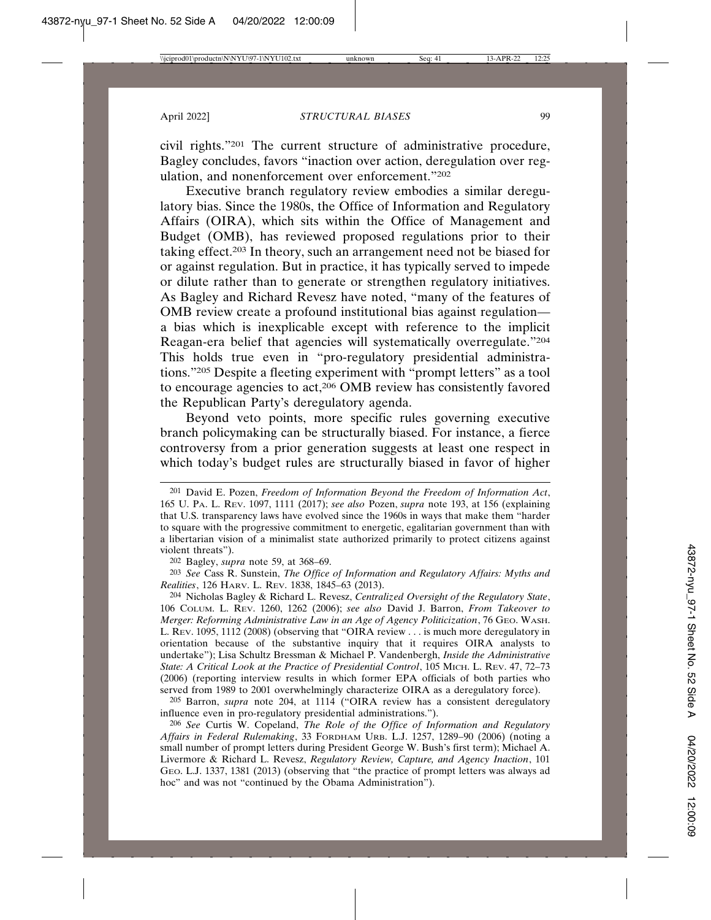civil rights."201 The current structure of administrative procedure, Bagley concludes, favors "inaction over action, deregulation over regulation, and nonenforcement over enforcement."202

Executive branch regulatory review embodies a similar deregulatory bias. Since the 1980s, the Office of Information and Regulatory Affairs (OIRA), which sits within the Office of Management and Budget (OMB), has reviewed proposed regulations prior to their taking effect.203 In theory, such an arrangement need not be biased for or against regulation. But in practice, it has typically served to impede or dilute rather than to generate or strengthen regulatory initiatives. As Bagley and Richard Revesz have noted, "many of the features of OMB review create a profound institutional bias against regulation a bias which is inexplicable except with reference to the implicit Reagan-era belief that agencies will systematically overregulate."204 This holds true even in "pro-regulatory presidential administrations."205 Despite a fleeting experiment with "prompt letters" as a tool to encourage agencies to act,206 OMB review has consistently favored the Republican Party's deregulatory agenda.

Beyond veto points, more specific rules governing executive branch policymaking can be structurally biased. For instance, a fierce controversy from a prior generation suggests at least one respect in which today's budget rules are structurally biased in favor of higher

202 Bagley, *supra* note 59, at 368–69.

203 *See* Cass R. Sunstein, *The Office of Information and Regulatory Affairs: Myths and Realities*, 126 HARV. L. REV. 1838, 1845–63 (2013).

204 Nicholas Bagley & Richard L. Revesz, *Centralized Oversight of the Regulatory State*, 106 COLUM. L. REV. 1260, 1262 (2006); *see also* David J. Barron, *From Takeover to Merger: Reforming Administrative Law in an Age of Agency Politicization*, 76 GEO. WASH. L. REV. 1095, 1112 (2008) (observing that "OIRA review . . . is much more deregulatory in orientation because of the substantive inquiry that it requires OIRA analysts to undertake"); Lisa Schultz Bressman & Michael P. Vandenbergh, *Inside the Administrative State: A Critical Look at the Practice of Presidential Control*, 105 MICH. L. REV. 47, 72–73 (2006) (reporting interview results in which former EPA officials of both parties who served from 1989 to 2001 overwhelmingly characterize OIRA as a deregulatory force).

205 Barron, *supra* note 204, at 1114 ("OIRA review has a consistent deregulatory influence even in pro-regulatory presidential administrations.").

206 *See* Curtis W. Copeland, *The Role of the Office of Information and Regulatory Affairs in Federal Rulemaking*, 33 FORDHAM URB. L.J. 1257, 1289–90 (2006) (noting a small number of prompt letters during President George W. Bush's first term); Michael A. Livermore & Richard L. Revesz, *Regulatory Review, Capture, and Agency Inaction*, 101 GEO. L.J. 1337, 1381 (2013) (observing that "the practice of prompt letters was always ad hoc" and was not "continued by the Obama Administration").

<sup>201</sup> David E. Pozen, *Freedom of Information Beyond the Freedom of Information Act*, 165 U. PA. L. REV. 1097, 1111 (2017); *see also* Pozen, *supra* note 193, at 156 (explaining that U.S. transparency laws have evolved since the 1960s in ways that make them "harder to square with the progressive commitment to energetic, egalitarian government than with a libertarian vision of a minimalist state authorized primarily to protect citizens against violent threats").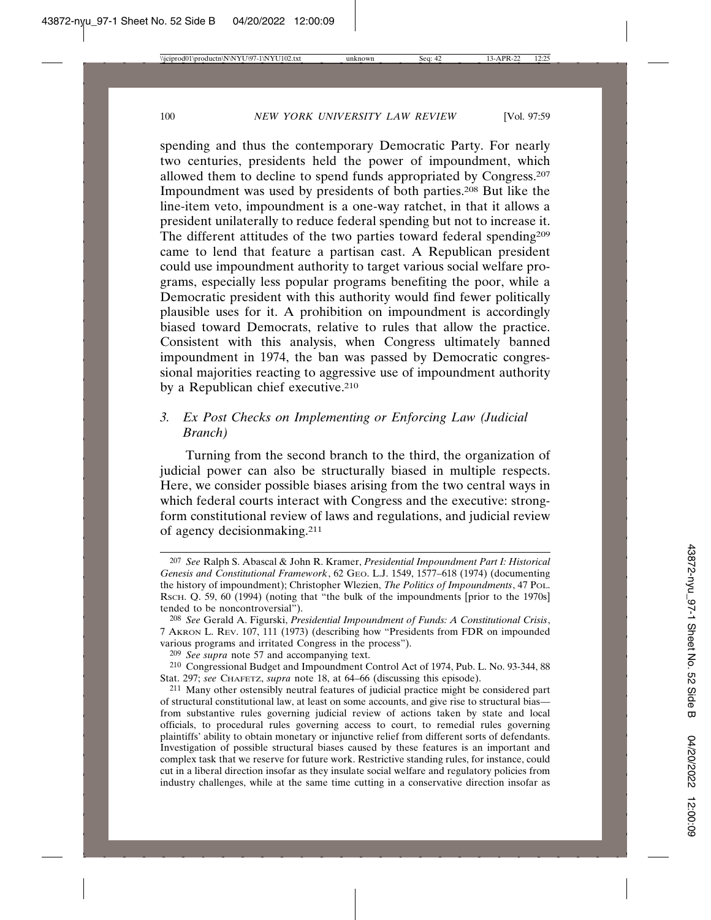spending and thus the contemporary Democratic Party. For nearly two centuries, presidents held the power of impoundment, which allowed them to decline to spend funds appropriated by Congress.207 Impoundment was used by presidents of both parties.208 But like the line-item veto, impoundment is a one-way ratchet, in that it allows a president unilaterally to reduce federal spending but not to increase it. The different attitudes of the two parties toward federal spending<sup>209</sup> came to lend that feature a partisan cast. A Republican president could use impoundment authority to target various social welfare programs, especially less popular programs benefiting the poor, while a Democratic president with this authority would find fewer politically plausible uses for it. A prohibition on impoundment is accordingly biased toward Democrats, relative to rules that allow the practice. Consistent with this analysis, when Congress ultimately banned impoundment in 1974, the ban was passed by Democratic congressional majorities reacting to aggressive use of impoundment authority by a Republican chief executive.<sup>210</sup>

## *3. Ex Post Checks on Implementing or Enforcing Law (Judicial Branch)*

Turning from the second branch to the third, the organization of judicial power can also be structurally biased in multiple respects. Here, we consider possible biases arising from the two central ways in which federal courts interact with Congress and the executive: strongform constitutional review of laws and regulations, and judicial review of agency decisionmaking.211

<sup>207</sup> *See* Ralph S. Abascal & John R. Kramer, *Presidential Impoundment Part I: Historical Genesis and Constitutional Framework*, 62 GEO. L.J. 1549, 1577–618 (1974) (documenting the history of impoundment); Christopher Wlezien, *The Politics of Impoundments*, 47 POL. RSCH. Q. 59, 60 (1994) (noting that "the bulk of the impoundments [prior to the 1970s] tended to be noncontroversial").

<sup>208</sup> *See* Gerald A. Figurski, *Presidential Impoundment of Funds: A Constitutional Crisis*, 7 AKRON L. REV. 107, 111 (1973) (describing how "Presidents from FDR on impounded various programs and irritated Congress in the process").

<sup>209</sup> *See supra* note 57 and accompanying text.

<sup>210</sup> Congressional Budget and Impoundment Control Act of 1974, Pub. L. No. 93-344, 88 Stat. 297; see CHAFETZ, *supra* note 18, at 64–66 (discussing this episode).

<sup>211</sup> Many other ostensibly neutral features of judicial practice might be considered part of structural constitutional law, at least on some accounts, and give rise to structural bias from substantive rules governing judicial review of actions taken by state and local officials, to procedural rules governing access to court, to remedial rules governing plaintiffs' ability to obtain monetary or injunctive relief from different sorts of defendants. Investigation of possible structural biases caused by these features is an important and complex task that we reserve for future work. Restrictive standing rules, for instance, could cut in a liberal direction insofar as they insulate social welfare and regulatory policies from industry challenges, while at the same time cutting in a conservative direction insofar as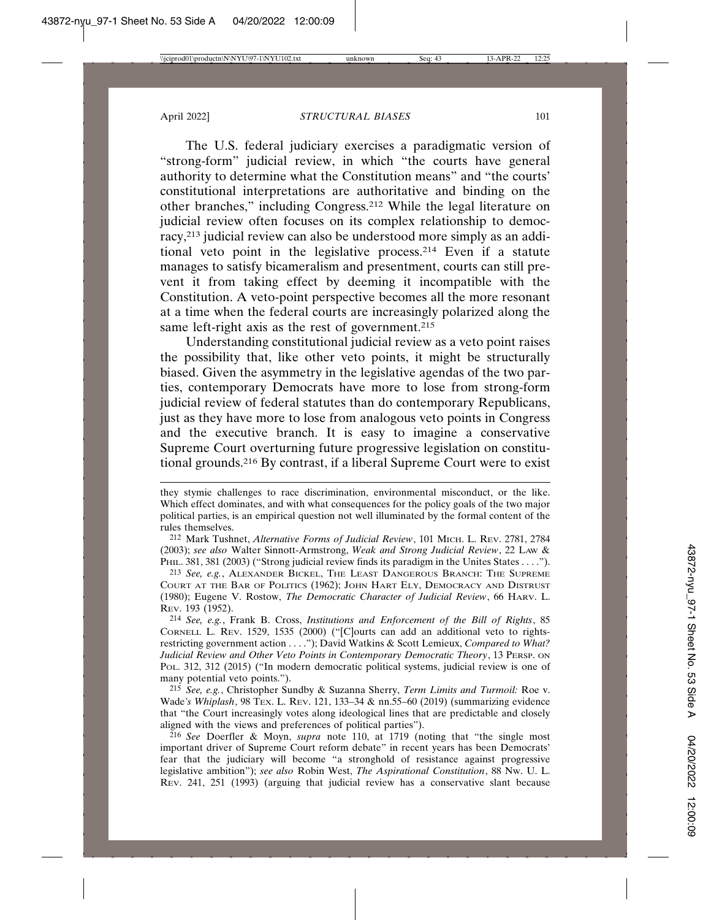The U.S. federal judiciary exercises a paradigmatic version of "strong-form" judicial review, in which "the courts have general authority to determine what the Constitution means" and "the courts' constitutional interpretations are authoritative and binding on the other branches," including Congress.212 While the legal literature on judicial review often focuses on its complex relationship to democracy,213 judicial review can also be understood more simply as an additional veto point in the legislative process.214 Even if a statute manages to satisfy bicameralism and presentment, courts can still prevent it from taking effect by deeming it incompatible with the Constitution. A veto-point perspective becomes all the more resonant at a time when the federal courts are increasingly polarized along the same left-right axis as the rest of government.<sup>215</sup>

Understanding constitutional judicial review as a veto point raises the possibility that, like other veto points, it might be structurally biased. Given the asymmetry in the legislative agendas of the two parties, contemporary Democrats have more to lose from strong-form judicial review of federal statutes than do contemporary Republicans, just as they have more to lose from analogous veto points in Congress and the executive branch. It is easy to imagine a conservative Supreme Court overturning future progressive legislation on constitutional grounds.216 By contrast, if a liberal Supreme Court were to exist

212 Mark Tushnet, *Alternative Forms of Judicial Review*, 101 MICH. L. REV. 2781, 2784 (2003); *see also* Walter Sinnott-Armstrong, *Weak and Strong Judicial Review*, 22 LAW & PHIL. 381, 381 (2003) ("Strong judicial review finds its paradigm in the Unites States . . . .").

213 *See, e.g.*, ALEXANDER BICKEL, THE LEAST DANGEROUS BRANCH: THE SUPREME COURT AT THE BAR OF POLITICS (1962); JOHN HART ELY, DEMOCRACY AND DISTRUST (1980); Eugene V. Rostow, *The Democratic Character of Judicial Review*, 66 HARV. L. REV. 193 (1952).

214 *See, e.g.*, Frank B. Cross, *Institutions and Enforcement of the Bill of Rights*, 85 CORNELL L. REV. 1529, 1535 (2000) ("[C]ourts can add an additional veto to rightsrestricting government action . . . ."); David Watkins & Scott Lemieux, *Compared to What? Judicial Review and Other Veto Points in Contemporary Democratic Theory*, 13 PERSP. ON POL. 312, 312 (2015) ("In modern democratic political systems, judicial review is one of many potential veto points.").

215 *See, e.g.*, Christopher Sundby & Suzanna Sherry, *Term Limits and Turmoil:* Roe v. Wade*'s Whiplash*, 98 TEX. L. REV. 121, 133–34 & nn.55–60 (2019) (summarizing evidence that "the Court increasingly votes along ideological lines that are predictable and closely aligned with the views and preferences of political parties").

216 *See* Doerfler & Moyn, *supra* note 110, at 1719 (noting that "the single most important driver of Supreme Court reform debate" in recent years has been Democrats' fear that the judiciary will become "a stronghold of resistance against progressive legislative ambition"); *see also* Robin West, *The Aspirational Constitution*, 88 NW. U. L. REV. 241, 251 (1993) (arguing that judicial review has a conservative slant because

they stymie challenges to race discrimination, environmental misconduct, or the like. Which effect dominates, and with what consequences for the policy goals of the two major political parties, is an empirical question not well illuminated by the formal content of the rules themselves.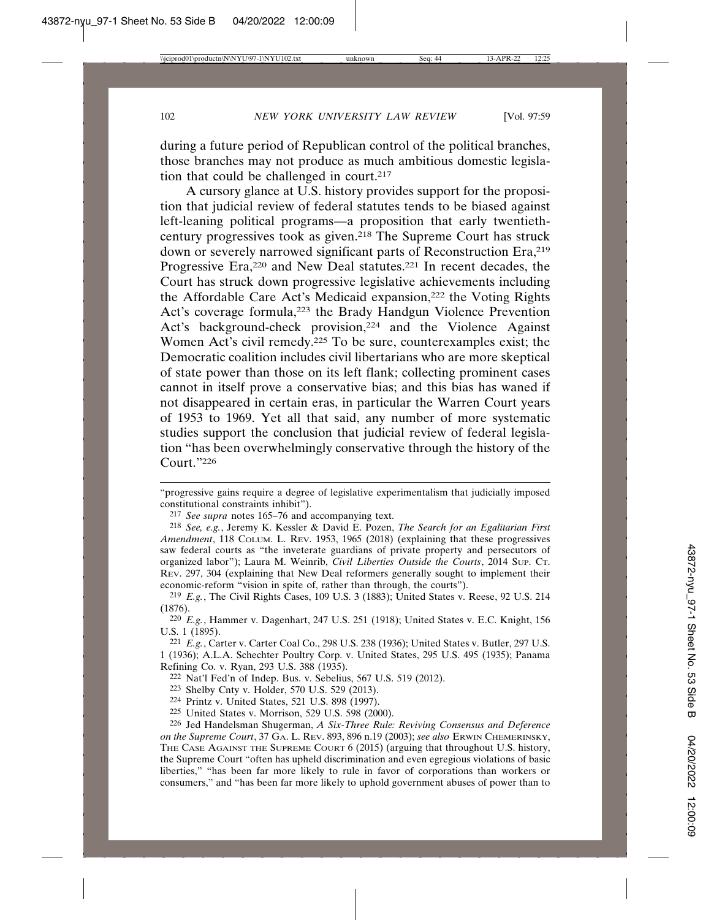during a future period of Republican control of the political branches, those branches may not produce as much ambitious domestic legislation that could be challenged in court.<sup>217</sup>

A cursory glance at U.S. history provides support for the proposition that judicial review of federal statutes tends to be biased against left-leaning political programs—a proposition that early twentiethcentury progressives took as given.218 The Supreme Court has struck down or severely narrowed significant parts of Reconstruction Era, <sup>219</sup> Progressive Era,<sup>220</sup> and New Deal statutes.<sup>221</sup> In recent decades, the Court has struck down progressive legislative achievements including the Affordable Care Act's Medicaid expansion,222 the Voting Rights Act's coverage formula,<sup>223</sup> the Brady Handgun Violence Prevention Act's background-check provision,<sup>224</sup> and the Violence Against Women Act's civil remedy.225 To be sure, counterexamples exist; the Democratic coalition includes civil libertarians who are more skeptical of state power than those on its left flank; collecting prominent cases cannot in itself prove a conservative bias; and this bias has waned if not disappeared in certain eras, in particular the Warren Court years of 1953 to 1969. Yet all that said, any number of more systematic studies support the conclusion that judicial review of federal legislation "has been overwhelmingly conservative through the history of the Court."226

221 *E.g.*, Carter v. Carter Coal Co., 298 U.S. 238 (1936); United States v. Butler, 297 U.S. 1 (1936); A.L.A. Schechter Poultry Corp. v. United States, 295 U.S. 495 (1935); Panama Refining Co. v. Ryan, 293 U.S. 388 (1935).

- 224 Printz v. United States, 521 U.S. 898 (1997).
- 225 United States v. Morrison, 529 U.S. 598 (2000).

<sup>&</sup>quot;progressive gains require a degree of legislative experimentalism that judicially imposed constitutional constraints inhibit").

<sup>217</sup> *See supra* notes 165–76 and accompanying text.

<sup>218</sup> *See, e.g.*, Jeremy K. Kessler & David E. Pozen, *The Search for an Egalitarian First Amendment*, 118 COLUM. L. REV. 1953, 1965 (2018) (explaining that these progressives saw federal courts as "the inveterate guardians of private property and persecutors of organized labor"); Laura M. Weinrib, *Civil Liberties Outside the Courts*, 2014 SUP. CT. REV. 297, 304 (explaining that New Deal reformers generally sought to implement their economic-reform "vision in spite of, rather than through, the courts").

<sup>219</sup> *E.g.*, The Civil Rights Cases, 109 U.S. 3 (1883); United States v. Reese, 92 U.S. 214 (1876).

<sup>220</sup> *E.g.*, Hammer v. Dagenhart, 247 U.S. 251 (1918); United States v. E.C. Knight, 156 U.S. 1 (1895).

<sup>222</sup> Nat'l Fed'n of Indep. Bus. v. Sebelius, 567 U.S. 519 (2012).

<sup>223</sup> Shelby Cnty v. Holder, 570 U.S. 529 (2013).

<sup>226</sup> Jed Handelsman Shugerman, *A Six-Three Rule: Reviving Consensus and Deference on the Supreme Court*, 37 GA. L. REV. 893, 896 n.19 (2003); *see also* ERWIN CHEMERINSKY, THE CASE AGAINST THE SUPREME COURT 6 (2015) (arguing that throughout U.S. history, the Supreme Court "often has upheld discrimination and even egregious violations of basic liberties," "has been far more likely to rule in favor of corporations than workers or consumers," and "has been far more likely to uphold government abuses of power than to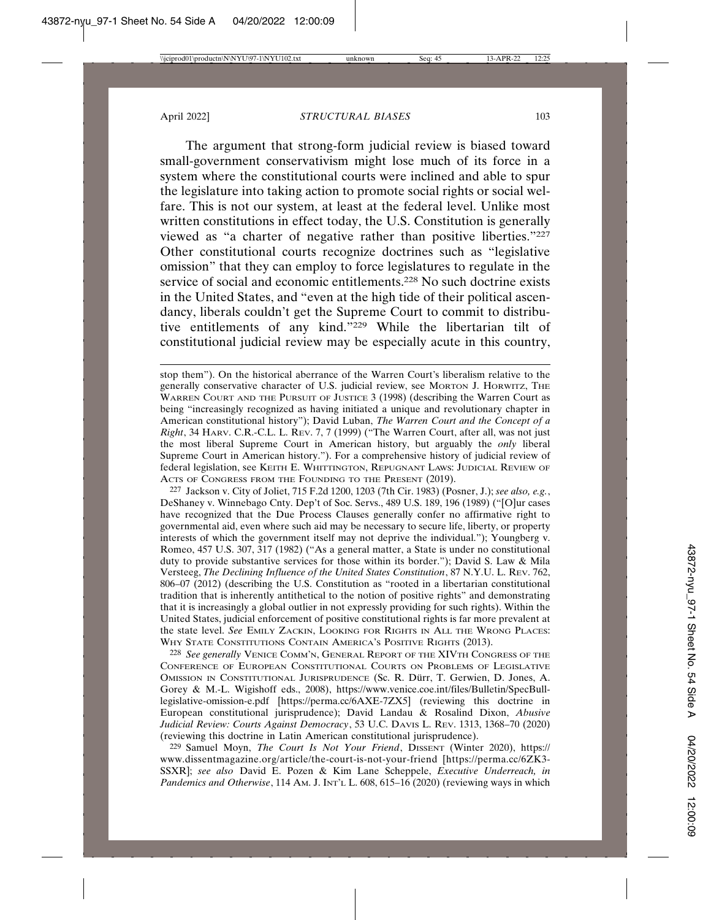The argument that strong-form judicial review is biased toward small-government conservativism might lose much of its force in a system where the constitutional courts were inclined and able to spur the legislature into taking action to promote social rights or social welfare. This is not our system, at least at the federal level. Unlike most written constitutions in effect today, the U.S. Constitution is generally viewed as "a charter of negative rather than positive liberties."227 Other constitutional courts recognize doctrines such as "legislative omission" that they can employ to force legislatures to regulate in the service of social and economic entitlements.228 No such doctrine exists in the United States, and "even at the high tide of their political ascendancy, liberals couldn't get the Supreme Court to commit to distributive entitlements of any kind."229 While the libertarian tilt of constitutional judicial review may be especially acute in this country,

227 Jackson v. City of Joliet, 715 F.2d 1200, 1203 (7th Cir. 1983) (Posner, J.); *see also, e.g.*, DeShaney v. Winnebago Cnty. Dep't of Soc. Servs., 489 U.S. 189, 196 (1989) ("[O]ur cases have recognized that the Due Process Clauses generally confer no affirmative right to governmental aid, even where such aid may be necessary to secure life, liberty, or property interests of which the government itself may not deprive the individual."); Youngberg v. Romeo, 457 U.S. 307, 317 (1982) ("As a general matter, a State is under no constitutional duty to provide substantive services for those within its border."); David S. Law & Mila Versteeg, *The Declining Influence of the United States Constitution*, 87 N.Y.U. L. REV. 762, 806–07 (2012) (describing the U.S. Constitution as "rooted in a libertarian constitutional tradition that is inherently antithetical to the notion of positive rights" and demonstrating that it is increasingly a global outlier in not expressly providing for such rights). Within the United States, judicial enforcement of positive constitutional rights is far more prevalent at the state level. *See* EMILY ZACKIN, LOOKING FOR RIGHTS IN ALL THE WRONG PLACES: WHY STATE CONSTITUTIONS CONTAIN AMERICA'S POSITIVE RIGHTS (2013).

228 *See generally* VENICE COMM'N, GENERAL REPORT OF THE XIVTH CONGRESS OF THE CONFERENCE OF EUROPEAN CONSTITUTIONAL COURTS ON PROBLEMS OF LEGISLATIVE OMISSION IN CONSTITUTIONAL JURISPRUDENCE (Sc. R. Dürr, T. Gerwien, D. Jones, A. Gorey & M.-L. Wigishoff eds., 2008), https://www.venice.coe.int/files/Bulletin/SpecBulllegislative-omission-e.pdf [https://perma.cc/6AXE-7ZX5] (reviewing this doctrine in European constitutional jurisprudence); David Landau & Rosalind Dixon, *Abusive Judicial Review: Courts Against Democracy*, 53 U.C. DAVIS L. REV. 1313, 1368–70 (2020) (reviewing this doctrine in Latin American constitutional jurisprudence).

229 Samuel Moyn, *The Court Is Not Your Friend*, DISSENT (Winter 2020), https:// www.dissentmagazine.org/article/the-court-is-not-your-friend [https://perma.cc/6ZK3- SSXR]; *see also* David E. Pozen & Kim Lane Scheppele, *Executive Underreach, in Pandemics and Otherwise*, 114 AM. J. INT'L L. 608, 615–16 (2020) (reviewing ways in which

stop them"). On the historical aberrance of the Warren Court's liberalism relative to the generally conservative character of U.S. judicial review, see MORTON J. HORWITZ, THE WARREN COURT AND THE PURSUIT OF JUSTICE 3 (1998) (describing the Warren Court as being "increasingly recognized as having initiated a unique and revolutionary chapter in American constitutional history"); David Luban, *The Warren Court and the Concept of a Right*, 34 HARV. C.R.-C.L. L. REV. 7, 7 (1999) ("The Warren Court, after all, was not just the most liberal Supreme Court in American history, but arguably the *only* liberal Supreme Court in American history."). For a comprehensive history of judicial review of federal legislation, see KEITH E. WHITTINGTON, REPUGNANT LAWS: JUDICIAL REVIEW OF ACTS OF CONGRESS FROM THE FOUNDING TO THE PRESENT (2019).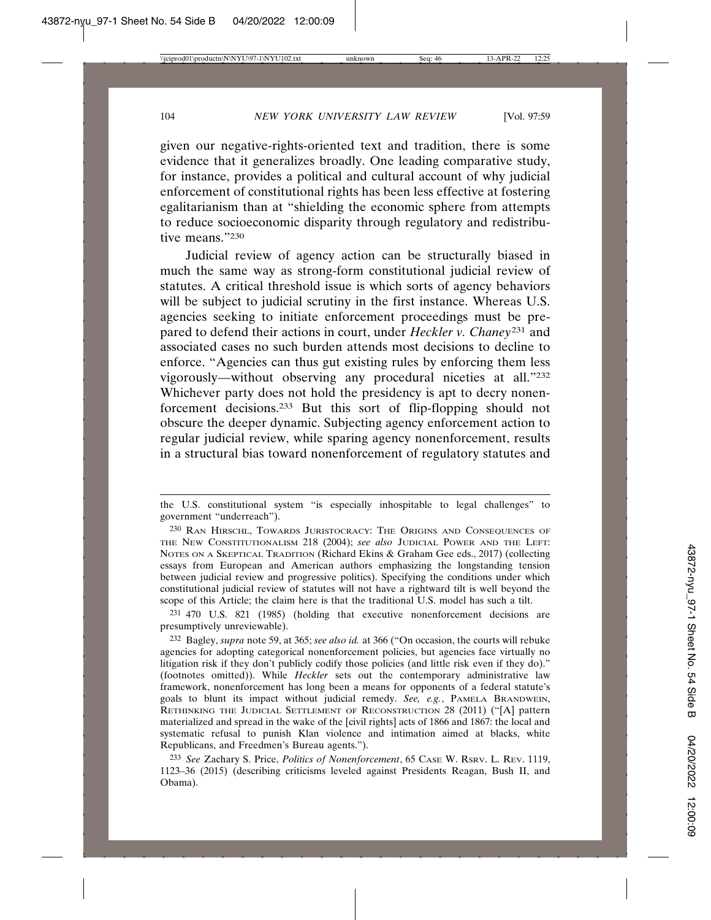given our negative-rights-oriented text and tradition, there is some evidence that it generalizes broadly. One leading comparative study, for instance, provides a political and cultural account of why judicial enforcement of constitutional rights has been less effective at fostering egalitarianism than at "shielding the economic sphere from attempts to reduce socioeconomic disparity through regulatory and redistributive means."230

Judicial review of agency action can be structurally biased in much the same way as strong-form constitutional judicial review of statutes. A critical threshold issue is which sorts of agency behaviors will be subject to judicial scrutiny in the first instance. Whereas U.S. agencies seeking to initiate enforcement proceedings must be prepared to defend their actions in court, under *Heckler v. Chaney*231 and associated cases no such burden attends most decisions to decline to enforce. "Agencies can thus gut existing rules by enforcing them less vigorously—without observing any procedural niceties at all."232 Whichever party does not hold the presidency is apt to decry nonenforcement decisions.233 But this sort of flip-flopping should not obscure the deeper dynamic. Subjecting agency enforcement action to regular judicial review, while sparing agency nonenforcement, results in a structural bias toward nonenforcement of regulatory statutes and

231 470 U.S. 821 (1985) (holding that executive nonenforcement decisions are presumptively unreviewable).

232 Bagley, *supra* note 59, at 365; *see also id.* at 366 ("On occasion, the courts will rebuke agencies for adopting categorical nonenforcement policies, but agencies face virtually no litigation risk if they don't publicly codify those policies (and little risk even if they do)." (footnotes omitted)). While *Heckler* sets out the contemporary administrative law framework, nonenforcement has long been a means for opponents of a federal statute's goals to blunt its impact without judicial remedy. *See, e.g.*, PAMELA BRANDWEIN, RETHINKING THE JUDICIAL SETTLEMENT OF RECONSTRUCTION 28 (2011) ("[A] pattern materialized and spread in the wake of the [civil rights] acts of 1866 and 1867: the local and systematic refusal to punish Klan violence and intimation aimed at blacks, white Republicans, and Freedmen's Bureau agents.").

the U.S. constitutional system "is especially inhospitable to legal challenges" to government "underreach").

<sup>230</sup> RAN HIRSCHL, TOWARDS JURISTOCRACY: THE ORIGINS AND CONSEQUENCES OF THE NEW CONSTITUTIONALISM 218 (2004); *see also* JUDICIAL POWER AND THE LEFT: NOTES ON A SKEPTICAL TRADITION (Richard Ekins & Graham Gee eds., 2017) (collecting essays from European and American authors emphasizing the longstanding tension between judicial review and progressive politics). Specifying the conditions under which constitutional judicial review of statutes will not have a rightward tilt is well beyond the scope of this Article; the claim here is that the traditional U.S. model has such a tilt.

<sup>233</sup> *See* Zachary S. Price, *Politics of Nonenforcement*, 65 CASE W. RSRV. L. REV. 1119, 1123–36 (2015) (describing criticisms leveled against Presidents Reagan, Bush II, and Obama).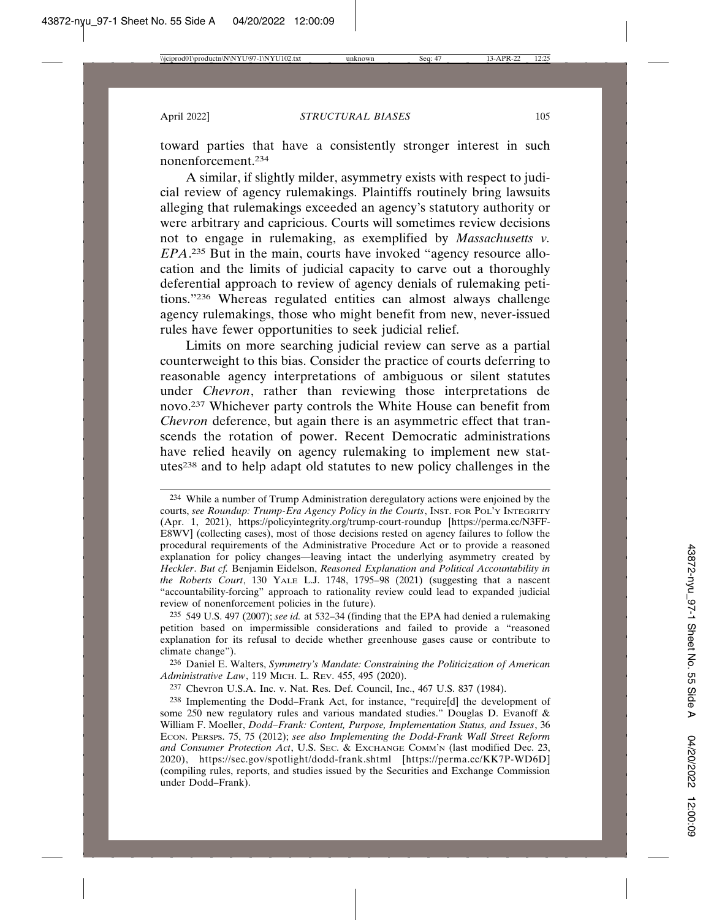toward parties that have a consistently stronger interest in such nonenforcement.234

A similar, if slightly milder, asymmetry exists with respect to judicial review of agency rulemakings. Plaintiffs routinely bring lawsuits alleging that rulemakings exceeded an agency's statutory authority or were arbitrary and capricious. Courts will sometimes review decisions not to engage in rulemaking, as exemplified by *Massachusetts v. EPA*. 235 But in the main, courts have invoked "agency resource allocation and the limits of judicial capacity to carve out a thoroughly deferential approach to review of agency denials of rulemaking petitions."236 Whereas regulated entities can almost always challenge agency rulemakings, those who might benefit from new, never-issued rules have fewer opportunities to seek judicial relief.

Limits on more searching judicial review can serve as a partial counterweight to this bias. Consider the practice of courts deferring to reasonable agency interpretations of ambiguous or silent statutes under *Chevron*, rather than reviewing those interpretations de novo.237 Whichever party controls the White House can benefit from *Chevron* deference, but again there is an asymmetric effect that transcends the rotation of power. Recent Democratic administrations have relied heavily on agency rulemaking to implement new statutes238 and to help adapt old statutes to new policy challenges in the

<sup>234</sup> While a number of Trump Administration deregulatory actions were enjoined by the courts, *see Roundup: Trump-Era Agency Policy in the Courts*, INST. FOR POL'Y INTEGRITY (Apr. 1, 2021), https://policyintegrity.org/trump-court-roundup [https://perma.cc/N3FF-E8WV] (collecting cases), most of those decisions rested on agency failures to follow the procedural requirements of the Administrative Procedure Act or to provide a reasoned explanation for policy changes—leaving intact the underlying asymmetry created by *Heckler*. *But cf.* Benjamin Eidelson, *Reasoned Explanation and Political Accountability in the Roberts Court*, 130 YALE L.J. 1748, 1795–98 (2021) (suggesting that a nascent "accountability-forcing" approach to rationality review could lead to expanded judicial review of nonenforcement policies in the future).

<sup>235</sup> 549 U.S. 497 (2007); *see id.* at 532–34 (finding that the EPA had denied a rulemaking petition based on impermissible considerations and failed to provide a "reasoned explanation for its refusal to decide whether greenhouse gases cause or contribute to climate change").

<sup>236</sup> Daniel E. Walters, *Symmetry's Mandate: Constraining the Politicization of American Administrative Law*, 119 MICH. L. REV. 455, 495 (2020).

<sup>237</sup> Chevron U.S.A. Inc. v. Nat. Res. Def. Council, Inc., 467 U.S. 837 (1984).

<sup>238</sup> Implementing the Dodd–Frank Act, for instance, "require[d] the development of some 250 new regulatory rules and various mandated studies." Douglas D. Evanoff & William F. Moeller, *Dodd–Frank: Content, Purpose, Implementation Status, and Issues*, 36 ECON. PERSPS. 75, 75 (2012); *see also Implementing the Dodd-Frank Wall Street Reform and Consumer Protection Act*, U.S. SEC. & EXCHANGE COMM'N (last modified Dec. 23, 2020), https://sec.gov/spotlight/dodd-frank.shtml [https://perma.cc/KK7P-WD6D] (compiling rules, reports, and studies issued by the Securities and Exchange Commission under Dodd–Frank).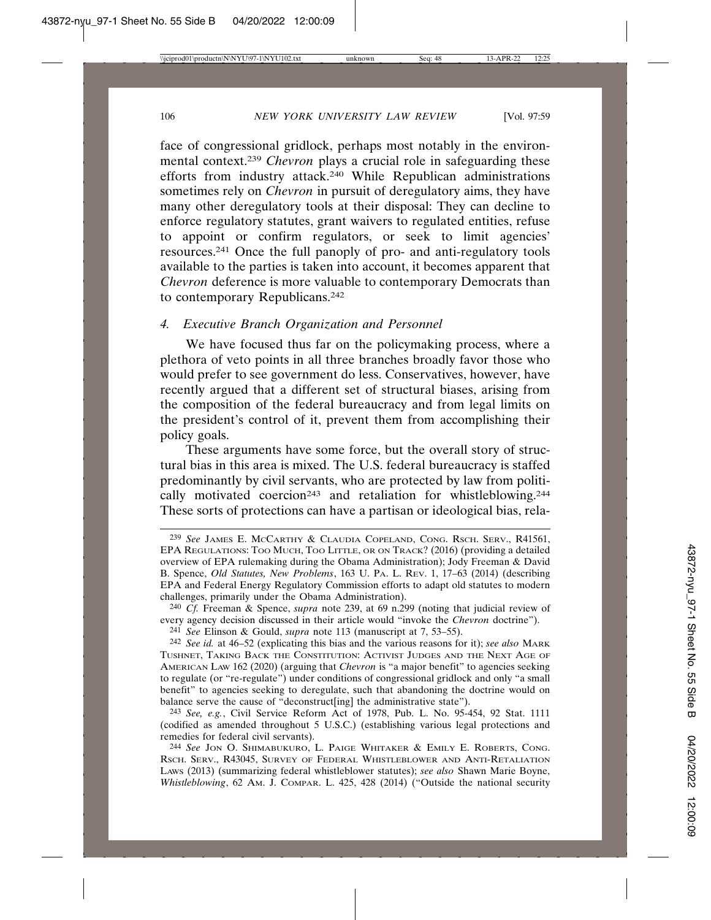face of congressional gridlock, perhaps most notably in the environmental context.239 *Chevron* plays a crucial role in safeguarding these efforts from industry attack.240 While Republican administrations sometimes rely on *Chevron* in pursuit of deregulatory aims, they have many other deregulatory tools at their disposal: They can decline to enforce regulatory statutes, grant waivers to regulated entities, refuse to appoint or confirm regulators, or seek to limit agencies' resources.241 Once the full panoply of pro- and anti-regulatory tools available to the parties is taken into account, it becomes apparent that *Chevron* deference is more valuable to contemporary Democrats than to contemporary Republicans.242

## *4. Executive Branch Organization and Personnel*

We have focused thus far on the policymaking process, where a plethora of veto points in all three branches broadly favor those who would prefer to see government do less. Conservatives, however, have recently argued that a different set of structural biases, arising from the composition of the federal bureaucracy and from legal limits on the president's control of it, prevent them from accomplishing their policy goals.

These arguments have some force, but the overall story of structural bias in this area is mixed. The U.S. federal bureaucracy is staffed predominantly by civil servants, who are protected by law from politically motivated coercion<sup>243</sup> and retaliation for whistleblowing.<sup>244</sup> These sorts of protections can have a partisan or ideological bias, rela-

240 *Cf.* Freeman & Spence, *supra* note 239, at 69 n.299 (noting that judicial review of every agency decision discussed in their article would "invoke the *Chevron* doctrine").

241 *See* Elinson & Gould, *supra* note 113 (manuscript at 7, 53–55).

243 *See, e.g.*, Civil Service Reform Act of 1978, Pub. L. No. 95-454, 92 Stat. 1111 (codified as amended throughout 5 U.S.C.) (establishing various legal protections and remedies for federal civil servants).

244 *See* JON O. SHIMABUKURO, L. PAIGE WHITAKER & EMILY E. ROBERTS, CONG. RSCH. SERV., R43045, SURVEY OF FEDERAL WHISTLEBLOWER AND ANTI-RETALIATION LAWS (2013) (summarizing federal whistleblower statutes); *see also* Shawn Marie Boyne, *Whistleblowing*, 62 AM. J. COMPAR. L. 425, 428 (2014) ("Outside the national security

<sup>239</sup> *See* JAMES E. MCCARTHY & CLAUDIA COPELAND, CONG. RSCH. SERV., R41561, EPA REGULATIONS: TOO MUCH, TOO LITTLE, OR ON TRACK? (2016) (providing a detailed overview of EPA rulemaking during the Obama Administration); Jody Freeman & David B. Spence, *Old Statutes, New Problems*, 163 U. PA. L. REV. 1, 17–63 (2014) (describing EPA and Federal Energy Regulatory Commission efforts to adapt old statutes to modern challenges, primarily under the Obama Administration).

<sup>242</sup> *See id.* at 46–52 (explicating this bias and the various reasons for it); *see also* MARK TUSHNET, TAKING BACK THE CONSTITUTION: ACTIVIST JUDGES AND THE NEXT AGE OF AMERICAN LAW 162 (2020) (arguing that *Chevron* is "a major benefit" to agencies seeking to regulate (or "re-regulate") under conditions of congressional gridlock and only "a small benefit" to agencies seeking to deregulate, such that abandoning the doctrine would on balance serve the cause of "deconstruct[ing] the administrative state").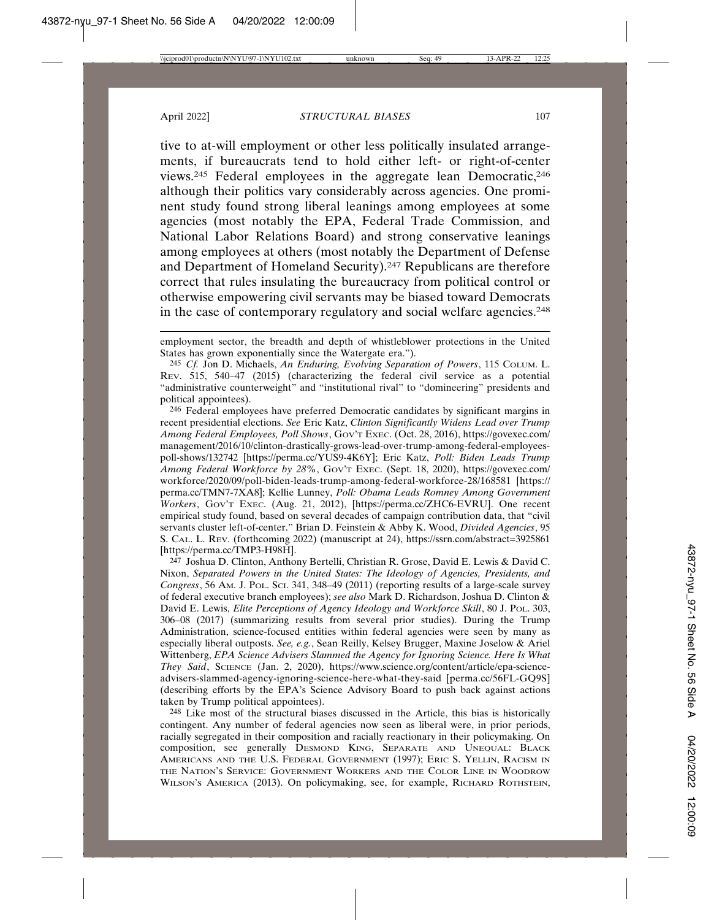tive to at-will employment or other less politically insulated arrangements, if bureaucrats tend to hold either left- or right-of-center views.245 Federal employees in the aggregate lean Democratic,246 although their politics vary considerably across agencies. One prominent study found strong liberal leanings among employees at some agencies (most notably the EPA, Federal Trade Commission, and National Labor Relations Board) and strong conservative leanings among employees at others (most notably the Department of Defense and Department of Homeland Security).247 Republicans are therefore correct that rules insulating the bureaucracy from political control or otherwise empowering civil servants may be biased toward Democrats in the case of contemporary regulatory and social welfare agencies.<sup>248</sup>

246 Federal employees have preferred Democratic candidates by significant margins in recent presidential elections. *See* Eric Katz, *Clinton Significantly Widens Lead over Trump Among Federal Employees, Poll Shows*, GOV'T EXEC. (Oct. 28, 2016), https://govexec.com/ management/2016/10/clinton-drastically-grows-lead-over-trump-among-federal-employeespoll-shows/132742 [https://perma.cc/YUS9-4K6Y]; Eric Katz, *Poll: Biden Leads Trump Among Federal Workforce by 28%*, GOV'T EXEC. (Sept. 18, 2020), https://govexec.com/ workforce/2020/09/poll-biden-leads-trump-among-federal-workforce-28/168581 [https:// perma.cc/TMN7-7XA8]; Kellie Lunney, *Poll: Obama Leads Romney Among Government Workers*, GOV'T EXEC. (Aug. 21, 2012), [https://perma.cc/ZHC6-EVRU]. One recent empirical study found, based on several decades of campaign contribution data, that "civil servants cluster left-of-center." Brian D. Feinstein & Abby K. Wood, *Divided Agencies*, 95 S. CAL. L. REV. (forthcoming 2022) (manuscript at 24), https://ssrn.com/abstract=3925861 [https://perma.cc/TMP3-H98H].

247 Joshua D. Clinton, Anthony Bertelli, Christian R. Grose, David E. Lewis & David C. Nixon, *Separated Powers in the United States: The Ideology of Agencies, Presidents, and Congress*, 56 AM. J. POL. SCI. 341, 348–49 (2011) (reporting results of a large-scale survey of federal executive branch employees); *see also* Mark D. Richardson, Joshua D. Clinton & David E. Lewis, *Elite Perceptions of Agency Ideology and Workforce Skill*, 80 J. Pol. 303, 306–08 (2017) (summarizing results from several prior studies). During the Trump Administration, science-focused entities within federal agencies were seen by many as especially liberal outposts. *See, e.g.*, Sean Reilly, Kelsey Brugger, Maxine Joselow & Ariel Wittenberg, *EPA Science Advisers Slammed the Agency for Ignoring Science. Here Is What They Said*, SCIENCE (Jan. 2, 2020), https://www.science.org/content/article/epa-scienceadvisers-slammed-agency-ignoring-science-here-what-they-said [perma.cc/56FL-GQ9S] (describing efforts by the EPA's Science Advisory Board to push back against actions taken by Trump political appointees).

248 Like most of the structural biases discussed in the Article, this bias is historically contingent. Any number of federal agencies now seen as liberal were, in prior periods, racially segregated in their composition and racially reactionary in their policymaking. On composition, see generally DESMOND KING, SEPARATE AND UNEQUAL: BLACK AMERICANS AND THE U.S. FEDERAL GOVERNMENT (1997); ERIC S. YELLIN, RACISM IN THE NATION'S SERVICE: GOVERNMENT WORKERS AND THE COLOR LINE IN WOODROW WILSON'S AMERICA (2013). On policymaking, see, for example, RICHARD ROTHSTEIN,

employment sector, the breadth and depth of whistleblower protections in the United States has grown exponentially since the Watergate era.").

<sup>245</sup> *Cf.* Jon D. Michaels, *An Enduring, Evolving Separation of Powers*, 115 COLUM. L. REV. 515, 540–47 (2015) (characterizing the federal civil service as a potential "administrative counterweight" and "institutional rival" to "domineering" presidents and political appointees).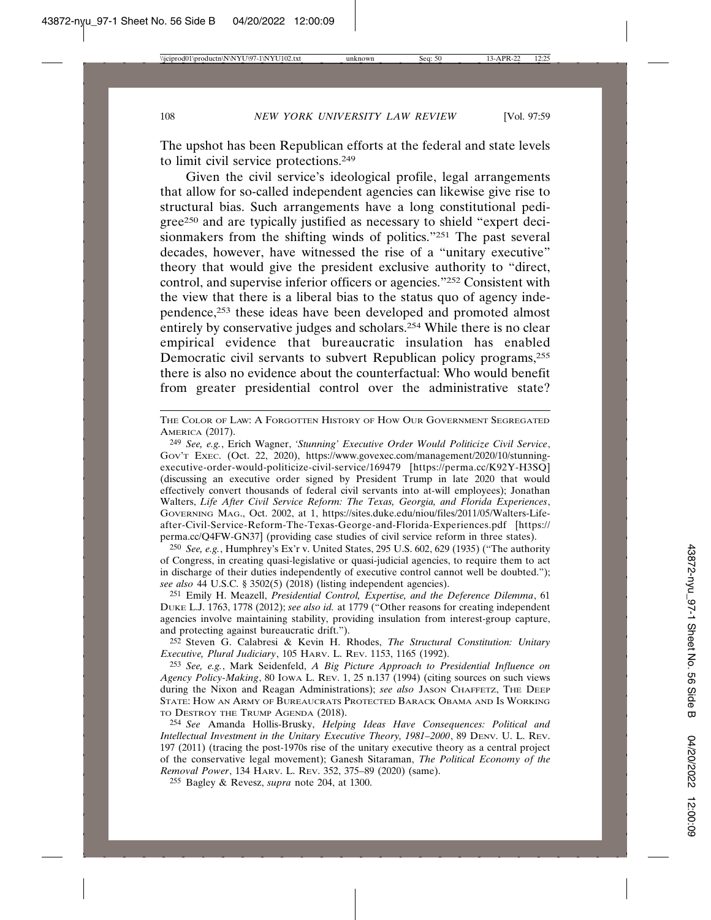The upshot has been Republican efforts at the federal and state levels to limit civil service protections.249

Given the civil service's ideological profile, legal arrangements that allow for so-called independent agencies can likewise give rise to structural bias. Such arrangements have a long constitutional pedigree250 and are typically justified as necessary to shield "expert decisionmakers from the shifting winds of politics."251 The past several decades, however, have witnessed the rise of a "unitary executive" theory that would give the president exclusive authority to "direct, control, and supervise inferior officers or agencies."252 Consistent with the view that there is a liberal bias to the status quo of agency independence,253 these ideas have been developed and promoted almost entirely by conservative judges and scholars.254 While there is no clear empirical evidence that bureaucratic insulation has enabled Democratic civil servants to subvert Republican policy programs,<sup>255</sup> there is also no evidence about the counterfactual: Who would benefit from greater presidential control over the administrative state?

250 *See, e.g.*, Humphrey's Ex'r v. United States, 295 U.S. 602, 629 (1935) ("The authority of Congress, in creating quasi-legislative or quasi-judicial agencies, to require them to act in discharge of their duties independently of executive control cannot well be doubted."); *see also* 44 U.S.C. § 3502(5) (2018) (listing independent agencies).

251 Emily H. Meazell, *Presidential Control, Expertise, and the Deference Dilemma*, 61 DUKE L.J. 1763, 1778 (2012); *see also id.* at 1779 ("Other reasons for creating independent agencies involve maintaining stability, providing insulation from interest-group capture, and protecting against bureaucratic drift.").

252 Steven G. Calabresi & Kevin H. Rhodes, *The Structural Constitution: Unitary Executive, Plural Judiciary*, 105 HARV. L. REV. 1153, 1165 (1992).

253 *See, e.g.*, Mark Seidenfeld, *A Big Picture Approach to Presidential Influence on Agency Policy-Making*, 80 IOWA L. REV. 1, 25 n.137 (1994) (citing sources on such views during the Nixon and Reagan Administrations); *see also* JASON CHAFFETZ, THE DEEP STATE: HOW AN ARMY OF BUREAUCRATS PROTECTED BARACK OBAMA AND IS WORKING TO DESTROY THE TRUMP AGENDA (2018).

254 *See* Amanda Hollis-Brusky, *Helping Ideas Have Consequences: Political and Intellectual Investment in the Unitary Executive Theory, 1981–2000*, 89 DENV. U. L. REV. 197 (2011) (tracing the post-1970s rise of the unitary executive theory as a central project of the conservative legal movement); Ganesh Sitaraman, *The Political Economy of the Removal Power*, 134 HARV. L. REV. 352, 375–89 (2020) (same).

255 Bagley & Revesz, *supra* note 204, at 1300.

THE COLOR OF LAW: A FORGOTTEN HISTORY OF HOW OUR GOVERNMENT SEGREGATED AMERICA (2017).

<sup>249</sup> *See, e.g.*, Erich Wagner, *'Stunning' Executive Order Would Politicize Civil Service*, GOV'T EXEC. (Oct. 22, 2020), https://www.govexec.com/management/2020/10/stunningexecutive-order-would-politicize-civil-service/169479 [https://perma.cc/K92Y-H3SQ] (discussing an executive order signed by President Trump in late 2020 that would effectively convert thousands of federal civil servants into at-will employees); Jonathan Walters, *Life After Civil Service Reform: The Texas, Georgia, and Florida Experiences*, GOVERNING MAG., Oct. 2002, at 1, https://sites.duke.edu/niou/files/2011/05/Walters-Lifeafter-Civil-Service-Reform-The-Texas-George-and-Florida-Experiences.pdf [https:// perma.cc/Q4FW-GN37] (providing case studies of civil service reform in three states).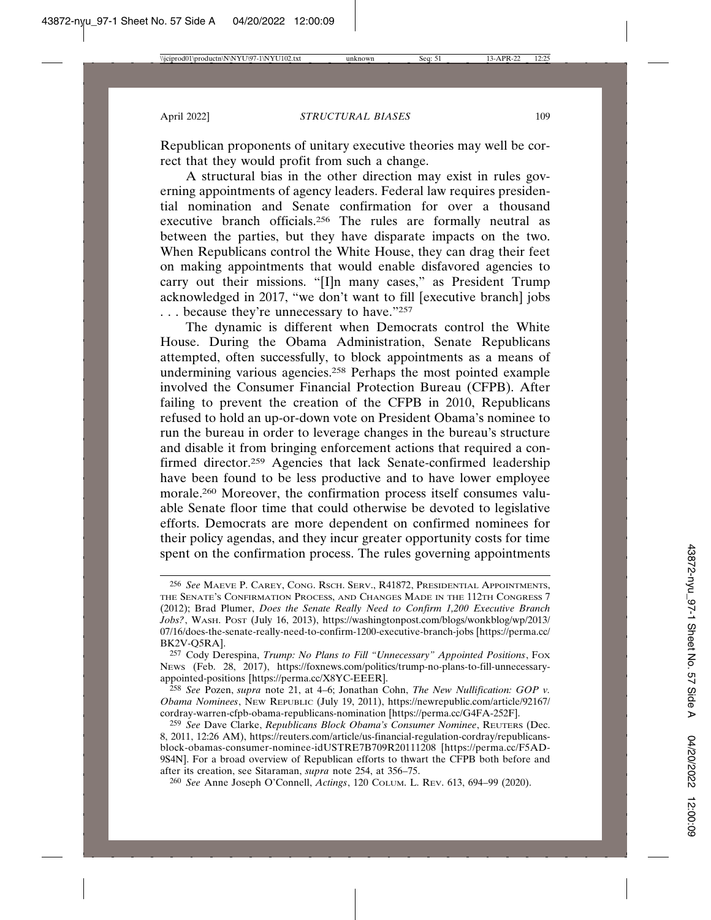Republican proponents of unitary executive theories may well be correct that they would profit from such a change.

A structural bias in the other direction may exist in rules governing appointments of agency leaders. Federal law requires presidential nomination and Senate confirmation for over a thousand executive branch officials.256 The rules are formally neutral as between the parties, but they have disparate impacts on the two. When Republicans control the White House, they can drag their feet on making appointments that would enable disfavored agencies to carry out their missions. "[I]n many cases," as President Trump acknowledged in 2017, "we don't want to fill [executive branch] jobs . . . because they're unnecessary to have."257

The dynamic is different when Democrats control the White House. During the Obama Administration, Senate Republicans attempted, often successfully, to block appointments as a means of undermining various agencies.258 Perhaps the most pointed example involved the Consumer Financial Protection Bureau (CFPB). After failing to prevent the creation of the CFPB in 2010, Republicans refused to hold an up-or-down vote on President Obama's nominee to run the bureau in order to leverage changes in the bureau's structure and disable it from bringing enforcement actions that required a confirmed director.<sup>259</sup> Agencies that lack Senate-confirmed leadership have been found to be less productive and to have lower employee morale.260 Moreover, the confirmation process itself consumes valuable Senate floor time that could otherwise be devoted to legislative efforts. Democrats are more dependent on confirmed nominees for their policy agendas, and they incur greater opportunity costs for time spent on the confirmation process. The rules governing appointments

258 *See* Pozen, *supra* note 21, at 4–6; Jonathan Cohn, *The New Nullification: GOP v. Obama Nominees*, NEW REPUBLIC (July 19, 2011), https://newrepublic.com/article/92167/ cordray-warren-cfpb-obama-republicans-nomination [https://perma.cc/G4FA-252F].

260 *See* Anne Joseph O'Connell, *Actings*, 120 COLUM. L. REV. 613, 694–99 (2020).

<sup>256</sup> *See* MAEVE P. CAREY, CONG. RSCH. SERV., R41872, PRESIDENTIAL APPOINTMENTS, THE SENATE'S CONFIRMATION PROCESS, AND CHANGES MADE IN THE 112TH CONGRESS 7 (2012); Brad Plumer, *Does the Senate Really Need to Confirm 1,200 Executive Branch Jobs?*, WASH. POST (July 16, 2013), https://washingtonpost.com/blogs/wonkblog/wp/2013/ 07/16/does-the-senate-really-need-to-confirm-1200-executive-branch-jobs [https://perma.cc/ BK2V-Q5RA].

<sup>257</sup> Cody Derespina, *Trump: No Plans to Fill "Unnecessary" Appointed Positions*, FOX NEWS (Feb. 28, 2017), https://foxnews.com/politics/trump-no-plans-to-fill-unnecessaryappointed-positions [https://perma.cc/X8YC-EEER].

<sup>259</sup> *See* Dave Clarke, *Republicans Block Obama's Consumer Nominee*, REUTERS (Dec. 8, 2011, 12:26 AM), https://reuters.com/article/us-financial-regulation-cordray/republicansblock-obamas-consumer-nominee-idUSTRE7B709R20111208 [https://perma.cc/F5AD-9S4N]. For a broad overview of Republican efforts to thwart the CFPB both before and after its creation, see Sitaraman, *supra* note 254, at 356–75.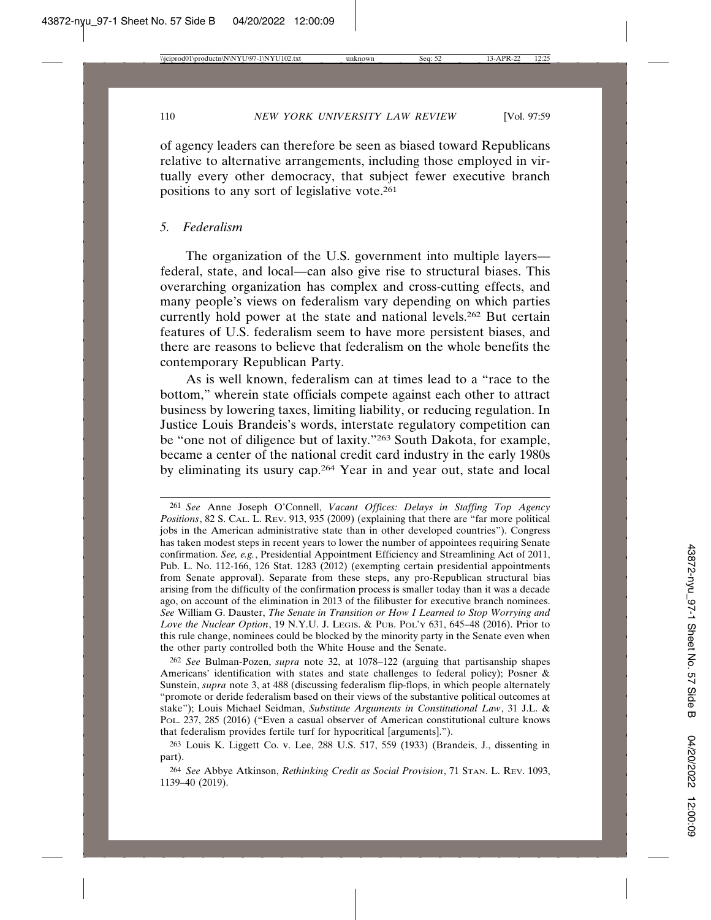of agency leaders can therefore be seen as biased toward Republicans relative to alternative arrangements, including those employed in virtually every other democracy, that subject fewer executive branch positions to any sort of legislative vote.261

#### *5. Federalism*

The organization of the U.S. government into multiple layers federal, state, and local—can also give rise to structural biases. This overarching organization has complex and cross-cutting effects, and many people's views on federalism vary depending on which parties currently hold power at the state and national levels.262 But certain features of U.S. federalism seem to have more persistent biases, and there are reasons to believe that federalism on the whole benefits the contemporary Republican Party.

As is well known, federalism can at times lead to a "race to the bottom," wherein state officials compete against each other to attract business by lowering taxes, limiting liability, or reducing regulation. In Justice Louis Brandeis's words, interstate regulatory competition can be "one not of diligence but of laxity."263 South Dakota, for example, became a center of the national credit card industry in the early 1980s by eliminating its usury cap.264 Year in and year out, state and local

262 *See* Bulman-Pozen, *supra* note 32, at 1078–122 (arguing that partisanship shapes Americans' identification with states and state challenges to federal policy); Posner & Sunstein, *supra* note 3, at 488 (discussing federalism flip-flops, in which people alternately "promote or deride federalism based on their views of the substantive political outcomes at stake"); Louis Michael Seidman, *Substitute Arguments in Constitutional Law*, 31 J.L. & POL. 237, 285 (2016) ("Even a casual observer of American constitutional culture knows that federalism provides fertile turf for hypocritical [arguments].").

<sup>261</sup> *See* Anne Joseph O'Connell, *Vacant Offices: Delays in Staffing Top Agency Positions*, 82 S. CAL. L. REV. 913, 935 (2009) (explaining that there are "far more political jobs in the American administrative state than in other developed countries"). Congress has taken modest steps in recent years to lower the number of appointees requiring Senate confirmation. *See, e.g.*, Presidential Appointment Efficiency and Streamlining Act of 2011, Pub. L. No. 112-166, 126 Stat. 1283 (2012) (exempting certain presidential appointments from Senate approval). Separate from these steps, any pro-Republican structural bias arising from the difficulty of the confirmation process is smaller today than it was a decade ago, on account of the elimination in 2013 of the filibuster for executive branch nominees. *See* William G. Dauster, *The Senate in Transition or How I Learned to Stop Worrying and Love the Nuclear Option*, 19 N.Y.U. J. LEGIS. & PUB. POL'Y 631, 645–48 (2016). Prior to this rule change, nominees could be blocked by the minority party in the Senate even when the other party controlled both the White House and the Senate.

<sup>263</sup> Louis K. Liggett Co. v. Lee, 288 U.S. 517, 559 (1933) (Brandeis, J., dissenting in part).

<sup>264</sup> *See* Abbye Atkinson, *Rethinking Credit as Social Provision*, 71 STAN. L. REV. 1093, 1139–40 (2019).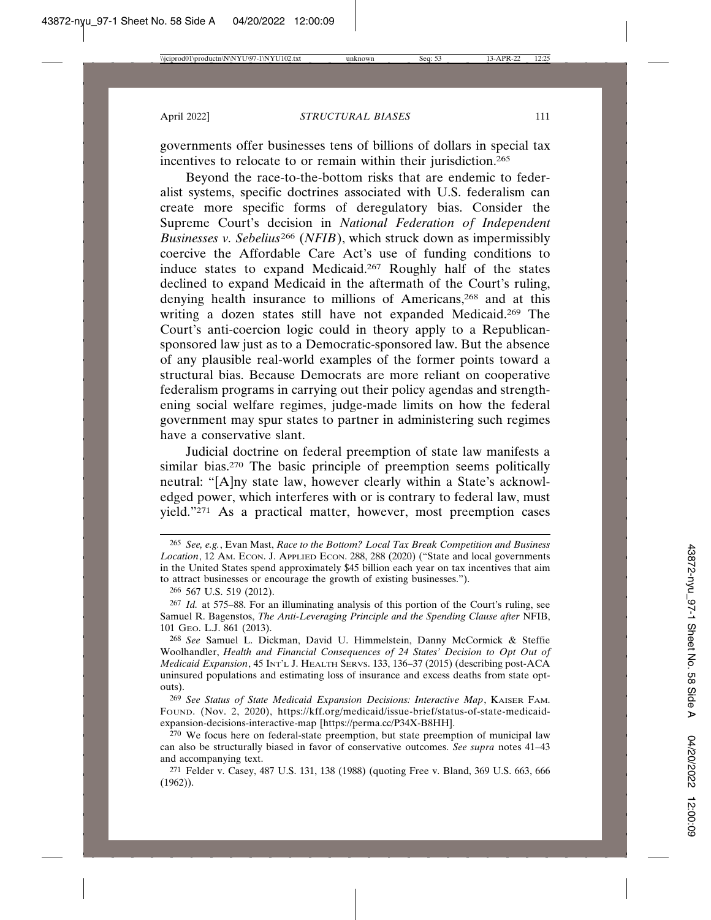governments offer businesses tens of billions of dollars in special tax incentives to relocate to or remain within their jurisdiction.<sup>265</sup>

Beyond the race-to-the-bottom risks that are endemic to federalist systems, specific doctrines associated with U.S. federalism can create more specific forms of deregulatory bias. Consider the Supreme Court's decision in *National Federation of Independent Businesses v. Sebelius*<sup>266</sup> (*NFIB*), which struck down as impermissibly coercive the Affordable Care Act's use of funding conditions to induce states to expand Medicaid.267 Roughly half of the states declined to expand Medicaid in the aftermath of the Court's ruling, denying health insurance to millions of Americans,<sup>268</sup> and at this writing a dozen states still have not expanded Medicaid.<sup>269</sup> The Court's anti-coercion logic could in theory apply to a Republicansponsored law just as to a Democratic-sponsored law. But the absence of any plausible real-world examples of the former points toward a structural bias. Because Democrats are more reliant on cooperative federalism programs in carrying out their policy agendas and strengthening social welfare regimes, judge-made limits on how the federal government may spur states to partner in administering such regimes have a conservative slant.

Judicial doctrine on federal preemption of state law manifests a similar bias.<sup>270</sup> The basic principle of preemption seems politically neutral: "[A]ny state law, however clearly within a State's acknowledged power, which interferes with or is contrary to federal law, must yield."271 As a practical matter, however, most preemption cases

269 *See Status of State Medicaid Expansion Decisions: Interactive Map*, KAISER FAM. FOUND. (Nov. 2, 2020), https://kff.org/medicaid/issue-brief/status-of-state-medicaidexpansion-decisions-interactive-map [https://perma.cc/P34X-B8HH].

270 We focus here on federal-state preemption, but state preemption of municipal law can also be structurally biased in favor of conservative outcomes. *See supra* notes 41–43 and accompanying text.

271 Felder v. Casey, 487 U.S. 131, 138 (1988) (quoting Free v. Bland, 369 U.S. 663, 666 (1962)).

<sup>265</sup> *See, e.g.*, Evan Mast, *Race to the Bottom? Local Tax Break Competition and Business* Location, 12 AM. ECON. J. APPLIED ECON. 288, 288 (2020) ("State and local governments in the United States spend approximately \$45 billion each year on tax incentives that aim to attract businesses or encourage the growth of existing businesses.").

<sup>266</sup> 567 U.S. 519 (2012).

<sup>267</sup> *Id.* at 575–88. For an illuminating analysis of this portion of the Court's ruling, see Samuel R. Bagenstos, *The Anti-Leveraging Principle and the Spending Clause after* NFIB, 101 GEO. L.J. 861 (2013).

<sup>268</sup> *See* Samuel L. Dickman, David U. Himmelstein, Danny McCormick & Steffie Woolhandler, *Health and Financial Consequences of 24 States' Decision to Opt Out of Medicaid Expansion*, 45 INT'L J. HEALTH SERVS. 133, 136–37 (2015) (describing post-ACA uninsured populations and estimating loss of insurance and excess deaths from state optouts).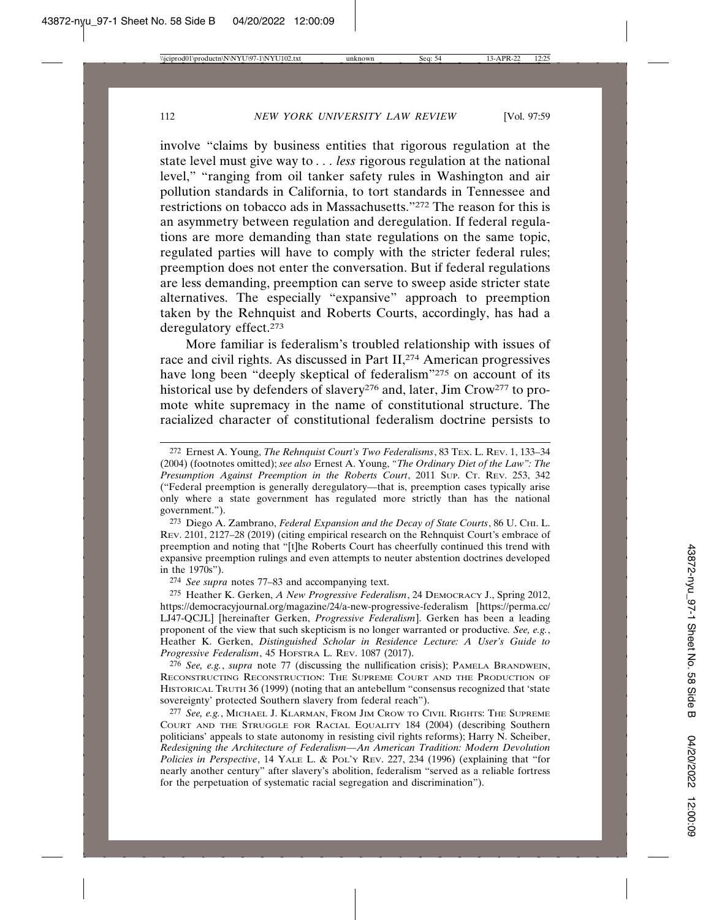involve "claims by business entities that rigorous regulation at the state level must give way to *. . . less* rigorous regulation at the national level," "ranging from oil tanker safety rules in Washington and air pollution standards in California, to tort standards in Tennessee and restrictions on tobacco ads in Massachusetts."272 The reason for this is an asymmetry between regulation and deregulation. If federal regulations are more demanding than state regulations on the same topic, regulated parties will have to comply with the stricter federal rules; preemption does not enter the conversation. But if federal regulations are less demanding, preemption can serve to sweep aside stricter state alternatives. The especially "expansive" approach to preemption taken by the Rehnquist and Roberts Courts, accordingly, has had a deregulatory effect.273

More familiar is federalism's troubled relationship with issues of race and civil rights. As discussed in Part II,<sup>274</sup> American progressives have long been "deeply skeptical of federalism"275 on account of its historical use by defenders of slavery<sup>276</sup> and, later, Jim Crow<sup>277</sup> to promote white supremacy in the name of constitutional structure. The racialized character of constitutional federalism doctrine persists to

273 Diego A. Zambrano, *Federal Expansion and the Decay of State Courts*, 86 U. CHI. L. REV. 2101, 2127–28 (2019) (citing empirical research on the Rehnquist Court's embrace of preemption and noting that "[t]he Roberts Court has cheerfully continued this trend with expansive preemption rulings and even attempts to neuter abstention doctrines developed in the 1970s").

274 *See supra* notes 77–83 and accompanying text.

275 Heather K. Gerken, *A New Progressive Federalism*, 24 DEMOCRACY J., Spring 2012, https://democracyjournal.org/magazine/24/a-new-progressive-federalism [https://perma.cc/ LJ47-QCJL] [hereinafter Gerken, *Progressive Federalism*]. Gerken has been a leading proponent of the view that such skepticism is no longer warranted or productive*. See, e.g.*, Heather K. Gerken, *Distinguished Scholar in Residence Lecture: A User's Guide to Progressive Federalism*, 45 HOFSTRA L. REV. 1087 (2017).

276 *See, e.g.*, *supra* note 77 (discussing the nullification crisis); PAMELA BRANDWEIN, RECONSTRUCTING RECONSTRUCTION: THE SUPREME COURT AND THE PRODUCTION OF HISTORICAL TRUTH 36 (1999) (noting that an antebellum "consensus recognized that 'state sovereignty' protected Southern slavery from federal reach").

277 *See, e.g.*, MICHAEL J. KLARMAN, FROM JIM CROW TO CIVIL RIGHTS: THE SUPREME COURT AND THE STRUGGLE FOR RACIAL EQUALITY 184 (2004) (describing Southern politicians' appeals to state autonomy in resisting civil rights reforms); Harry N. Scheiber, *Redesigning the Architecture of Federalism—An American Tradition: Modern Devolution Policies in Perspective*, 14 YALE L. & POL'Y REV. 227, 234 (1996) (explaining that "for nearly another century" after slavery's abolition, federalism "served as a reliable fortress for the perpetuation of systematic racial segregation and discrimination").

<sup>272</sup> Ernest A. Young, *The Rehnquist Court's Two Federalisms*, 83 TEX. L. REV. 1, 133–34 (2004) (footnotes omitted); *see also* Ernest A. Young, *"The Ordinary Diet of the Law": The Presumption Against Preemption in the Roberts Court*, 2011 SUP. CT. REV. 253, 342 ("Federal preemption is generally deregulatory—that is, preemption cases typically arise only where a state government has regulated more strictly than has the national government.").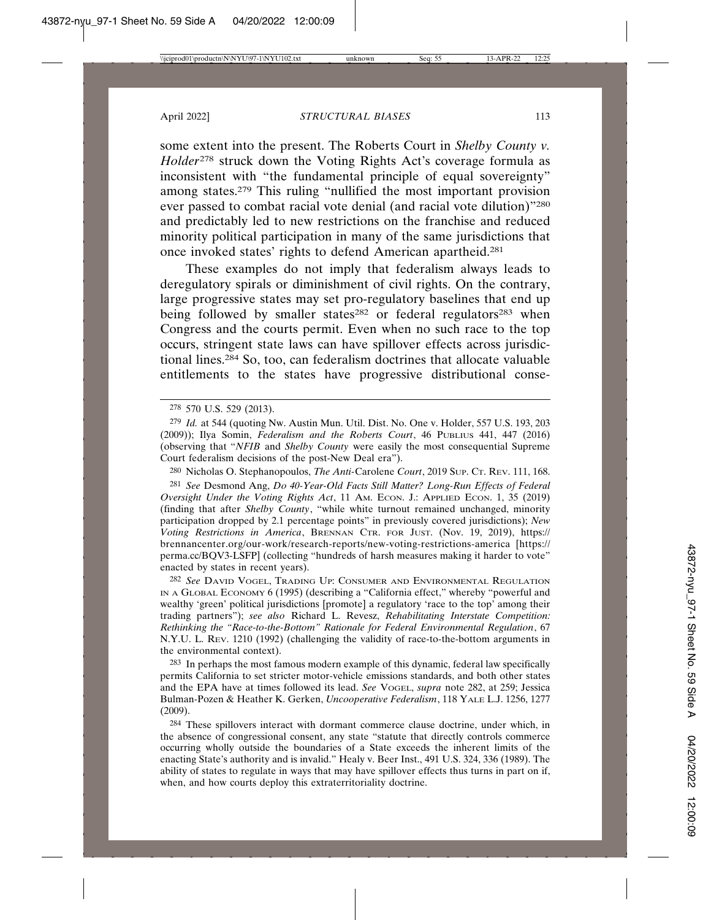some extent into the present. The Roberts Court in *Shelby County v. Holder*278 struck down the Voting Rights Act's coverage formula as inconsistent with "the fundamental principle of equal sovereignty" among states.279 This ruling "nullified the most important provision ever passed to combat racial vote denial (and racial vote dilution)"280 and predictably led to new restrictions on the franchise and reduced minority political participation in many of the same jurisdictions that once invoked states' rights to defend American apartheid.281

These examples do not imply that federalism always leads to deregulatory spirals or diminishment of civil rights. On the contrary, large progressive states may set pro-regulatory baselines that end up being followed by smaller states<sup>282</sup> or federal regulators<sup>283</sup> when Congress and the courts permit. Even when no such race to the top occurs, stringent state laws can have spillover effects across jurisdictional lines.284 So, too, can federalism doctrines that allocate valuable entitlements to the states have progressive distributional conse-

280 Nicholas O. Stephanopoulos, *The Anti-*Carolene *Court*, 2019 SUP. CT. REV. 111, 168. 281 *See* Desmond Ang, *Do 40-Year-Old Facts Still Matter? Long-Run Effects of Federal Oversight Under the Voting Rights Act*, 11 AM. ECON. J.: APPLIED ECON. 1, 35 (2019) (finding that after *Shelby County*, "while white turnout remained unchanged, minority participation dropped by 2.1 percentage points" in previously covered jurisdictions); *New Voting Restrictions in America*, BRENNAN CTR. FOR JUST. (Nov. 19, 2019), https:// brennancenter.org/our-work/research-reports/new-voting-restrictions-america [https:// perma.cc/BQV3-LSFP] (collecting "hundreds of harsh measures making it harder to vote" enacted by states in recent years).

282 *See* DAVID VOGEL, TRADING UP: CONSUMER AND ENVIRONMENTAL REGULATION IN A GLOBAL ECONOMY 6 (1995) (describing a "California effect," whereby "powerful and wealthy 'green' political jurisdictions [promote] a regulatory 'race to the top' among their trading partners"); *see also* Richard L. Revesz, *Rehabilitating Interstate Competition: Rethinking the "Race-to-the-Bottom" Rationale for Federal Environmental Regulation*, 67 N.Y.U. L. REV. 1210 (1992) (challenging the validity of race-to-the-bottom arguments in the environmental context).

283 In perhaps the most famous modern example of this dynamic, federal law specifically permits California to set stricter motor-vehicle emissions standards, and both other states and the EPA have at times followed its lead. *See* VOGEL, *supra* note 282, at 259; Jessica Bulman-Pozen & Heather K. Gerken, *Uncooperative Federalism*, 118 YALE L.J. 1256, 1277 (2009).

284 These spillovers interact with dormant commerce clause doctrine, under which, in the absence of congressional consent, any state "statute that directly controls commerce occurring wholly outside the boundaries of a State exceeds the inherent limits of the enacting State's authority and is invalid." Healy v. Beer Inst., 491 U.S. 324, 336 (1989). The ability of states to regulate in ways that may have spillover effects thus turns in part on if, when, and how courts deploy this extraterritoriality doctrine.

<sup>278</sup> 570 U.S. 529 (2013).

<sup>279</sup> *Id.* at 544 (quoting Nw. Austin Mun. Util. Dist. No. One v. Holder, 557 U.S. 193, 203 (2009)); Ilya Somin, *Federalism and the Roberts Court*, 46 PUBLIUS 441, 447 (2016) (observing that "*NFIB* and *Shelby County* were easily the most consequential Supreme Court federalism decisions of the post-New Deal era").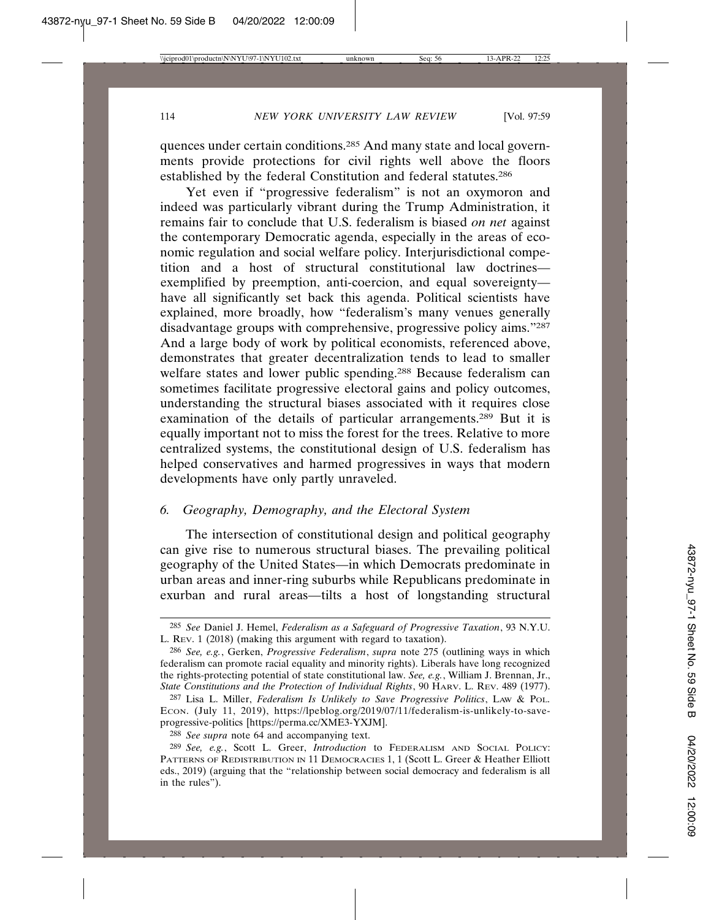quences under certain conditions.285 And many state and local governments provide protections for civil rights well above the floors established by the federal Constitution and federal statutes.286

Yet even if "progressive federalism" is not an oxymoron and indeed was particularly vibrant during the Trump Administration, it remains fair to conclude that U.S. federalism is biased *on net* against the contemporary Democratic agenda, especially in the areas of economic regulation and social welfare policy. Interjurisdictional competition and a host of structural constitutional law doctrines exemplified by preemption, anti-coercion, and equal sovereignty have all significantly set back this agenda. Political scientists have explained, more broadly, how "federalism's many venues generally disadvantage groups with comprehensive, progressive policy aims."287 And a large body of work by political economists, referenced above, demonstrates that greater decentralization tends to lead to smaller welfare states and lower public spending.<sup>288</sup> Because federalism can sometimes facilitate progressive electoral gains and policy outcomes, understanding the structural biases associated with it requires close examination of the details of particular arrangements.289 But it is equally important not to miss the forest for the trees. Relative to more centralized systems, the constitutional design of U.S. federalism has helped conservatives and harmed progressives in ways that modern developments have only partly unraveled.

## *6. Geography, Demography, and the Electoral System*

The intersection of constitutional design and political geography can give rise to numerous structural biases. The prevailing political geography of the United States—in which Democrats predominate in urban areas and inner-ring suburbs while Republicans predominate in exurban and rural areas—tilts a host of longstanding structural

<sup>285</sup> *See* Daniel J. Hemel, *Federalism as a Safeguard of Progressive Taxation*, 93 N.Y.U. L. REV. 1 (2018) (making this argument with regard to taxation).

<sup>286</sup> *See, e.g.*, Gerken, *Progressive Federalism*, *supra* note 275 (outlining ways in which federalism can promote racial equality and minority rights). Liberals have long recognized the rights-protecting potential of state constitutional law. *See, e.g.*, William J. Brennan, Jr., *State Constitutions and the Protection of Individual Rights*, 90 HARV. L. REV. 489 (1977).

<sup>287</sup> Lisa L. Miller, *Federalism Is Unlikely to Save Progressive Politics*, LAW & POL. ECON. (July 11, 2019), https://lpeblog.org/2019/07/11/federalism-is-unlikely-to-saveprogressive-politics [https://perma.cc/XME3-YXJM].

<sup>288</sup> *See supra* note 64 and accompanying text.

<sup>289</sup> *See, e.g.*, Scott L. Greer, *Introduction* to FEDERALISM AND SOCIAL POLICY: PATTERNS OF REDISTRIBUTION IN 11 DEMOCRACIES 1, 1 (Scott L. Greer & Heather Elliott eds., 2019) (arguing that the "relationship between social democracy and federalism is all in the rules").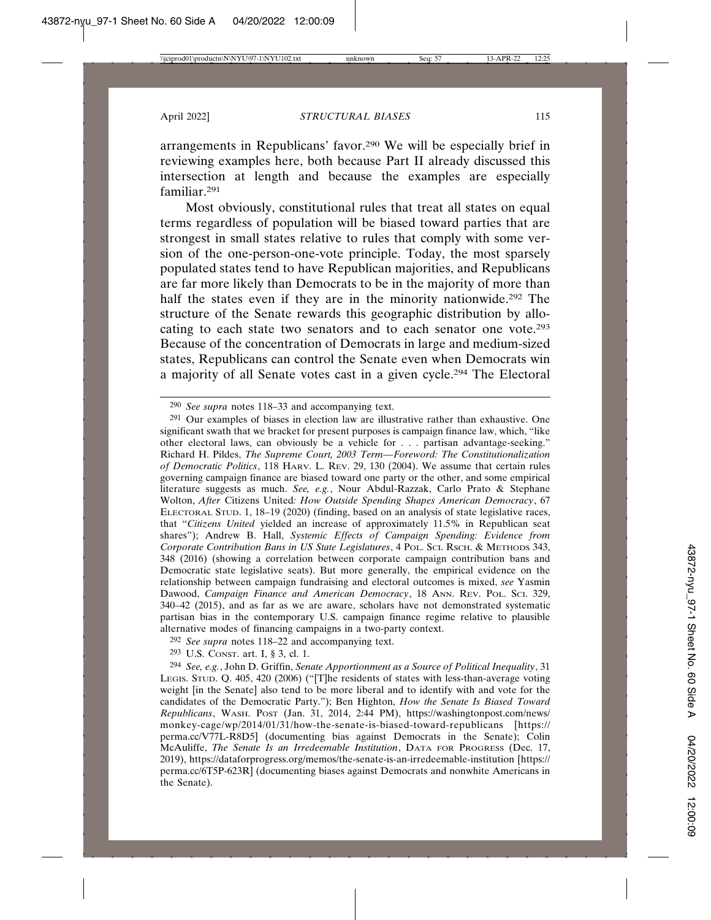arrangements in Republicans' favor.290 We will be especially brief in reviewing examples here, both because Part II already discussed this intersection at length and because the examples are especially familiar.291

Most obviously, constitutional rules that treat all states on equal terms regardless of population will be biased toward parties that are strongest in small states relative to rules that comply with some version of the one-person-one-vote principle. Today, the most sparsely populated states tend to have Republican majorities, and Republicans are far more likely than Democrats to be in the majority of more than half the states even if they are in the minority nationwide.292 The structure of the Senate rewards this geographic distribution by allocating to each state two senators and to each senator one vote.293 Because of the concentration of Democrats in large and medium-sized states, Republicans can control the Senate even when Democrats win a majority of all Senate votes cast in a given cycle.294 The Electoral

<sup>290</sup> *See supra* notes 118–33 and accompanying text.

 $291$  Our examples of biases in election law are illustrative rather than exhaustive. One significant swath that we bracket for present purposes is campaign finance law, which, "like other electoral laws, can obviously be a vehicle for . . . partisan advantage-seeking." Richard H. Pildes, *The Supreme Court, 2003 Term—Foreword: The Constitutionalization of Democratic Politics*, 118 HARV. L. REV. 29, 130 (2004). We assume that certain rules governing campaign finance are biased toward one party or the other, and some empirical literature suggests as much. *See, e.g.*, Nour Abdul-Razzak, Carlo Prato & Stephane Wolton, *After* Citizens United*: How Outside Spending Shapes American Democracy*, 67 ELECTORAL STUD. 1, 18–19 (2020) (finding, based on an analysis of state legislative races, that "*Citizens United* yielded an increase of approximately 11.5% in Republican seat shares"); Andrew B. Hall, *Systemic Effects of Campaign Spending: Evidence from Corporate Contribution Bans in US State Legislatures*, 4 POL. SCI. RSCH. & METHODS 343, 348 (2016) (showing a correlation between corporate campaign contribution bans and Democratic state legislative seats). But more generally, the empirical evidence on the relationship between campaign fundraising and electoral outcomes is mixed, *see* Yasmin Dawood, *Campaign Finance and American Democracy*, 18 ANN. REV. POL. SCI. 329, 340–42 (2015), and as far as we are aware, scholars have not demonstrated systematic partisan bias in the contemporary U.S. campaign finance regime relative to plausible alternative modes of financing campaigns in a two-party context.

<sup>292</sup> *See supra* notes 118–22 and accompanying text.

<sup>293</sup> U.S. CONST. art. I, § 3, cl. 1.

<sup>294</sup> *See, e.g.*, John D. Griffin, *Senate Apportionment as a Source of Political Inequality*, 31 LEGIS. STUD. Q. 405, 420 (2006) ("[T]he residents of states with less-than-average voting weight [in the Senate] also tend to be more liberal and to identify with and vote for the candidates of the Democratic Party."); Ben Highton, *How the Senate Is Biased Toward Republicans*, WASH. POST (Jan. 31, 2014, 2:44 PM), https://washingtonpost.com/news/ monkey-cage/wp/2014/01/31/how-the-senate-is-biased-toward-republicans [https:// perma.cc/V77L-R8D5] (documenting bias against Democrats in the Senate); Colin McAuliffe, *The Senate Is an Irredeemable Institution*, DATA FOR PROGRESS (Dec. 17, 2019), https://dataforprogress.org/memos/the-senate-is-an-irredeemable-institution [https:// perma.cc/6T5P-623R] (documenting biases against Democrats and nonwhite Americans in the Senate).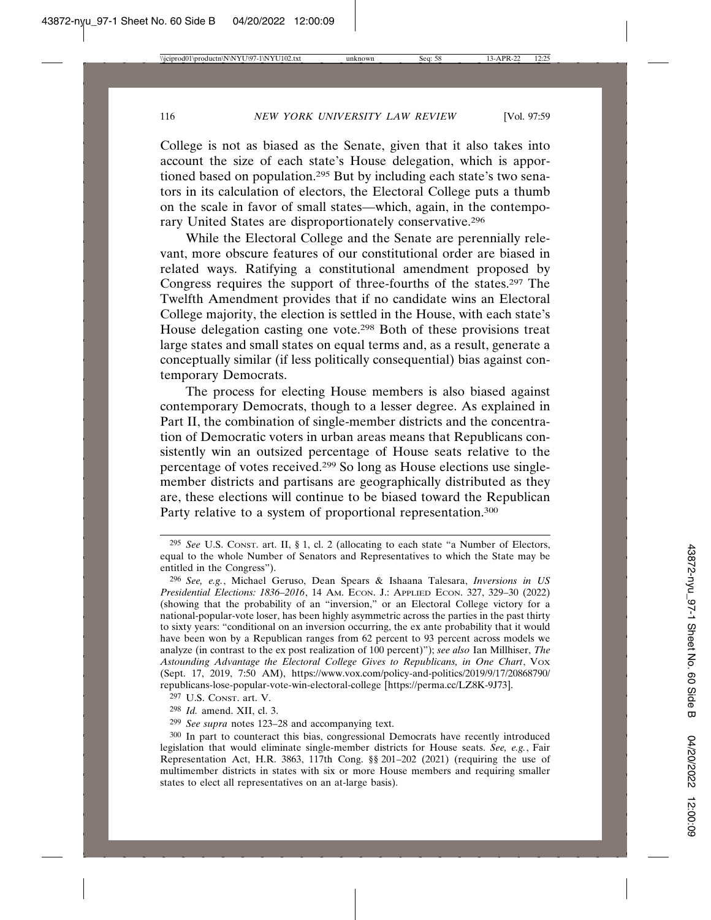College is not as biased as the Senate, given that it also takes into account the size of each state's House delegation, which is apportioned based on population.<sup>295</sup> But by including each state's two senators in its calculation of electors, the Electoral College puts a thumb on the scale in favor of small states—which, again, in the contemporary United States are disproportionately conservative.296

While the Electoral College and the Senate are perennially relevant, more obscure features of our constitutional order are biased in related ways. Ratifying a constitutional amendment proposed by Congress requires the support of three-fourths of the states.297 The Twelfth Amendment provides that if no candidate wins an Electoral College majority, the election is settled in the House, with each state's House delegation casting one vote.298 Both of these provisions treat large states and small states on equal terms and, as a result, generate a conceptually similar (if less politically consequential) bias against contemporary Democrats.

The process for electing House members is also biased against contemporary Democrats, though to a lesser degree. As explained in Part II, the combination of single-member districts and the concentration of Democratic voters in urban areas means that Republicans consistently win an outsized percentage of House seats relative to the percentage of votes received.299 So long as House elections use singlemember districts and partisans are geographically distributed as they are, these elections will continue to be biased toward the Republican Party relative to a system of proportional representation.<sup>300</sup>

- 297 U.S. CONST. art. V.
- 298 *Id.* amend. XII, cl. 3.
- 299 *See supra* notes 123–28 and accompanying text.

<sup>295</sup> *See* U.S. CONST. art. II, § 1, cl. 2 (allocating to each state "a Number of Electors, equal to the whole Number of Senators and Representatives to which the State may be entitled in the Congress").

<sup>296</sup> *See, e.g.*, Michael Geruso, Dean Spears & Ishaana Talesara, *Inversions in US Presidential Elections: 1836–2016*, 14 AM. ECON. J.: APPLIED ECON. 327, 329–30 (2022) (showing that the probability of an "inversion," or an Electoral College victory for a national-popular-vote loser, has been highly asymmetric across the parties in the past thirty to sixty years: "conditional on an inversion occurring, the ex ante probability that it would have been won by a Republican ranges from 62 percent to 93 percent across models we analyze (in contrast to the ex post realization of 100 percent)"); *see also* Ian Millhiser, *The Astounding Advantage the Electoral College Gives to Republicans, in One Chart*, VOX (Sept. 17, 2019, 7:50 AM), https://www.vox.com/policy-and-politics/2019/9/17/20868790/ republicans-lose-popular-vote-win-electoral-college [https://perma.cc/LZ8K-9J73].

<sup>300</sup> In part to counteract this bias, congressional Democrats have recently introduced legislation that would eliminate single-member districts for House seats. *See, e.g.*, Fair Representation Act, H.R. 3863, 117th Cong. §§ 201–202 (2021) (requiring the use of multimember districts in states with six or more House members and requiring smaller states to elect all representatives on an at-large basis).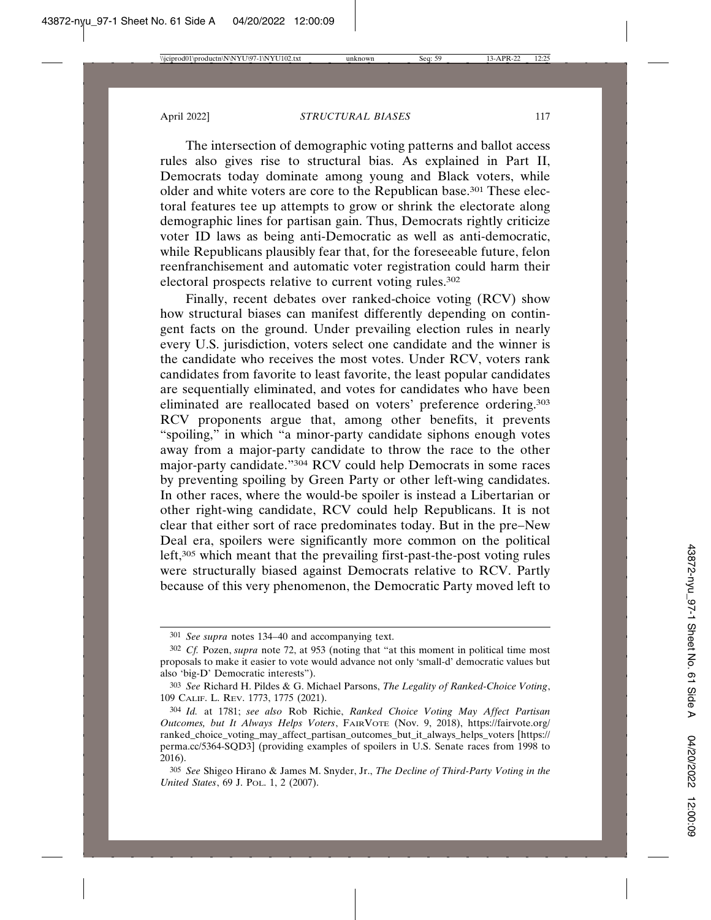The intersection of demographic voting patterns and ballot access rules also gives rise to structural bias. As explained in Part II, Democrats today dominate among young and Black voters, while older and white voters are core to the Republican base.301 These electoral features tee up attempts to grow or shrink the electorate along demographic lines for partisan gain. Thus, Democrats rightly criticize voter ID laws as being anti-Democratic as well as anti-democratic, while Republicans plausibly fear that, for the foreseeable future, felon reenfranchisement and automatic voter registration could harm their electoral prospects relative to current voting rules.<sup>302</sup>

Finally, recent debates over ranked-choice voting (RCV) show how structural biases can manifest differently depending on contingent facts on the ground. Under prevailing election rules in nearly every U.S. jurisdiction, voters select one candidate and the winner is the candidate who receives the most votes. Under RCV, voters rank candidates from favorite to least favorite, the least popular candidates are sequentially eliminated, and votes for candidates who have been eliminated are reallocated based on voters' preference ordering.303 RCV proponents argue that, among other benefits, it prevents "spoiling," in which "a minor-party candidate siphons enough votes away from a major-party candidate to throw the race to the other major-party candidate."304 RCV could help Democrats in some races by preventing spoiling by Green Party or other left-wing candidates. In other races, where the would-be spoiler is instead a Libertarian or other right-wing candidate, RCV could help Republicans. It is not clear that either sort of race predominates today. But in the pre–New Deal era, spoilers were significantly more common on the political left,305 which meant that the prevailing first-past-the-post voting rules were structurally biased against Democrats relative to RCV. Partly because of this very phenomenon, the Democratic Party moved left to

<sup>301</sup> *See supra* notes 134–40 and accompanying text.

<sup>302</sup> *Cf.* Pozen, *supra* note 72, at 953 (noting that "at this moment in political time most proposals to make it easier to vote would advance not only 'small-d' democratic values but also 'big-D' Democratic interests").

<sup>303</sup> *See* Richard H. Pildes & G. Michael Parsons, *The Legality of Ranked-Choice Voting*, 109 CALIF. L. REV. 1773, 1775 (2021).

<sup>304</sup> *Id.* at 1781; *see also* Rob Richie, *Ranked Choice Voting May Affect Partisan Outcomes, but It Always Helps Voters*, FAIRVOTE (Nov. 9, 2018), https://fairvote.org/ ranked\_choice\_voting\_may\_affect\_partisan\_outcomes\_but\_it\_always\_helps\_voters [https:// perma.cc/5364-SQD3] (providing examples of spoilers in U.S. Senate races from 1998 to 2016).

<sup>305</sup> *See* Shigeo Hirano & James M. Snyder, Jr., *The Decline of Third-Party Voting in the United States*, 69 J. POL. 1, 2 (2007).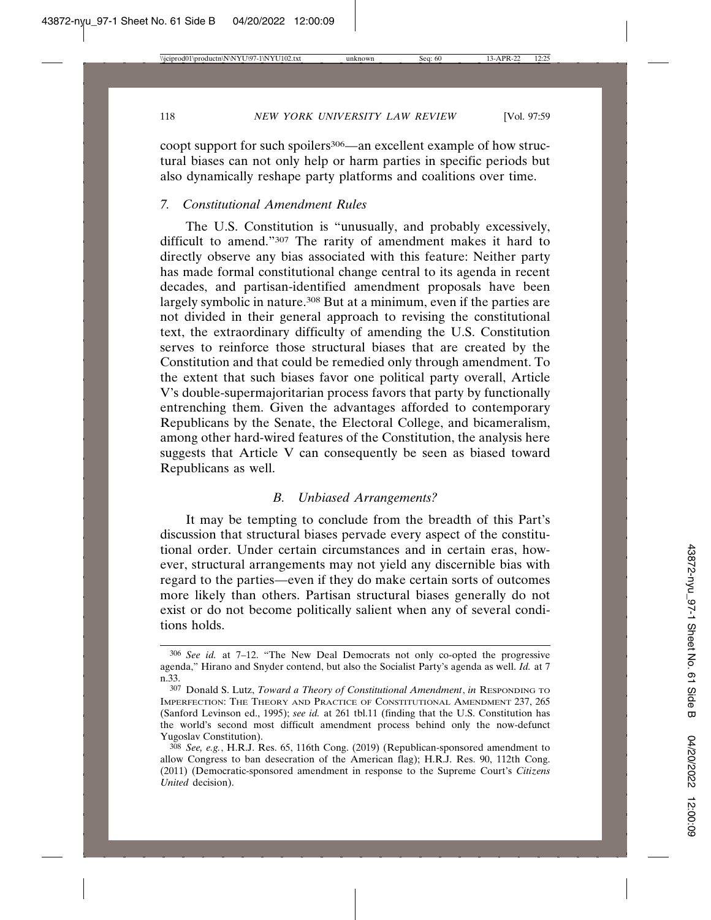coopt support for such spoilers<sup>306</sup>—an excellent example of how structural biases can not only help or harm parties in specific periods but also dynamically reshape party platforms and coalitions over time.

## *7. Constitutional Amendment Rules*

The U.S. Constitution is "unusually, and probably excessively, difficult to amend."307 The rarity of amendment makes it hard to directly observe any bias associated with this feature: Neither party has made formal constitutional change central to its agenda in recent decades, and partisan-identified amendment proposals have been largely symbolic in nature.<sup>308</sup> But at a minimum, even if the parties are not divided in their general approach to revising the constitutional text, the extraordinary difficulty of amending the U.S. Constitution serves to reinforce those structural biases that are created by the Constitution and that could be remedied only through amendment. To the extent that such biases favor one political party overall, Article V's double-supermajoritarian process favors that party by functionally entrenching them. Given the advantages afforded to contemporary Republicans by the Senate, the Electoral College, and bicameralism, among other hard-wired features of the Constitution, the analysis here suggests that Article V can consequently be seen as biased toward Republicans as well.

#### *B. Unbiased Arrangements?*

It may be tempting to conclude from the breadth of this Part's discussion that structural biases pervade every aspect of the constitutional order. Under certain circumstances and in certain eras, however, structural arrangements may not yield any discernible bias with regard to the parties—even if they do make certain sorts of outcomes more likely than others. Partisan structural biases generally do not exist or do not become politically salient when any of several conditions holds.

<sup>306</sup> *See id.* at 7–12. "The New Deal Democrats not only co-opted the progressive agenda," Hirano and Snyder contend, but also the Socialist Party's agenda as well. *Id.* at 7 n.33.

<sup>307</sup> Donald S. Lutz, *Toward a Theory of Constitutional Amendment*, *in* RESPONDING TO IMPERFECTION: THE THEORY AND PRACTICE OF CONSTITUTIONAL AMENDMENT 237, 265 (Sanford Levinson ed., 1995); *see id.* at 261 tbl.11 (finding that the U.S. Constitution has the world's second most difficult amendment process behind only the now-defunct Yugoslav Constitution).

<sup>308</sup> *See, e.g.*, H.R.J. Res. 65, 116th Cong. (2019) (Republican-sponsored amendment to allow Congress to ban desecration of the American flag); H.R.J. Res. 90, 112th Cong. (2011) (Democratic-sponsored amendment in response to the Supreme Court's *Citizens United* decision).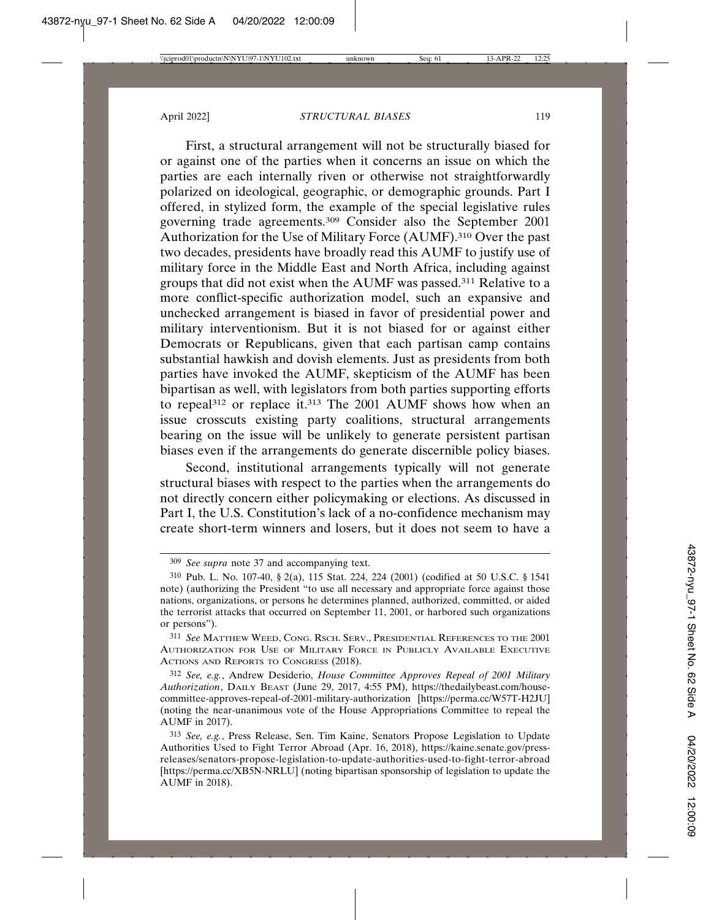First, a structural arrangement will not be structurally biased for or against one of the parties when it concerns an issue on which the parties are each internally riven or otherwise not straightforwardly polarized on ideological, geographic, or demographic grounds. Part I offered, in stylized form, the example of the special legislative rules governing trade agreements.309 Consider also the September 2001 Authorization for the Use of Military Force (AUMF).310 Over the past two decades, presidents have broadly read this AUMF to justify use of military force in the Middle East and North Africa, including against groups that did not exist when the AUMF was passed.311 Relative to a more conflict-specific authorization model, such an expansive and unchecked arrangement is biased in favor of presidential power and military interventionism. But it is not biased for or against either Democrats or Republicans, given that each partisan camp contains substantial hawkish and dovish elements. Just as presidents from both parties have invoked the AUMF, skepticism of the AUMF has been bipartisan as well, with legislators from both parties supporting efforts to repeal<sup>312</sup> or replace it.<sup>313</sup> The 2001 AUMF shows how when an issue crosscuts existing party coalitions, structural arrangements bearing on the issue will be unlikely to generate persistent partisan biases even if the arrangements do generate discernible policy biases.

Second, institutional arrangements typically will not generate structural biases with respect to the parties when the arrangements do not directly concern either policymaking or elections. As discussed in Part I, the U.S. Constitution's lack of a no-confidence mechanism may create short-term winners and losers, but it does not seem to have a

312 *See, e.g.*, Andrew Desiderio, *House Committee Approves Repeal of 2001 Military Authorization*, DAILY BEAST (June 29, 2017, 4:55 PM), https://thedailybeast.com/housecommittee-approves-repeal-of-2001-military-authorization [https://perma.cc/W57T-H2JU] (noting the near-unanimous vote of the House Appropriations Committee to repeal the AUMF in 2017).

<sup>309</sup> *See supra* note 37 and accompanying text.

<sup>310</sup> Pub. L. No. 107-40, § 2(a), 115 Stat. 224, 224 (2001) (codified at 50 U.S.C. § 1541 note) (authorizing the President "to use all necessary and appropriate force against those nations, organizations, or persons he determines planned, authorized, committed, or aided the terrorist attacks that occurred on September 11, 2001, or harbored such organizations or persons").

<sup>311</sup> *See* MATTHEW WEED, CONG. RSCH. SERV., PRESIDENTIAL REFERENCES TO THE 2001 AUTHORIZATION FOR USE OF MILITARY FORCE IN PUBLICLY AVAILABLE EXECUTIVE ACTIONS AND REPORTS TO CONGRESS (2018).

<sup>313</sup> *See, e.g.*, Press Release, Sen. Tim Kaine, Senators Propose Legislation to Update Authorities Used to Fight Terror Abroad (Apr. 16, 2018), https://kaine.senate.gov/pressreleases/senators-propose-legislation-to-update-authorities-used-to-fight-terror-abroad [https://perma.cc/XB5N-NRLU] (noting bipartisan sponsorship of legislation to update the AUMF in 2018).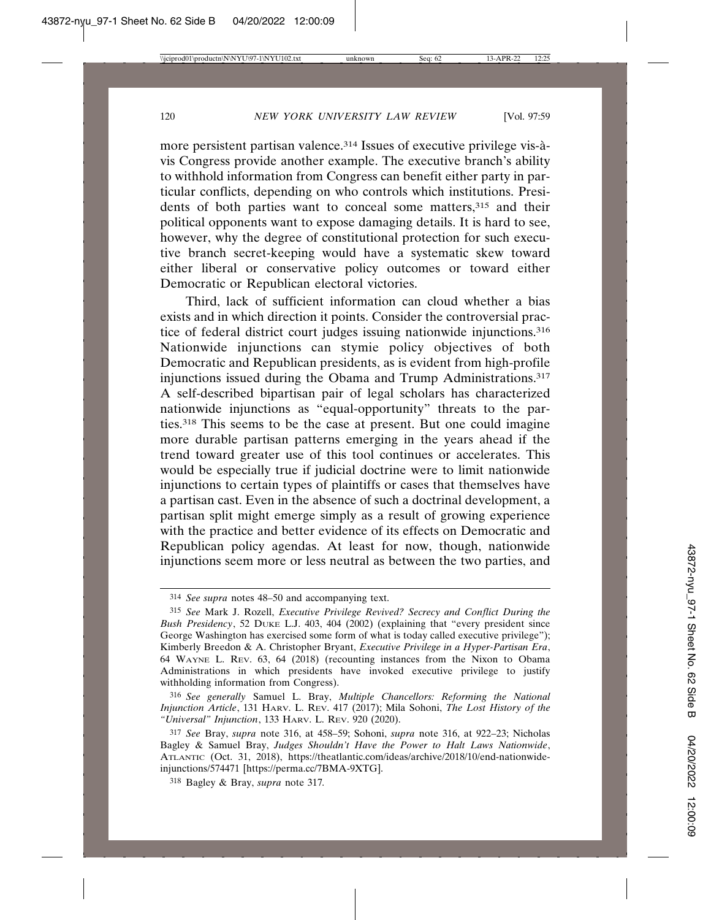more persistent partisan valence.<sup>314</sup> Issues of executive privilege vis- $\hat{a}$ vis Congress provide another example. The executive branch's ability to withhold information from Congress can benefit either party in particular conflicts, depending on who controls which institutions. Presidents of both parties want to conceal some matters,<sup>315</sup> and their political opponents want to expose damaging details. It is hard to see, however, why the degree of constitutional protection for such executive branch secret-keeping would have a systematic skew toward either liberal or conservative policy outcomes or toward either Democratic or Republican electoral victories.

Third, lack of sufficient information can cloud whether a bias exists and in which direction it points. Consider the controversial practice of federal district court judges issuing nationwide injunctions.316 Nationwide injunctions can stymie policy objectives of both Democratic and Republican presidents, as is evident from high-profile injunctions issued during the Obama and Trump Administrations.317 A self-described bipartisan pair of legal scholars has characterized nationwide injunctions as "equal-opportunity" threats to the parties.318 This seems to be the case at present. But one could imagine more durable partisan patterns emerging in the years ahead if the trend toward greater use of this tool continues or accelerates. This would be especially true if judicial doctrine were to limit nationwide injunctions to certain types of plaintiffs or cases that themselves have a partisan cast. Even in the absence of such a doctrinal development, a partisan split might emerge simply as a result of growing experience with the practice and better evidence of its effects on Democratic and Republican policy agendas. At least for now, though, nationwide injunctions seem more or less neutral as between the two parties, and

<sup>314</sup> *See supra* notes 48–50 and accompanying text.

<sup>315</sup> *See* Mark J. Rozell, *Executive Privilege Revived? Secrecy and Conflict During the Bush Presidency*, 52 DUKE L.J. 403, 404 (2002) (explaining that "every president since George Washington has exercised some form of what is today called executive privilege"); Kimberly Breedon & A. Christopher Bryant, *Executive Privilege in a Hyper-Partisan Era*, 64 WAYNE L. REV. 63, 64 (2018) (recounting instances from the Nixon to Obama Administrations in which presidents have invoked executive privilege to justify withholding information from Congress).

<sup>316</sup> *See generally* Samuel L. Bray, *Multiple Chancellors: Reforming the National Injunction Article*, 131 HARV. L. REV. 417 (2017); Mila Sohoni, *The Lost History of the "Universal" Injunction*, 133 HARV. L. REV. 920 (2020).

<sup>317</sup> *See* Bray, *supra* note 316, at 458–59; Sohoni, *supra* note 316, at 922–23; Nicholas Bagley & Samuel Bray, *Judges Shouldn't Have the Power to Halt Laws Nationwide*, ATLANTIC (Oct. 31, 2018), https://theatlantic.com/ideas/archive/2018/10/end-nationwideinjunctions/574471 [https://perma.cc/7BMA-9XTG].

<sup>318</sup> Bagley & Bray, *supra* note 317*.*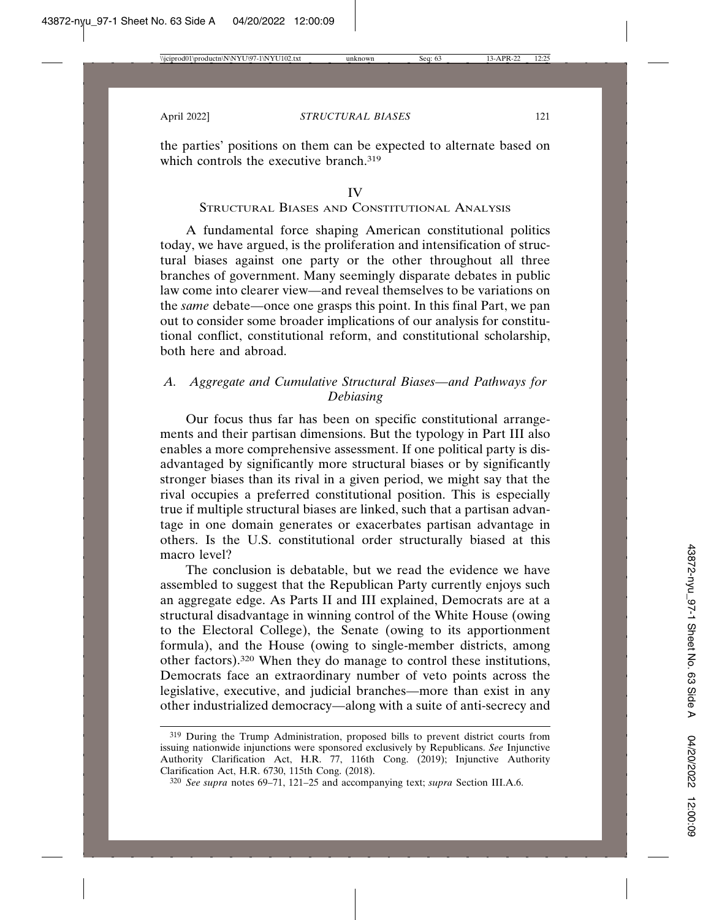the parties' positions on them can be expected to alternate based on which controls the executive branch.<sup>319</sup>

#### IV

### STRUCTURAL BIASES AND CONSTITUTIONAL ANALYSIS

A fundamental force shaping American constitutional politics today, we have argued, is the proliferation and intensification of structural biases against one party or the other throughout all three branches of government. Many seemingly disparate debates in public law come into clearer view—and reveal themselves to be variations on the *same* debate—once one grasps this point. In this final Part, we pan out to consider some broader implications of our analysis for constitutional conflict, constitutional reform, and constitutional scholarship, both here and abroad.

# *A. Aggregate and Cumulative Structural Biases—and Pathways for Debiasing*

Our focus thus far has been on specific constitutional arrangements and their partisan dimensions. But the typology in Part III also enables a more comprehensive assessment. If one political party is disadvantaged by significantly more structural biases or by significantly stronger biases than its rival in a given period, we might say that the rival occupies a preferred constitutional position. This is especially true if multiple structural biases are linked, such that a partisan advantage in one domain generates or exacerbates partisan advantage in others. Is the U.S. constitutional order structurally biased at this macro level?

The conclusion is debatable, but we read the evidence we have assembled to suggest that the Republican Party currently enjoys such an aggregate edge. As Parts II and III explained, Democrats are at a structural disadvantage in winning control of the White House (owing to the Electoral College), the Senate (owing to its apportionment formula), and the House (owing to single-member districts, among other factors).320 When they do manage to control these institutions, Democrats face an extraordinary number of veto points across the legislative, executive, and judicial branches—more than exist in any other industrialized democracy—along with a suite of anti-secrecy and

<sup>319</sup> During the Trump Administration, proposed bills to prevent district courts from issuing nationwide injunctions were sponsored exclusively by Republicans. *See* Injunctive Authority Clarification Act, H.R. 77, 116th Cong. (2019); Injunctive Authority Clarification Act, H.R. 6730, 115th Cong. (2018).

<sup>320</sup> *See supra* notes 69–71, 121–25 and accompanying text; *supra* Section III.A.6.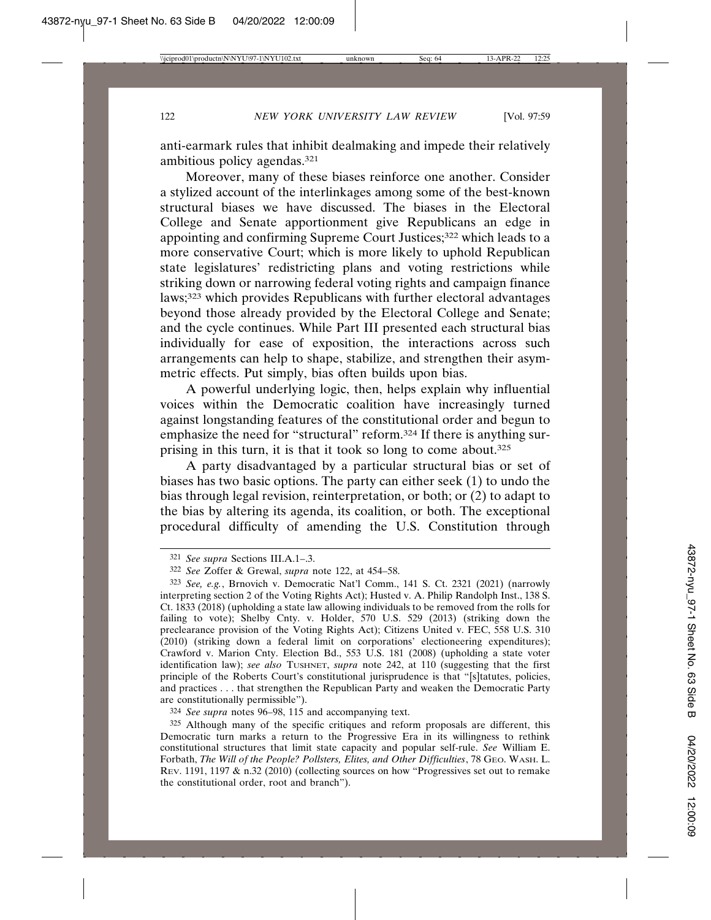anti-earmark rules that inhibit dealmaking and impede their relatively ambitious policy agendas.321

Moreover, many of these biases reinforce one another. Consider a stylized account of the interlinkages among some of the best-known structural biases we have discussed. The biases in the Electoral College and Senate apportionment give Republicans an edge in appointing and confirming Supreme Court Justices;<sup>322</sup> which leads to a more conservative Court; which is more likely to uphold Republican state legislatures' redistricting plans and voting restrictions while striking down or narrowing federal voting rights and campaign finance laws;323 which provides Republicans with further electoral advantages beyond those already provided by the Electoral College and Senate; and the cycle continues. While Part III presented each structural bias individually for ease of exposition, the interactions across such arrangements can help to shape, stabilize, and strengthen their asymmetric effects. Put simply, bias often builds upon bias.

A powerful underlying logic, then, helps explain why influential voices within the Democratic coalition have increasingly turned against longstanding features of the constitutional order and begun to emphasize the need for "structural" reform.324 If there is anything surprising in this turn, it is that it took so long to come about.325

A party disadvantaged by a particular structural bias or set of biases has two basic options. The party can either seek (1) to undo the bias through legal revision, reinterpretation, or both; or (2) to adapt to the bias by altering its agenda, its coalition, or both. The exceptional procedural difficulty of amending the U.S. Constitution through

324 *See supra* notes 96–98, 115 and accompanying text.

325 Although many of the specific critiques and reform proposals are different, this Democratic turn marks a return to the Progressive Era in its willingness to rethink constitutional structures that limit state capacity and popular self-rule. *See* William E. Forbath, *The Will of the People? Pollsters, Elites, and Other Difficulties*, 78 GEO. WASH. L. REV. 1191, 1197 & n.32 (2010) (collecting sources on how "Progressives set out to remake the constitutional order, root and branch").

<sup>321</sup> *See supra* Sections III.A.1–.3.

<sup>322</sup> *See* Zoffer & Grewal, *supra* note 122, at 454–58.

<sup>323</sup> *See, e.g.*, Brnovich v. Democratic Nat'l Comm., 141 S. Ct. 2321 (2021) (narrowly interpreting section 2 of the Voting Rights Act); Husted v. A. Philip Randolph Inst., 138 S. Ct. 1833 (2018) (upholding a state law allowing individuals to be removed from the rolls for failing to vote); Shelby Cnty. v. Holder, 570 U.S. 529 (2013) (striking down the preclearance provision of the Voting Rights Act); Citizens United v. FEC, 558 U.S. 310 (2010) (striking down a federal limit on corporations' electioneering expenditures); Crawford v. Marion Cnty. Election Bd., 553 U.S. 181 (2008) (upholding a state voter identification law); *see also* TUSHNET, *supra* note 242, at 110 (suggesting that the first principle of the Roberts Court's constitutional jurisprudence is that "[s]tatutes, policies, and practices . . . that strengthen the Republican Party and weaken the Democratic Party are constitutionally permissible").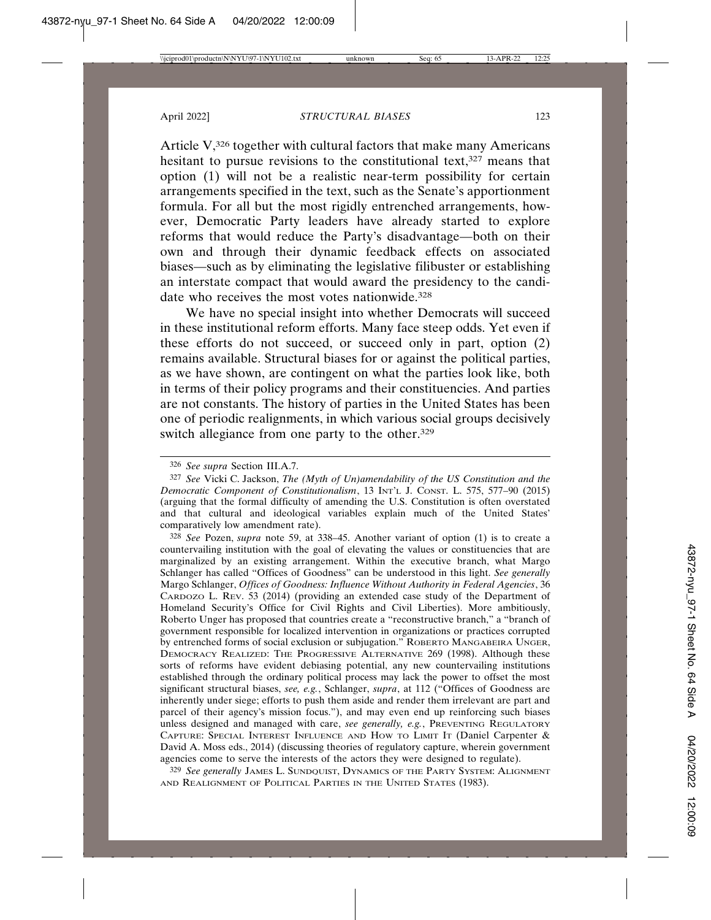Article V,<sup>326</sup> together with cultural factors that make many Americans hesitant to pursue revisions to the constitutional text, $327$  means that option (1) will not be a realistic near-term possibility for certain arrangements specified in the text, such as the Senate's apportionment formula. For all but the most rigidly entrenched arrangements, however, Democratic Party leaders have already started to explore reforms that would reduce the Party's disadvantage—both on their own and through their dynamic feedback effects on associated biases—such as by eliminating the legislative filibuster or establishing an interstate compact that would award the presidency to the candidate who receives the most votes nationwide.<sup>328</sup>

We have no special insight into whether Democrats will succeed in these institutional reform efforts. Many face steep odds. Yet even if these efforts do not succeed, or succeed only in part, option (2) remains available. Structural biases for or against the political parties, as we have shown, are contingent on what the parties look like, both in terms of their policy programs and their constituencies. And parties are not constants. The history of parties in the United States has been one of periodic realignments, in which various social groups decisively switch allegiance from one party to the other.<sup>329</sup>

328 *See* Pozen, *supra* note 59, at 338–45. Another variant of option (1) is to create a countervailing institution with the goal of elevating the values or constituencies that are marginalized by an existing arrangement. Within the executive branch, what Margo Schlanger has called "Offices of Goodness" can be understood in this light. *See generally* Margo Schlanger, *Offices of Goodness: Influence Without Authority in Federal Agencies*, 36 CARDOZO L. REV. 53 (2014) (providing an extended case study of the Department of Homeland Security's Office for Civil Rights and Civil Liberties). More ambitiously, Roberto Unger has proposed that countries create a "reconstructive branch," a "branch of government responsible for localized intervention in organizations or practices corrupted by entrenched forms of social exclusion or subjugation." ROBERTO MANGABEIRA UNGER, DEMOCRACY REALIZED: THE PROGRESSIVE ALTERNATIVE 269 (1998). Although these sorts of reforms have evident debiasing potential, any new countervailing institutions established through the ordinary political process may lack the power to offset the most significant structural biases, *see, e.g.*, Schlanger, *supra*, at 112 ("Offices of Goodness are inherently under siege; efforts to push them aside and render them irrelevant are part and parcel of their agency's mission focus."), and may even end up reinforcing such biases unless designed and managed with care, *see generally, e.g.*, PREVENTING REGULATORY CAPTURE: SPECIAL INTEREST INFLUENCE AND HOW TO LIMIT IT (Daniel Carpenter & David A. Moss eds., 2014) (discussing theories of regulatory capture, wherein government agencies come to serve the interests of the actors they were designed to regulate).

329 *See generally* JAMES L. SUNDQUIST, DYNAMICS OF THE PARTY SYSTEM: ALIGNMENT AND REALIGNMENT OF POLITICAL PARTIES IN THE UNITED STATES (1983).

<sup>326</sup> *See supra* Section III.A.7.

<sup>327</sup> *See* Vicki C. Jackson, *The (Myth of Un)amendability of the US Constitution and the Democratic Component of Constitutionalism*, 13 INT'L J. CONST. L. 575, 577–90 (2015) (arguing that the formal difficulty of amending the U.S. Constitution is often overstated and that cultural and ideological variables explain much of the United States' comparatively low amendment rate).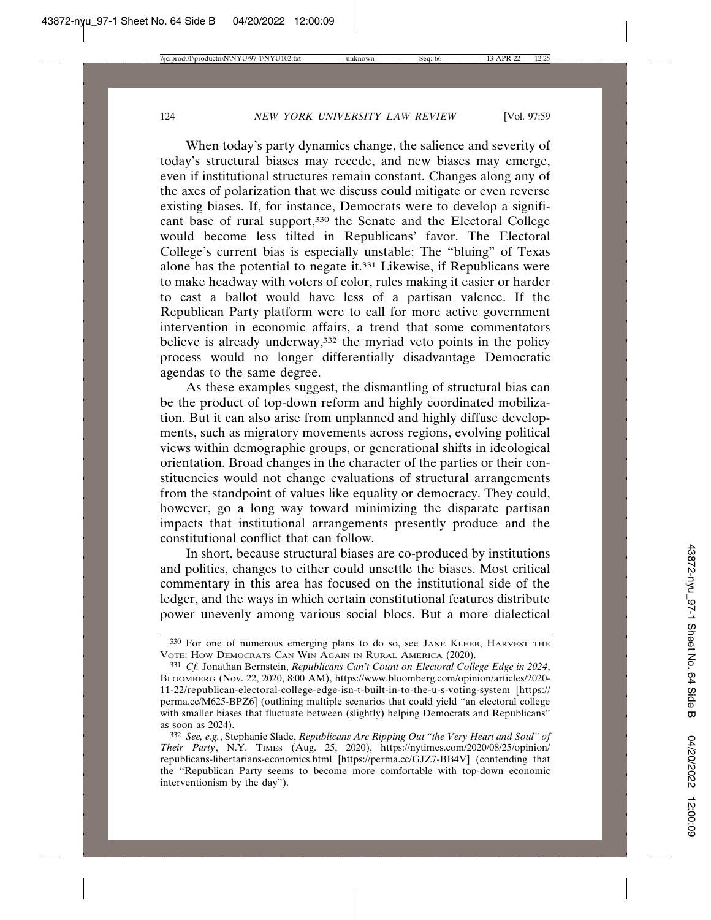When today's party dynamics change, the salience and severity of today's structural biases may recede, and new biases may emerge, even if institutional structures remain constant. Changes along any of the axes of polarization that we discuss could mitigate or even reverse existing biases. If, for instance, Democrats were to develop a significant base of rural support,330 the Senate and the Electoral College would become less tilted in Republicans' favor. The Electoral College's current bias is especially unstable: The "bluing" of Texas alone has the potential to negate it.331 Likewise, if Republicans were to make headway with voters of color, rules making it easier or harder to cast a ballot would have less of a partisan valence. If the Republican Party platform were to call for more active government intervention in economic affairs, a trend that some commentators believe is already underway,<sup>332</sup> the myriad veto points in the policy process would no longer differentially disadvantage Democratic agendas to the same degree.

As these examples suggest, the dismantling of structural bias can be the product of top-down reform and highly coordinated mobilization. But it can also arise from unplanned and highly diffuse developments, such as migratory movements across regions, evolving political views within demographic groups, or generational shifts in ideological orientation. Broad changes in the character of the parties or their constituencies would not change evaluations of structural arrangements from the standpoint of values like equality or democracy. They could, however, go a long way toward minimizing the disparate partisan impacts that institutional arrangements presently produce and the constitutional conflict that can follow.

In short, because structural biases are co-produced by institutions and politics, changes to either could unsettle the biases. Most critical commentary in this area has focused on the institutional side of the ledger, and the ways in which certain constitutional features distribute power unevenly among various social blocs. But a more dialectical

<sup>330</sup> For one of numerous emerging plans to do so, see JANE KLEEB, HARVEST THE VOTE: HOW DEMOCRATS CAN WIN AGAIN IN RURAL AMERICA (2020).

<sup>331</sup> *Cf.* Jonathan Bernstein, *Republicans Can't Count on Electoral College Edge in 2024*, BLOOMBERG (Nov. 22, 2020, 8:00 AM), https://www.bloomberg.com/opinion/articles/2020- 11-22/republican-electoral-college-edge-isn-t-built-in-to-the-u-s-voting-system [https:// perma.cc/M625-BPZ6] (outlining multiple scenarios that could yield "an electoral college with smaller biases that fluctuate between (slightly) helping Democrats and Republicans" as soon as 2024).

<sup>332</sup> *See, e.g.*, Stephanie Slade, *Republicans Are Ripping Out "the Very Heart and Soul" of Their Party*, N.Y. TIMES (Aug. 25, 2020), https://nytimes.com/2020/08/25/opinion/ republicans-libertarians-economics.html [https://perma.cc/GJZ7-BB4V] (contending that the "Republican Party seems to become more comfortable with top-down economic interventionism by the day").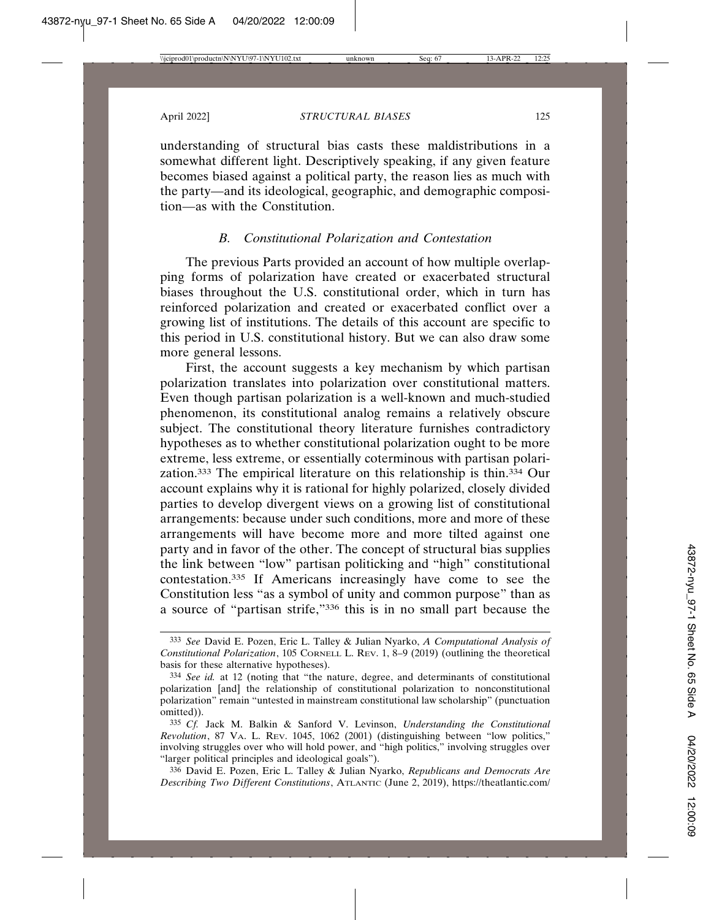understanding of structural bias casts these maldistributions in a somewhat different light. Descriptively speaking, if any given feature becomes biased against a political party, the reason lies as much with the party—and its ideological, geographic, and demographic composition—as with the Constitution.

## *B. Constitutional Polarization and Contestation*

The previous Parts provided an account of how multiple overlapping forms of polarization have created or exacerbated structural biases throughout the U.S. constitutional order, which in turn has reinforced polarization and created or exacerbated conflict over a growing list of institutions. The details of this account are specific to this period in U.S. constitutional history. But we can also draw some more general lessons.

First, the account suggests a key mechanism by which partisan polarization translates into polarization over constitutional matters. Even though partisan polarization is a well-known and much-studied phenomenon, its constitutional analog remains a relatively obscure subject. The constitutional theory literature furnishes contradictory hypotheses as to whether constitutional polarization ought to be more extreme, less extreme, or essentially coterminous with partisan polarization.333 The empirical literature on this relationship is thin.334 Our account explains why it is rational for highly polarized, closely divided parties to develop divergent views on a growing list of constitutional arrangements: because under such conditions, more and more of these arrangements will have become more and more tilted against one party and in favor of the other. The concept of structural bias supplies the link between "low" partisan politicking and "high" constitutional contestation.335 If Americans increasingly have come to see the Constitution less "as a symbol of unity and common purpose" than as a source of "partisan strife,"336 this is in no small part because the

<sup>333</sup> *See* David E. Pozen, Eric L. Talley & Julian Nyarko, *A Computational Analysis of Constitutional Polarization*, 105 CORNELL L. REV. 1, 8–9 (2019) (outlining the theoretical basis for these alternative hypotheses).

<sup>334</sup> *See id.* at 12 (noting that "the nature, degree, and determinants of constitutional polarization [and] the relationship of constitutional polarization to nonconstitutional polarization" remain "untested in mainstream constitutional law scholarship" (punctuation omitted)).

<sup>335</sup> *Cf.* Jack M. Balkin & Sanford V. Levinson, *Understanding the Constitutional Revolution*, 87 VA. L. REV. 1045, 1062 (2001) (distinguishing between "low politics," involving struggles over who will hold power, and "high politics," involving struggles over "larger political principles and ideological goals").

<sup>336</sup> David E. Pozen, Eric L. Talley & Julian Nyarko, *Republicans and Democrats Are Describing Two Different Constitutions*, ATLANTIC (June 2, 2019), https://theatlantic.com/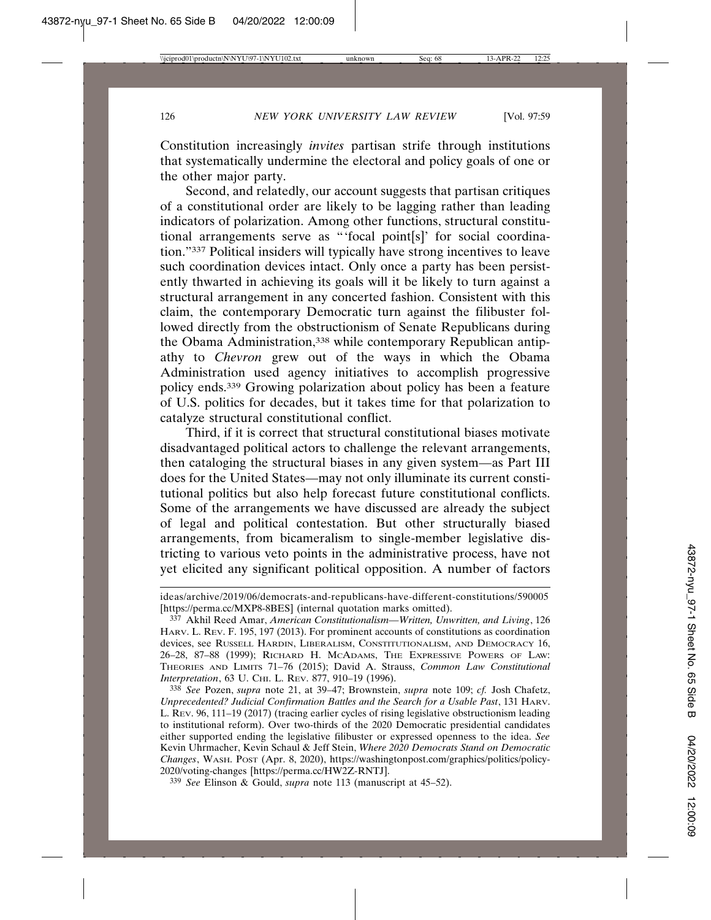Constitution increasingly *invites* partisan strife through institutions that systematically undermine the electoral and policy goals of one or the other major party.

Second, and relatedly, our account suggests that partisan critiques of a constitutional order are likely to be lagging rather than leading indicators of polarization. Among other functions, structural constitutional arrangements serve as "'focal point[s]' for social coordination."337 Political insiders will typically have strong incentives to leave such coordination devices intact. Only once a party has been persistently thwarted in achieving its goals will it be likely to turn against a structural arrangement in any concerted fashion. Consistent with this claim, the contemporary Democratic turn against the filibuster followed directly from the obstructionism of Senate Republicans during the Obama Administration,<sup>338</sup> while contemporary Republican antipathy to *Chevron* grew out of the ways in which the Obama Administration used agency initiatives to accomplish progressive policy ends.339 Growing polarization about policy has been a feature of U.S. politics for decades, but it takes time for that polarization to catalyze structural constitutional conflict.

Third, if it is correct that structural constitutional biases motivate disadvantaged political actors to challenge the relevant arrangements, then cataloging the structural biases in any given system—as Part III does for the United States—may not only illuminate its current constitutional politics but also help forecast future constitutional conflicts. Some of the arrangements we have discussed are already the subject of legal and political contestation. But other structurally biased arrangements, from bicameralism to single-member legislative districting to various veto points in the administrative process, have not yet elicited any significant political opposition. A number of factors

338 *See* Pozen, *supra* note 21, at 39–47; Brownstein, *supra* note 109; *cf.* Josh Chafetz, *Unprecedented? Judicial Confirmation Battles and the Search for a Usable Past*, 131 HARV. L. REV. 96, 111–19 (2017) (tracing earlier cycles of rising legislative obstructionism leading to institutional reform). Over two-thirds of the 2020 Democratic presidential candidates either supported ending the legislative filibuster or expressed openness to the idea. *See* Kevin Uhrmacher, Kevin Schaul & Jeff Stein, *Where 2020 Democrats Stand on Democratic Changes*, WASH. POST (Apr. 8, 2020), https://washingtonpost.com/graphics/politics/policy-2020/voting-changes [https://perma.cc/HW2Z-RNTJ].

339 *See* Elinson & Gould, *supra* note 113 (manuscript at 45–52).

ideas/archive/2019/06/democrats-and-republicans-have-different-constitutions/590005 [https://perma.cc/MXP8-8BES] (internal quotation marks omitted).

<sup>337</sup> Akhil Reed Amar, *American Constitutionalism—Written, Unwritten, and Living*, 126 HARV. L. REV. F. 195, 197 (2013). For prominent accounts of constitutions as coordination devices, see RUSSELL HARDIN, LIBERALISM, CONSTITUTIONALISM, AND DEMOCRACY 16, 26–28, 87–88 (1999); RICHARD H. MCADAMS, THE EXPRESSIVE POWERS OF LAW: THEORIES AND LIMITS 71–76 (2015); David A. Strauss, *Common Law Constitutional Interpretation*, 63 U. CHI. L. REV. 877, 910-19 (1996).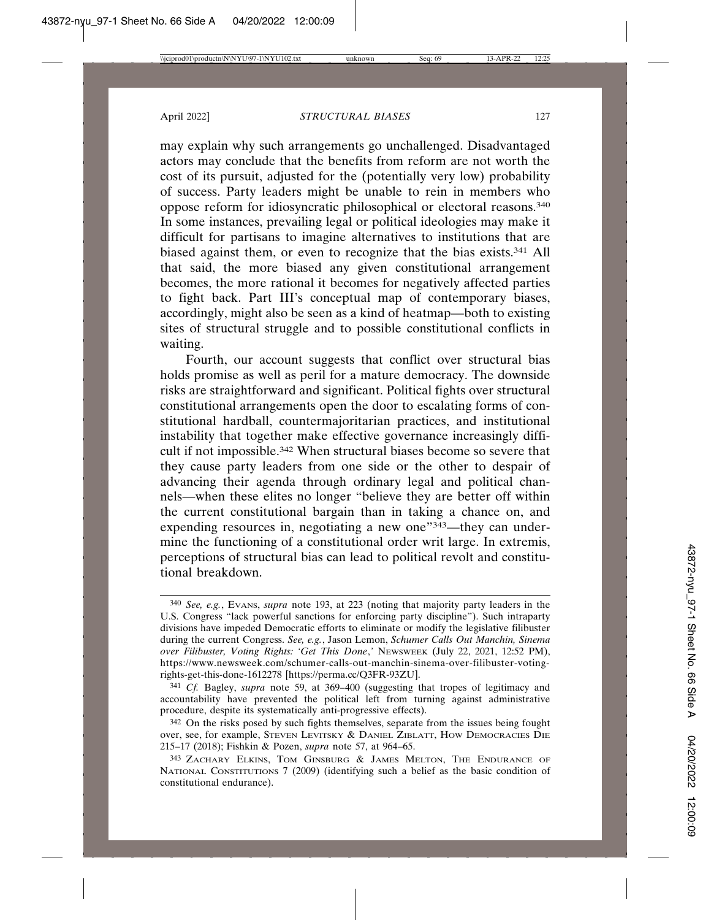may explain why such arrangements go unchallenged. Disadvantaged actors may conclude that the benefits from reform are not worth the cost of its pursuit, adjusted for the (potentially very low) probability of success. Party leaders might be unable to rein in members who oppose reform for idiosyncratic philosophical or electoral reasons.340 In some instances, prevailing legal or political ideologies may make it difficult for partisans to imagine alternatives to institutions that are biased against them, or even to recognize that the bias exists.341 All that said, the more biased any given constitutional arrangement becomes, the more rational it becomes for negatively affected parties to fight back. Part III's conceptual map of contemporary biases, accordingly, might also be seen as a kind of heatmap—both to existing sites of structural struggle and to possible constitutional conflicts in waiting.

Fourth, our account suggests that conflict over structural bias holds promise as well as peril for a mature democracy. The downside risks are straightforward and significant. Political fights over structural constitutional arrangements open the door to escalating forms of constitutional hardball, countermajoritarian practices, and institutional instability that together make effective governance increasingly difficult if not impossible.342 When structural biases become so severe that they cause party leaders from one side or the other to despair of advancing their agenda through ordinary legal and political channels—when these elites no longer "believe they are better off within the current constitutional bargain than in taking a chance on, and expending resources in, negotiating a new one"<sup>343</sup>—they can undermine the functioning of a constitutional order writ large. In extremis, perceptions of structural bias can lead to political revolt and constitutional breakdown.

<sup>340</sup> *See, e.g.*, EVANS, *supra* note 193, at 223 (noting that majority party leaders in the U.S. Congress "lack powerful sanctions for enforcing party discipline"). Such intraparty divisions have impeded Democratic efforts to eliminate or modify the legislative filibuster during the current Congress. *See, e.g.*, Jason Lemon, *Schumer Calls Out Manchin, Sinema over Filibuster, Voting Rights: 'Get This Done*,*'* NEWSWEEK (July 22, 2021, 12:52 PM), https://www.newsweek.com/schumer-calls-out-manchin-sinema-over-filibuster-votingrights-get-this-done-1612278 [https://perma.cc/Q3FR-93ZU].

<sup>341</sup> *Cf.* Bagley, *supra* note 59, at 369–400 (suggesting that tropes of legitimacy and accountability have prevented the political left from turning against administrative procedure, despite its systematically anti-progressive effects).

<sup>342</sup> On the risks posed by such fights themselves, separate from the issues being fought over, see, for example, STEVEN LEVITSKY & DANIEL ZIBLATT, HOW DEMOCRACIES DIE 215–17 (2018); Fishkin & Pozen, *supra* note 57, at 964–65.

<sup>343</sup> ZACHARY ELKINS, TOM GINSBURG & JAMES MELTON, THE ENDURANCE OF NATIONAL CONSTITUTIONS 7 (2009) (identifying such a belief as the basic condition of constitutional endurance).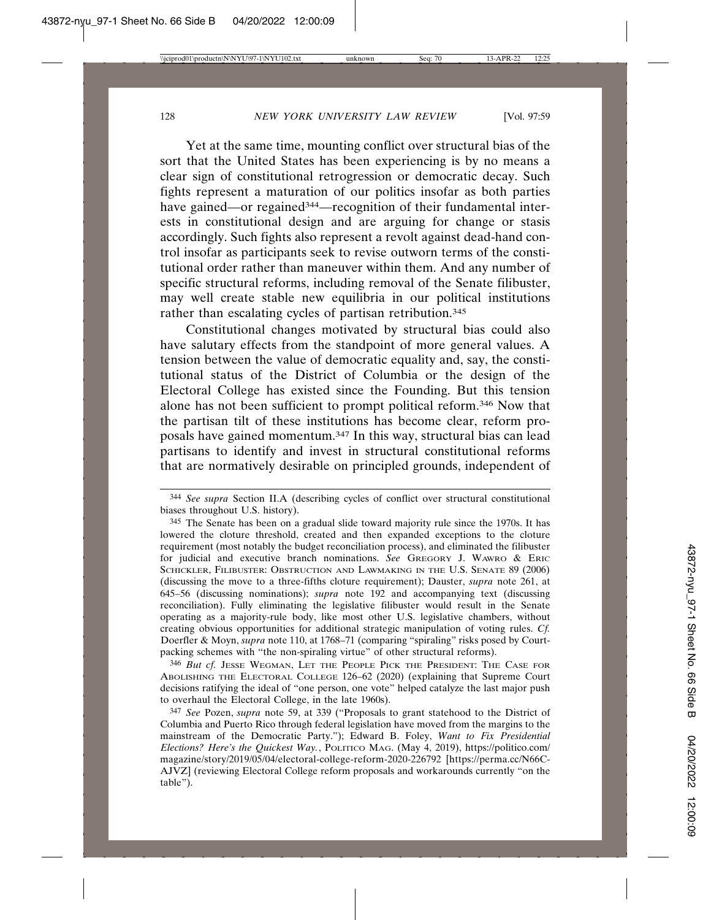Yet at the same time, mounting conflict over structural bias of the sort that the United States has been experiencing is by no means a clear sign of constitutional retrogression or democratic decay. Such fights represent a maturation of our politics insofar as both parties have gained—or regained<sup>344</sup>—recognition of their fundamental interests in constitutional design and are arguing for change or stasis accordingly. Such fights also represent a revolt against dead-hand control insofar as participants seek to revise outworn terms of the constitutional order rather than maneuver within them. And any number of specific structural reforms, including removal of the Senate filibuster, may well create stable new equilibria in our political institutions rather than escalating cycles of partisan retribution.<sup>345</sup>

Constitutional changes motivated by structural bias could also have salutary effects from the standpoint of more general values. A tension between the value of democratic equality and, say, the constitutional status of the District of Columbia or the design of the Electoral College has existed since the Founding. But this tension alone has not been sufficient to prompt political reform.346 Now that the partisan tilt of these institutions has become clear, reform proposals have gained momentum.347 In this way, structural bias can lead partisans to identify and invest in structural constitutional reforms that are normatively desirable on principled grounds, independent of

346 *But cf.* JESSE WEGMAN, LET THE PEOPLE PICK THE PRESIDENT: THE CASE FOR ABOLISHING THE ELECTORAL COLLEGE 126–62 (2020) (explaining that Supreme Court decisions ratifying the ideal of "one person, one vote" helped catalyze the last major push to overhaul the Electoral College, in the late 1960s).

<sup>344</sup> *See supra* Section II.A (describing cycles of conflict over structural constitutional biases throughout U.S. history).

<sup>345</sup> The Senate has been on a gradual slide toward majority rule since the 1970s. It has lowered the cloture threshold, created and then expanded exceptions to the cloture requirement (most notably the budget reconciliation process), and eliminated the filibuster for judicial and executive branch nominations. *See* GREGORY J. WAWRO & ERIC SCHICKLER, FILIBUSTER: OBSTRUCTION AND LAWMAKING IN THE U.S. SENATE 89 (2006) (discussing the move to a three-fifths cloture requirement); Dauster, *supra* note 261, at 645–56 (discussing nominations); *supra* note 192 and accompanying text (discussing reconciliation). Fully eliminating the legislative filibuster would result in the Senate operating as a majority-rule body, like most other U.S. legislative chambers, without creating obvious opportunities for additional strategic manipulation of voting rules. *Cf.* Doerfler & Moyn, *supra* note 110, at 1768–71 (comparing "spiraling" risks posed by Courtpacking schemes with "the non-spiraling virtue" of other structural reforms).

<sup>347</sup> *See* Pozen, *supra* note 59, at 339 ("Proposals to grant statehood to the District of Columbia and Puerto Rico through federal legislation have moved from the margins to the mainstream of the Democratic Party."); Edward B. Foley, *Want to Fix Presidential Elections? Here's the Quickest Way.*, POLITICO MAG. (May 4, 2019), https://politico.com/ magazine/story/2019/05/04/electoral-college-reform-2020-226792 [https://perma.cc/N66C-AJVZ] (reviewing Electoral College reform proposals and workarounds currently "on the table").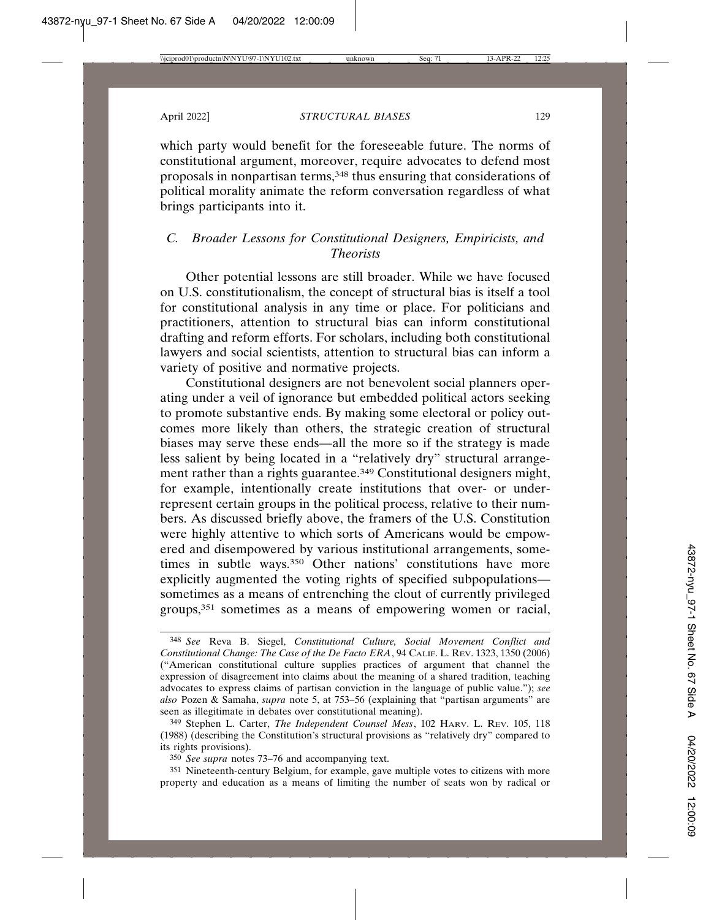which party would benefit for the foreseeable future. The norms of constitutional argument, moreover, require advocates to defend most proposals in nonpartisan terms,<sup>348</sup> thus ensuring that considerations of political morality animate the reform conversation regardless of what brings participants into it.

# *C. Broader Lessons for Constitutional Designers, Empiricists, and Theorists*

Other potential lessons are still broader. While we have focused on U.S. constitutionalism, the concept of structural bias is itself a tool for constitutional analysis in any time or place. For politicians and practitioners, attention to structural bias can inform constitutional drafting and reform efforts. For scholars, including both constitutional lawyers and social scientists, attention to structural bias can inform a variety of positive and normative projects.

Constitutional designers are not benevolent social planners operating under a veil of ignorance but embedded political actors seeking to promote substantive ends. By making some electoral or policy outcomes more likely than others, the strategic creation of structural biases may serve these ends—all the more so if the strategy is made less salient by being located in a "relatively dry" structural arrangement rather than a rights guarantee.349 Constitutional designers might, for example, intentionally create institutions that over- or underrepresent certain groups in the political process, relative to their numbers. As discussed briefly above, the framers of the U.S. Constitution were highly attentive to which sorts of Americans would be empowered and disempowered by various institutional arrangements, sometimes in subtle ways.<sup>350</sup> Other nations' constitutions have more explicitly augmented the voting rights of specified subpopulations sometimes as a means of entrenching the clout of currently privileged groups,351 sometimes as a means of empowering women or racial,

350 *See supra* notes 73–76 and accompanying text.

351 Nineteenth-century Belgium, for example, gave multiple votes to citizens with more property and education as a means of limiting the number of seats won by radical or

<sup>348</sup> *See* Reva B. Siegel, *Constitutional Culture, Social Movement Conflict and Constitutional Change: The Case of the De Facto ERA*, 94 CALIF. L. REV. 1323, 1350 (2006) ("American constitutional culture supplies practices of argument that channel the expression of disagreement into claims about the meaning of a shared tradition, teaching advocates to express claims of partisan conviction in the language of public value."); *see also* Pozen & Samaha, *supra* note 5, at 753–56 (explaining that "partisan arguments" are seen as illegitimate in debates over constitutional meaning).

<sup>349</sup> Stephen L. Carter, *The Independent Counsel Mess*, 102 HARV. L. REV. 105, 118 (1988) (describing the Constitution's structural provisions as "relatively dry" compared to its rights provisions).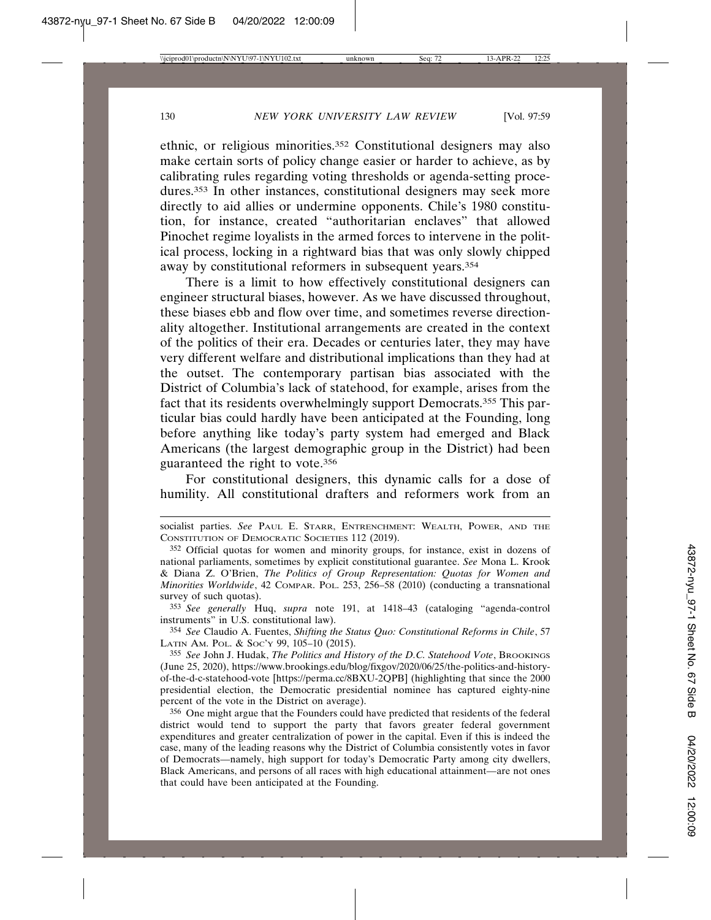ethnic, or religious minorities.352 Constitutional designers may also make certain sorts of policy change easier or harder to achieve, as by calibrating rules regarding voting thresholds or agenda-setting procedures.353 In other instances, constitutional designers may seek more directly to aid allies or undermine opponents. Chile's 1980 constitution, for instance, created "authoritarian enclaves" that allowed Pinochet regime loyalists in the armed forces to intervene in the political process, locking in a rightward bias that was only slowly chipped away by constitutional reformers in subsequent years.354

There is a limit to how effectively constitutional designers can engineer structural biases, however. As we have discussed throughout, these biases ebb and flow over time, and sometimes reverse directionality altogether. Institutional arrangements are created in the context of the politics of their era. Decades or centuries later, they may have very different welfare and distributional implications than they had at the outset. The contemporary partisan bias associated with the District of Columbia's lack of statehood, for example, arises from the fact that its residents overwhelmingly support Democrats.355 This particular bias could hardly have been anticipated at the Founding, long before anything like today's party system had emerged and Black Americans (the largest demographic group in the District) had been guaranteed the right to vote.356

For constitutional designers, this dynamic calls for a dose of humility. All constitutional drafters and reformers work from an

353 *See generally* Huq, *supra* note 191, at 1418–43 (cataloging "agenda-control instruments" in U.S. constitutional law).

354 *See* Claudio A. Fuentes, *Shifting the Status Quo: Constitutional Reforms in Chile*, 57 LATIN AM. POL. & SOC'Y 99, 105-10 (2015).

355 *See* John J. Hudak, *The Politics and History of the D.C. Statehood Vote*, BROOKINGS (June 25, 2020), https://www.brookings.edu/blog/fixgov/2020/06/25/the-politics-and-historyof-the-d-c-statehood-vote [https://perma.cc/8BXU-2QPB] (highlighting that since the 2000 presidential election, the Democratic presidential nominee has captured eighty-nine percent of the vote in the District on average).

356 One might argue that the Founders could have predicted that residents of the federal district would tend to support the party that favors greater federal government expenditures and greater centralization of power in the capital. Even if this is indeed the case, many of the leading reasons why the District of Columbia consistently votes in favor of Democrats—namely, high support for today's Democratic Party among city dwellers, Black Americans, and persons of all races with high educational attainment—are not ones that could have been anticipated at the Founding.

socialist parties. *See* PAUL E. STARR, ENTRENCHMENT: WEALTH, POWER, AND THE CONSTITUTION OF DEMOCRATIC SOCIETIES 112 (2019).

<sup>352</sup> Official quotas for women and minority groups, for instance, exist in dozens of national parliaments, sometimes by explicit constitutional guarantee. *See* Mona L. Krook & Diana Z. O'Brien, *The Politics of Group Representation: Quotas for Women and Minorities Worldwide*, 42 COMPAR. POL. 253, 256–58 (2010) (conducting a transnational survey of such quotas).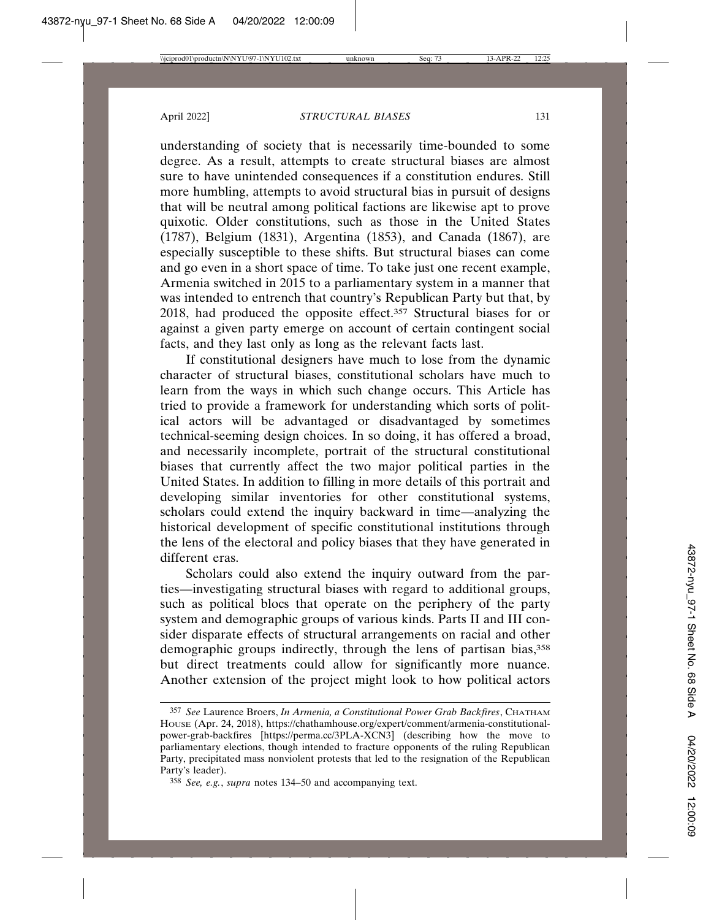understanding of society that is necessarily time-bounded to some degree. As a result, attempts to create structural biases are almost sure to have unintended consequences if a constitution endures. Still more humbling, attempts to avoid structural bias in pursuit of designs that will be neutral among political factions are likewise apt to prove quixotic. Older constitutions, such as those in the United States (1787), Belgium (1831), Argentina (1853), and Canada (1867), are especially susceptible to these shifts. But structural biases can come and go even in a short space of time. To take just one recent example, Armenia switched in 2015 to a parliamentary system in a manner that was intended to entrench that country's Republican Party but that, by 2018, had produced the opposite effect.357 Structural biases for or against a given party emerge on account of certain contingent social facts, and they last only as long as the relevant facts last.

If constitutional designers have much to lose from the dynamic character of structural biases, constitutional scholars have much to learn from the ways in which such change occurs. This Article has tried to provide a framework for understanding which sorts of political actors will be advantaged or disadvantaged by sometimes technical-seeming design choices. In so doing, it has offered a broad, and necessarily incomplete, portrait of the structural constitutional biases that currently affect the two major political parties in the United States. In addition to filling in more details of this portrait and developing similar inventories for other constitutional systems, scholars could extend the inquiry backward in time—analyzing the historical development of specific constitutional institutions through the lens of the electoral and policy biases that they have generated in different eras.

Scholars could also extend the inquiry outward from the parties—investigating structural biases with regard to additional groups, such as political blocs that operate on the periphery of the party system and demographic groups of various kinds. Parts II and III consider disparate effects of structural arrangements on racial and other demographic groups indirectly, through the lens of partisan bias,<sup>358</sup> but direct treatments could allow for significantly more nuance. Another extension of the project might look to how political actors

<sup>357</sup> *See* Laurence Broers, *In Armenia, a Constitutional Power Grab Backfires*, CHATHAM HOUSE (Apr. 24, 2018), https://chathamhouse.org/expert/comment/armenia-constitutionalpower-grab-backfires [https://perma.cc/3PLA-XCN3] (describing how the move to parliamentary elections, though intended to fracture opponents of the ruling Republican Party, precipitated mass nonviolent protests that led to the resignation of the Republican Party's leader).

<sup>358</sup> *See, e.g.*, *supra* notes 134–50 and accompanying text.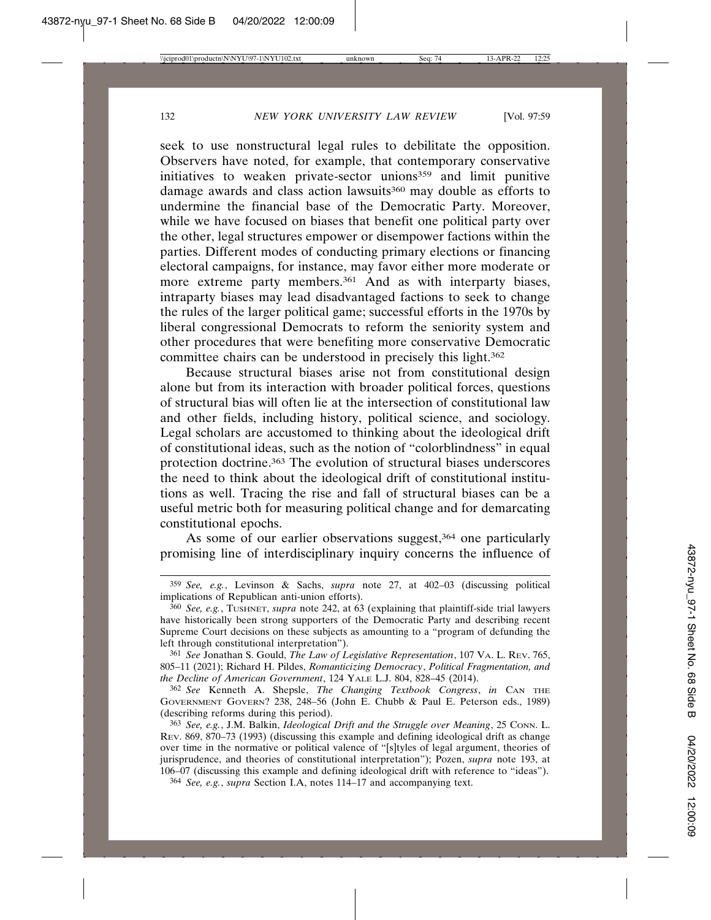seek to use nonstructural legal rules to debilitate the opposition. Observers have noted, for example, that contemporary conservative initiatives to weaken private-sector unions<sup>359</sup> and limit punitive damage awards and class action lawsuits<sup>360</sup> may double as efforts to undermine the financial base of the Democratic Party. Moreover, while we have focused on biases that benefit one political party over the other, legal structures empower or disempower factions within the parties. Different modes of conducting primary elections or financing electoral campaigns, for instance, may favor either more moderate or more extreme party members.<sup>361</sup> And as with interparty biases, intraparty biases may lead disadvantaged factions to seek to change the rules of the larger political game; successful efforts in the 1970s by liberal congressional Democrats to reform the seniority system and other procedures that were benefiting more conservative Democratic committee chairs can be understood in precisely this light.362

Because structural biases arise not from constitutional design alone but from its interaction with broader political forces, questions of structural bias will often lie at the intersection of constitutional law and other fields, including history, political science, and sociology. Legal scholars are accustomed to thinking about the ideological drift of constitutional ideas, such as the notion of "colorblindness" in equal protection doctrine.363 The evolution of structural biases underscores the need to think about the ideological drift of constitutional institutions as well. Tracing the rise and fall of structural biases can be a useful metric both for measuring political change and for demarcating constitutional epochs.

As some of our earlier observations suggest,<sup>364</sup> one particularly promising line of interdisciplinary inquiry concerns the influence of

<sup>359</sup> *See, e.g.*, Levinson & Sachs, *supra* note 27, at 402–03 (discussing political implications of Republican anti-union efforts).

<sup>360</sup> *See, e.g.*, TUSHNET, *supra* note 242, at 63 (explaining that plaintiff-side trial lawyers have historically been strong supporters of the Democratic Party and describing recent Supreme Court decisions on these subjects as amounting to a "program of defunding the left through constitutional interpretation").

<sup>361</sup> *See* Jonathan S. Gould, *The Law of Legislative Representation*, 107 VA. L. REV. 765, 805–11 (2021); Richard H. Pildes, *Romanticizing Democracy*, *Political Fragmentation, and the Decline of American Government*, 124 YALE L.J. 804, 828–45 (2014).

<sup>362</sup> *See* Kenneth A. Shepsle, *The Changing Textbook Congress*, *in* CAN THE GOVERNMENT GOVERN? 238, 248–56 (John E. Chubb & Paul E. Peterson eds., 1989) (describing reforms during this period).

<sup>363</sup> *See, e.g.*, J.M. Balkin, *Ideological Drift and the Struggle over Meaning*, 25 CONN. L. REV. 869, 870–73 (1993) (discussing this example and defining ideological drift as change over time in the normative or political valence of "[s]tyles of legal argument, theories of jurisprudence, and theories of constitutional interpretation"); Pozen, *supra* note 193, at 106–07 (discussing this example and defining ideological drift with reference to "ideas").

<sup>364</sup> *See, e.g.*, *supra* Section I.A, notes 114–17 and accompanying text.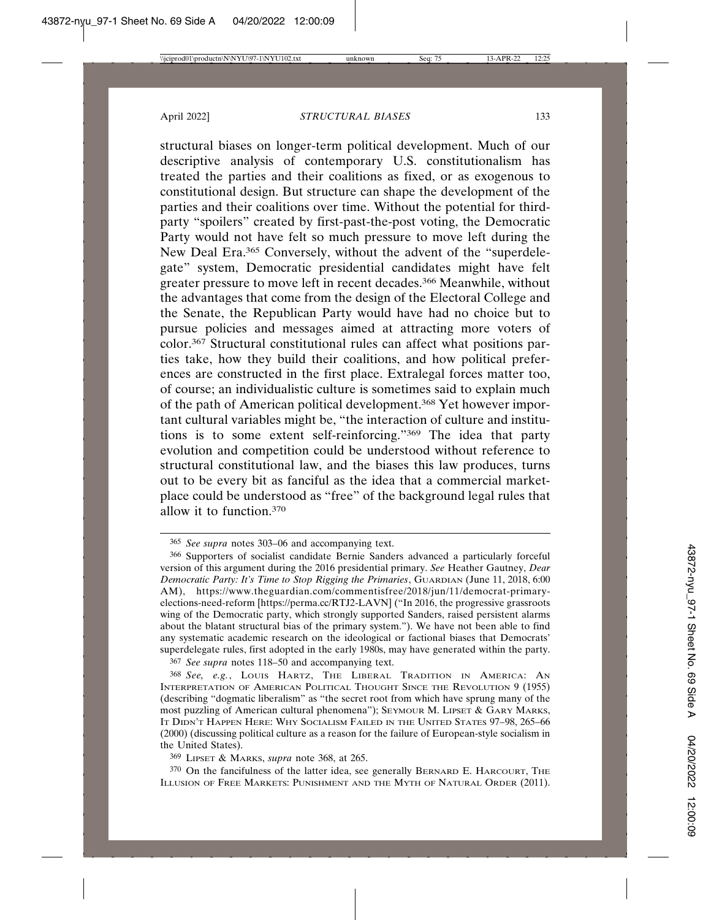structural biases on longer-term political development. Much of our descriptive analysis of contemporary U.S. constitutionalism has treated the parties and their coalitions as fixed, or as exogenous to constitutional design. But structure can shape the development of the parties and their coalitions over time. Without the potential for thirdparty "spoilers" created by first-past-the-post voting, the Democratic Party would not have felt so much pressure to move left during the New Deal Era.365 Conversely, without the advent of the "superdelegate" system, Democratic presidential candidates might have felt greater pressure to move left in recent decades.366 Meanwhile, without the advantages that come from the design of the Electoral College and the Senate, the Republican Party would have had no choice but to pursue policies and messages aimed at attracting more voters of color.367 Structural constitutional rules can affect what positions parties take, how they build their coalitions, and how political preferences are constructed in the first place. Extralegal forces matter too, of course; an individualistic culture is sometimes said to explain much of the path of American political development.368 Yet however important cultural variables might be, "the interaction of culture and institutions is to some extent self-reinforcing."369 The idea that party evolution and competition could be understood without reference to structural constitutional law, and the biases this law produces, turns out to be every bit as fanciful as the idea that a commercial marketplace could be understood as "free" of the background legal rules that allow it to function.370

367 *See supra* notes 118–50 and accompanying text.

<sup>365</sup> *See supra* notes 303–06 and accompanying text.

<sup>366</sup> Supporters of socialist candidate Bernie Sanders advanced a particularly forceful version of this argument during the 2016 presidential primary. *See* Heather Gautney, *Dear Democratic Party: It's Time to Stop Rigging the Primaries*, GUARDIAN (June 11, 2018, 6:00 AM), https://www.theguardian.com/commentisfree/2018/jun/11/democrat-primaryelections-need-reform [https://perma.cc/RTJ2-LAVN] ("In 2016, the progressive grassroots wing of the Democratic party, which strongly supported Sanders, raised persistent alarms about the blatant structural bias of the primary system."). We have not been able to find any systematic academic research on the ideological or factional biases that Democrats' superdelegate rules, first adopted in the early 1980s, may have generated within the party.

<sup>368</sup> *See, e.g.*, LOUIS HARTZ, THE LIBERAL TRADITION IN AMERICA: AN INTERPRETATION OF AMERICAN POLITICAL THOUGHT SINCE THE REVOLUTION 9 (1955) (describing "dogmatic liberalism" as "the secret root from which have sprung many of the most puzzling of American cultural phenomena"); SEYMOUR M. LIPSET & GARY MARKS, IT DIDN'T HAPPEN HERE: WHY SOCIALISM FAILED IN THE UNITED STATES 97–98, 265–66 (2000) (discussing political culture as a reason for the failure of European-style socialism in the United States).

<sup>369</sup> LIPSET & MARKS, *supra* note 368, at 265.

<sup>370</sup> On the fancifulness of the latter idea, see generally BERNARD E. HARCOURT, THE ILLUSION OF FREE MARKETS: PUNISHMENT AND THE MYTH OF NATURAL ORDER (2011).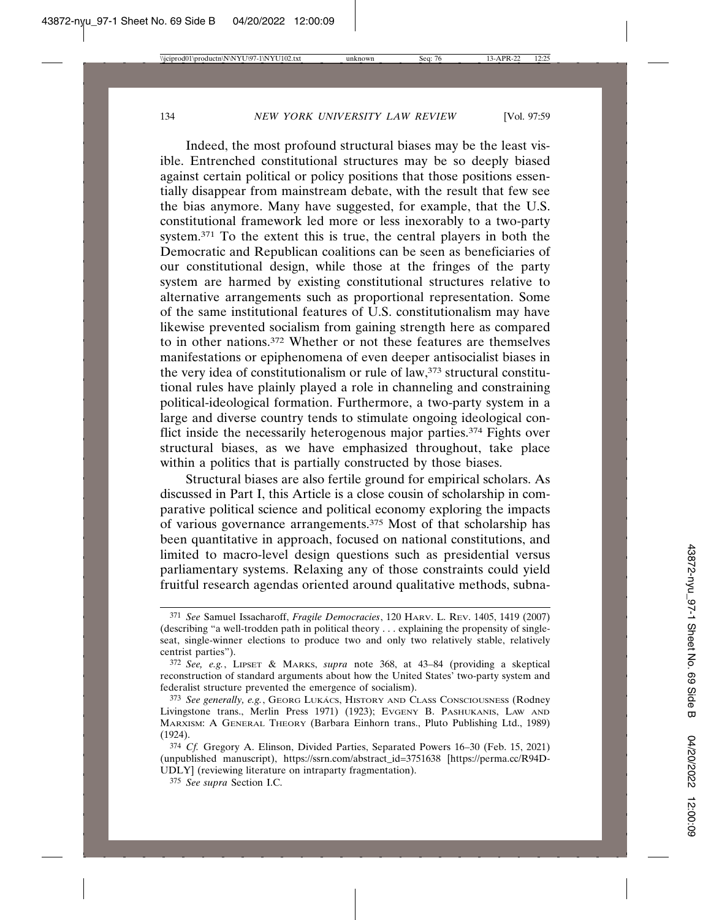Indeed, the most profound structural biases may be the least visible. Entrenched constitutional structures may be so deeply biased against certain political or policy positions that those positions essentially disappear from mainstream debate, with the result that few see the bias anymore. Many have suggested, for example, that the U.S. constitutional framework led more or less inexorably to a two-party system.371 To the extent this is true, the central players in both the Democratic and Republican coalitions can be seen as beneficiaries of our constitutional design, while those at the fringes of the party system are harmed by existing constitutional structures relative to alternative arrangements such as proportional representation. Some of the same institutional features of U.S. constitutionalism may have likewise prevented socialism from gaining strength here as compared to in other nations.372 Whether or not these features are themselves manifestations or epiphenomena of even deeper antisocialist biases in the very idea of constitutionalism or rule of law,<sup>373</sup> structural constitutional rules have plainly played a role in channeling and constraining political-ideological formation. Furthermore, a two-party system in a large and diverse country tends to stimulate ongoing ideological conflict inside the necessarily heterogenous major parties.374 Fights over structural biases, as we have emphasized throughout, take place within a politics that is partially constructed by those biases.

Structural biases are also fertile ground for empirical scholars. As discussed in Part I, this Article is a close cousin of scholarship in comparative political science and political economy exploring the impacts of various governance arrangements.375 Most of that scholarship has been quantitative in approach, focused on national constitutions, and limited to macro-level design questions such as presidential versus parliamentary systems. Relaxing any of those constraints could yield fruitful research agendas oriented around qualitative methods, subna-

<sup>371</sup> *See* Samuel Issacharoff, *Fragile Democracies*, 120 HARV. L. REV. 1405, 1419 (2007) (describing "a well-trodden path in political theory . . . explaining the propensity of singleseat, single-winner elections to produce two and only two relatively stable, relatively centrist parties").

<sup>372</sup> *See, e.g.*, LIPSET & MARKS, *supra* note 368, at 43–84 (providing a skeptical reconstruction of standard arguments about how the United States' two-party system and federalist structure prevented the emergence of socialism).

<sup>&</sup>lt;sup>373</sup> See generally, e.g., GEORG LUKÁCS, HISTORY AND CLASS CONSCIOUSNESS (Rodney Livingstone trans., Merlin Press 1971) (1923); EVGENY B. PASHUKANIS, LAW AND MARXISM: A GENERAL THEORY (Barbara Einhorn trans., Pluto Publishing Ltd., 1989) (1924).

<sup>374</sup> *Cf.* Gregory A. Elinson, Divided Parties, Separated Powers 16–30 (Feb. 15, 2021) (unpublished manuscript), https://ssrn.com/abstract\_id=3751638 [https://perma.cc/R94D-UDLY] (reviewing literature on intraparty fragmentation).

<sup>375</sup> *See supra* Section I.C.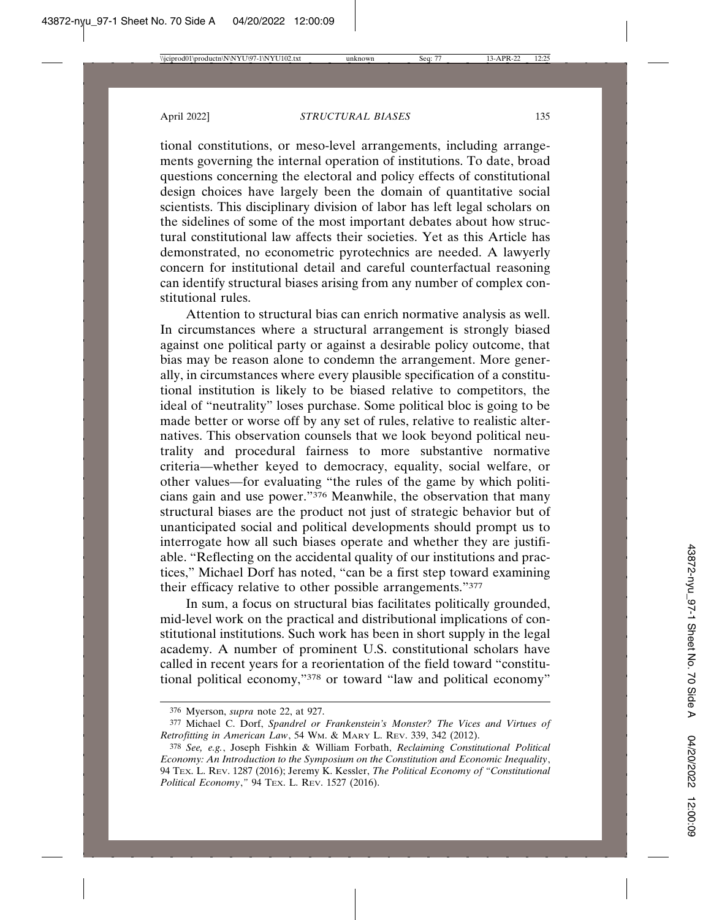tional constitutions, or meso-level arrangements, including arrangements governing the internal operation of institutions. To date, broad questions concerning the electoral and policy effects of constitutional design choices have largely been the domain of quantitative social scientists. This disciplinary division of labor has left legal scholars on the sidelines of some of the most important debates about how structural constitutional law affects their societies. Yet as this Article has demonstrated, no econometric pyrotechnics are needed. A lawyerly concern for institutional detail and careful counterfactual reasoning can identify structural biases arising from any number of complex constitutional rules.

Attention to structural bias can enrich normative analysis as well. In circumstances where a structural arrangement is strongly biased against one political party or against a desirable policy outcome, that bias may be reason alone to condemn the arrangement. More generally, in circumstances where every plausible specification of a constitutional institution is likely to be biased relative to competitors, the ideal of "neutrality" loses purchase. Some political bloc is going to be made better or worse off by any set of rules, relative to realistic alternatives. This observation counsels that we look beyond political neutrality and procedural fairness to more substantive normative criteria—whether keyed to democracy, equality, social welfare, or other values—for evaluating "the rules of the game by which politicians gain and use power."376 Meanwhile, the observation that many structural biases are the product not just of strategic behavior but of unanticipated social and political developments should prompt us to interrogate how all such biases operate and whether they are justifiable. "Reflecting on the accidental quality of our institutions and practices," Michael Dorf has noted, "can be a first step toward examining their efficacy relative to other possible arrangements."377

In sum, a focus on structural bias facilitates politically grounded, mid-level work on the practical and distributional implications of constitutional institutions. Such work has been in short supply in the legal academy. A number of prominent U.S. constitutional scholars have called in recent years for a reorientation of the field toward "constitutional political economy,"378 or toward "law and political economy"

<sup>376</sup> Myerson, *supra* note 22, at 927.

<sup>377</sup> Michael C. Dorf, *Spandrel or Frankenstein's Monster? The Vices and Virtues of Retrofitting in American Law*, 54 WM. & MARY L. REV. 339, 342 (2012).

<sup>378</sup> *See, e.g.*, Joseph Fishkin & William Forbath, *Reclaiming Constitutional Political Economy: An Introduction to the Symposium on the Constitution and Economic Inequality*, 94 TEX. L. REV. 1287 (2016); Jeremy K. Kessler, *The Political Economy of "Constitutional Political Economy*,*"* 94 TEX. L. REV. 1527 (2016).